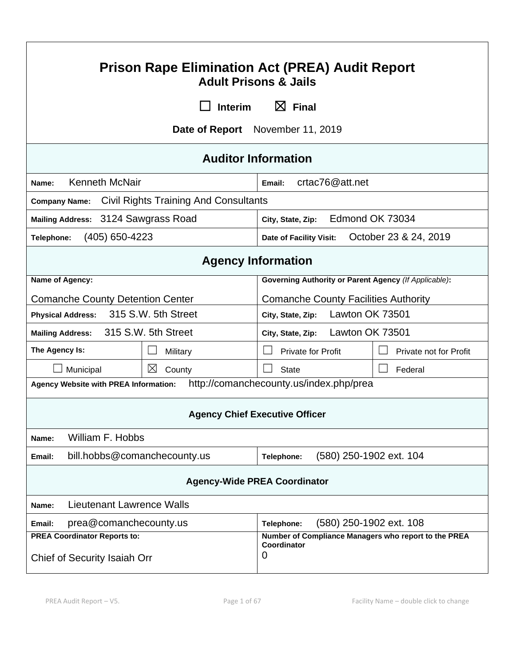| <b>Prison Rape Elimination Act (PREA) Audit Report</b><br><b>Adult Prisons &amp; Jails</b> |                                       |                                                                            |                        |
|--------------------------------------------------------------------------------------------|---------------------------------------|----------------------------------------------------------------------------|------------------------|
|                                                                                            | <b>Interim</b>                        | $\boxtimes$ Final                                                          |                        |
|                                                                                            |                                       | Date of Report November 11, 2019                                           |                        |
|                                                                                            |                                       | <b>Auditor Information</b>                                                 |                        |
| <b>Kenneth McNair</b><br>Name:                                                             |                                       | crtac76@att.net<br>Email:                                                  |                        |
| <b>Company Name:</b>                                                                       | Civil Rights Training And Consultants |                                                                            |                        |
| Mailing Address: 3124 Sawgrass Road                                                        |                                       | City, State, Zip:                                                          | Edmond OK 73034        |
| (405) 650-4223<br>Telephone:                                                               |                                       | Date of Facility Visit:                                                    | October 23 & 24, 2019  |
|                                                                                            |                                       | <b>Agency Information</b>                                                  |                        |
| Name of Agency:                                                                            |                                       | Governing Authority or Parent Agency (If Applicable):                      |                        |
| <b>Comanche County Detention Center</b>                                                    |                                       | <b>Comanche County Facilities Authority</b>                                |                        |
| 315 S.W. 5th Street<br><b>Physical Address:</b>                                            |                                       | Lawton OK 73501<br>City, State, Zip:                                       |                        |
| 315 S.W. 5th Street<br><b>Mailing Address:</b>                                             |                                       | Lawton OK 73501<br>City, State, Zip:                                       |                        |
| The Agency Is:                                                                             | Military                              | <b>Private for Profit</b>                                                  | Private not for Profit |
| Municipal                                                                                  | $\boxtimes$<br>County                 | <b>State</b>                                                               | Federal                |
| http://comanchecounty.us/index.php/prea<br>Agency Website with PREA Information:           |                                       |                                                                            |                        |
|                                                                                            | <b>Agency Chief Executive Officer</b> |                                                                            |                        |
| William F. Hobbs<br>Name:                                                                  |                                       |                                                                            |                        |
| bill.hobbs@comanchecounty.us<br>Email:                                                     |                                       | (580) 250-1902 ext. 104<br>Telephone:                                      |                        |
| <b>Agency-Wide PREA Coordinator</b>                                                        |                                       |                                                                            |                        |
| Lieutenant Lawrence Walls<br>Name:                                                         |                                       |                                                                            |                        |
| prea@comanchecounty.us<br>Email:                                                           |                                       | (580) 250-1902 ext. 108<br>Telephone:                                      |                        |
| <b>PREA Coordinator Reports to:</b><br>0<br>Chief of Security Isaiah Orr                   |                                       | Number of Compliance Managers who report to the PREA<br><b>Coordinator</b> |                        |

 $\mathbf{r}$ 

٦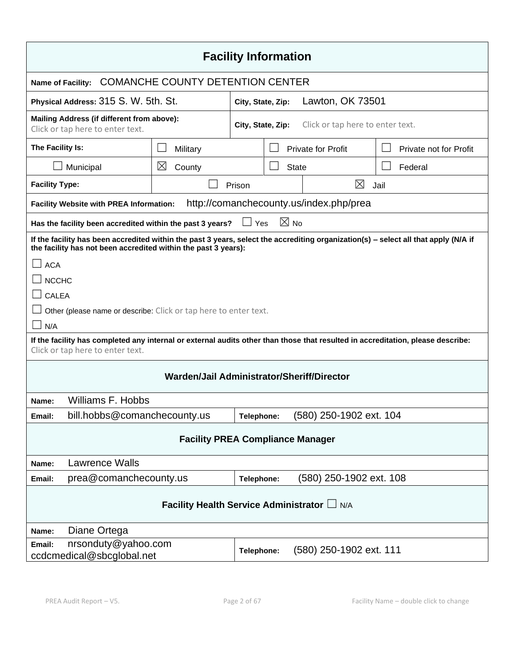| <b>Facility Information</b>                                                                                                                                                                           |                                                                                                     |                   |  |                |                                         |                        |
|-------------------------------------------------------------------------------------------------------------------------------------------------------------------------------------------------------|-----------------------------------------------------------------------------------------------------|-------------------|--|----------------|-----------------------------------------|------------------------|
| <b>Name of Facility:</b>                                                                                                                                                                              | <b>COMANCHE COUNTY DETENTION CENTER</b>                                                             |                   |  |                |                                         |                        |
| Physical Address: 315 S. W. 5th. St.                                                                                                                                                                  |                                                                                                     | City, State, Zip: |  |                | Lawton, OK 73501                        |                        |
| Click or tap here to enter text.                                                                                                                                                                      | Mailing Address (if different from above):<br>Click or tap here to enter text.<br>City, State, Zip: |                   |  |                |                                         |                        |
| The Facility Is:                                                                                                                                                                                      | Military                                                                                            |                   |  |                | <b>Private for Profit</b>               | Private not for Profit |
| Municipal                                                                                                                                                                                             | $\boxtimes$<br>County                                                                               |                   |  | <b>State</b>   |                                         | Federal                |
| <b>Facility Type:</b>                                                                                                                                                                                 |                                                                                                     | Prison            |  |                | ⊠                                       | Jail                   |
| <b>Facility Website with PREA Information:</b>                                                                                                                                                        |                                                                                                     |                   |  |                | http://comanchecounty.us/index.php/prea |                        |
| Has the facility been accredited within the past 3 years?                                                                                                                                             |                                                                                                     | Yes               |  | $\boxtimes$ No |                                         |                        |
| If the facility has been accredited within the past 3 years, select the accrediting organization(s) - select all that apply (N/A if<br>the facility has not been accredited within the past 3 years): |                                                                                                     |                   |  |                |                                         |                        |
| <b>ACA</b>                                                                                                                                                                                            |                                                                                                     |                   |  |                |                                         |                        |
| <b>NCCHC</b>                                                                                                                                                                                          |                                                                                                     |                   |  |                |                                         |                        |
| <b>CALEA</b>                                                                                                                                                                                          |                                                                                                     |                   |  |                |                                         |                        |
| Other (please name or describe: Click or tap here to enter text.                                                                                                                                      |                                                                                                     |                   |  |                |                                         |                        |
| N/A<br>If the facility has completed any internal or external audits other than those that resulted in accreditation, please describe:                                                                |                                                                                                     |                   |  |                |                                         |                        |
| Click or tap here to enter text.                                                                                                                                                                      |                                                                                                     |                   |  |                |                                         |                        |
| Warden/Jail Administrator/Sheriff/Director                                                                                                                                                            |                                                                                                     |                   |  |                |                                         |                        |
| Williams F. Hobbs<br>Name:                                                                                                                                                                            |                                                                                                     |                   |  |                |                                         |                        |
| bill.hobbs@comanchecounty.us<br>Email:                                                                                                                                                                |                                                                                                     | Telephone:        |  |                | (580) 250-1902 ext. 104                 |                        |
| <b>Facility PREA Compliance Manager</b>                                                                                                                                                               |                                                                                                     |                   |  |                |                                         |                        |
| <b>Lawrence Walls</b><br>Name:                                                                                                                                                                        |                                                                                                     |                   |  |                |                                         |                        |
| prea@comanchecounty.us<br>Email:                                                                                                                                                                      |                                                                                                     | Telephone:        |  |                | (580) 250-1902 ext. 108                 |                        |
| Facility Health Service Administrator L N/A                                                                                                                                                           |                                                                                                     |                   |  |                |                                         |                        |
| Diane Ortega<br>Name:                                                                                                                                                                                 |                                                                                                     |                   |  |                |                                         |                        |
| nrsonduty@yahoo.com<br>Email:<br>ccdcmedical@sbcglobal.net                                                                                                                                            |                                                                                                     | Telephone:        |  |                | (580) 250-1902 ext. 111                 |                        |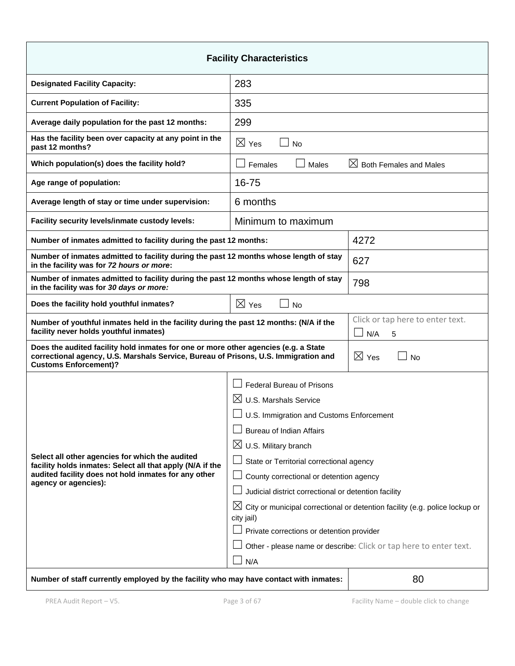| <b>Facility Characteristics</b>                                                                                                                                                                                                            |                                                                                                       |                                                                   |  |
|--------------------------------------------------------------------------------------------------------------------------------------------------------------------------------------------------------------------------------------------|-------------------------------------------------------------------------------------------------------|-------------------------------------------------------------------|--|
| <b>Designated Facility Capacity:</b>                                                                                                                                                                                                       | 283                                                                                                   |                                                                   |  |
| <b>Current Population of Facility:</b>                                                                                                                                                                                                     | 335                                                                                                   |                                                                   |  |
| Average daily population for the past 12 months:                                                                                                                                                                                           | 299                                                                                                   |                                                                   |  |
| Has the facility been over capacity at any point in the<br>past 12 months?                                                                                                                                                                 | $\boxtimes$ Yes<br><b>No</b>                                                                          |                                                                   |  |
| Which population(s) does the facility hold?                                                                                                                                                                                                | Females<br>Males                                                                                      | $\boxtimes$ Both Females and Males                                |  |
| Age range of population:                                                                                                                                                                                                                   | 16-75                                                                                                 |                                                                   |  |
| Average length of stay or time under supervision:                                                                                                                                                                                          | 6 months                                                                                              |                                                                   |  |
| Facility security levels/inmate custody levels:                                                                                                                                                                                            | Minimum to maximum                                                                                    |                                                                   |  |
| Number of inmates admitted to facility during the past 12 months:                                                                                                                                                                          |                                                                                                       | 4272                                                              |  |
| Number of inmates admitted to facility during the past 12 months whose length of stay<br>in the facility was for 72 hours or more:                                                                                                         |                                                                                                       | 627                                                               |  |
| Number of inmates admitted to facility during the past 12 months whose length of stay<br>in the facility was for 30 days or more:                                                                                                          |                                                                                                       | 798                                                               |  |
| Does the facility hold youthful inmates?                                                                                                                                                                                                   | $\boxtimes$ Yes<br><b>No</b>                                                                          |                                                                   |  |
| Click or tap here to enter text.<br>Number of youthful inmates held in the facility during the past 12 months: (N/A if the<br>facility never holds youthful inmates)<br>N/A<br>5                                                           |                                                                                                       |                                                                   |  |
| Does the audited facility hold inmates for one or more other agencies (e.g. a State<br>$\boxtimes$ Yes<br>correctional agency, U.S. Marshals Service, Bureau of Prisons, U.S. Immigration and<br>$\Box$ No<br><b>Customs Enforcement)?</b> |                                                                                                       |                                                                   |  |
|                                                                                                                                                                                                                                            | <b>Federal Bureau of Prisons</b>                                                                      |                                                                   |  |
|                                                                                                                                                                                                                                            | $\boxtimes$ U.S. Marshals Service                                                                     |                                                                   |  |
|                                                                                                                                                                                                                                            | $\Box$ U.S. Immigration and Customs Enforcement                                                       |                                                                   |  |
|                                                                                                                                                                                                                                            | <b>Bureau of Indian Affairs</b>                                                                       |                                                                   |  |
|                                                                                                                                                                                                                                            | $\boxtimes$ U.S. Military branch                                                                      |                                                                   |  |
| Select all other agencies for which the audited<br>facility holds inmates: Select all that apply (N/A if the                                                                                                                               | State or Territorial correctional agency                                                              |                                                                   |  |
| audited facility does not hold inmates for any other<br>agency or agencies):                                                                                                                                                               | County correctional or detention agency                                                               |                                                                   |  |
|                                                                                                                                                                                                                                            | Judicial district correctional or detention facility                                                  |                                                                   |  |
|                                                                                                                                                                                                                                            | $\boxtimes$ City or municipal correctional or detention facility (e.g. police lockup or<br>city jail) |                                                                   |  |
|                                                                                                                                                                                                                                            | Private corrections or detention provider                                                             |                                                                   |  |
|                                                                                                                                                                                                                                            |                                                                                                       | Other - please name or describe: Click or tap here to enter text. |  |
|                                                                                                                                                                                                                                            | N/A                                                                                                   |                                                                   |  |
| Number of staff currently employed by the facility who may have contact with inmates:                                                                                                                                                      |                                                                                                       | 80                                                                |  |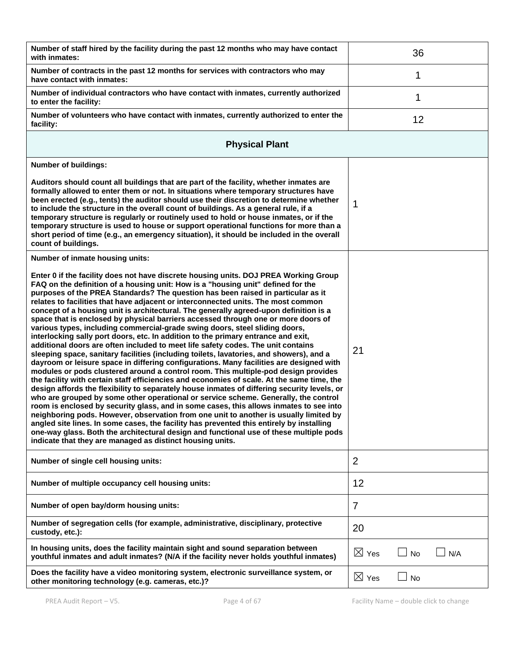| Number of staff hired by the facility during the past 12 months who may have contact<br>with inmates:                                                                                                                                                                                                                                                                                                                                                                                                                                                                                                                                                                                                                                                                                                                                                                                                                                                                                                                                                                                                                                                                                                                                                                                                                                                                                                                                                                                                                                                                                                                                                                                                                                                                                         |                 | 36 |     |
|-----------------------------------------------------------------------------------------------------------------------------------------------------------------------------------------------------------------------------------------------------------------------------------------------------------------------------------------------------------------------------------------------------------------------------------------------------------------------------------------------------------------------------------------------------------------------------------------------------------------------------------------------------------------------------------------------------------------------------------------------------------------------------------------------------------------------------------------------------------------------------------------------------------------------------------------------------------------------------------------------------------------------------------------------------------------------------------------------------------------------------------------------------------------------------------------------------------------------------------------------------------------------------------------------------------------------------------------------------------------------------------------------------------------------------------------------------------------------------------------------------------------------------------------------------------------------------------------------------------------------------------------------------------------------------------------------------------------------------------------------------------------------------------------------|-----------------|----|-----|
| Number of contracts in the past 12 months for services with contractors who may<br>have contact with inmates:                                                                                                                                                                                                                                                                                                                                                                                                                                                                                                                                                                                                                                                                                                                                                                                                                                                                                                                                                                                                                                                                                                                                                                                                                                                                                                                                                                                                                                                                                                                                                                                                                                                                                 |                 | 1  |     |
| Number of individual contractors who have contact with inmates, currently authorized<br>to enter the facility:                                                                                                                                                                                                                                                                                                                                                                                                                                                                                                                                                                                                                                                                                                                                                                                                                                                                                                                                                                                                                                                                                                                                                                                                                                                                                                                                                                                                                                                                                                                                                                                                                                                                                |                 | 1  |     |
| Number of volunteers who have contact with inmates, currently authorized to enter the<br>facility:                                                                                                                                                                                                                                                                                                                                                                                                                                                                                                                                                                                                                                                                                                                                                                                                                                                                                                                                                                                                                                                                                                                                                                                                                                                                                                                                                                                                                                                                                                                                                                                                                                                                                            |                 | 12 |     |
| <b>Physical Plant</b>                                                                                                                                                                                                                                                                                                                                                                                                                                                                                                                                                                                                                                                                                                                                                                                                                                                                                                                                                                                                                                                                                                                                                                                                                                                                                                                                                                                                                                                                                                                                                                                                                                                                                                                                                                         |                 |    |     |
| <b>Number of buildings:</b>                                                                                                                                                                                                                                                                                                                                                                                                                                                                                                                                                                                                                                                                                                                                                                                                                                                                                                                                                                                                                                                                                                                                                                                                                                                                                                                                                                                                                                                                                                                                                                                                                                                                                                                                                                   |                 |    |     |
| Auditors should count all buildings that are part of the facility, whether inmates are<br>formally allowed to enter them or not. In situations where temporary structures have<br>been erected (e.g., tents) the auditor should use their discretion to determine whether<br>to include the structure in the overall count of buildings. As a general rule, if a<br>temporary structure is regularly or routinely used to hold or house inmates, or if the<br>temporary structure is used to house or support operational functions for more than a<br>short period of time (e.g., an emergency situation), it should be included in the overall<br>count of buildings.                                                                                                                                                                                                                                                                                                                                                                                                                                                                                                                                                                                                                                                                                                                                                                                                                                                                                                                                                                                                                                                                                                                       | 1               |    |     |
| Number of inmate housing units:                                                                                                                                                                                                                                                                                                                                                                                                                                                                                                                                                                                                                                                                                                                                                                                                                                                                                                                                                                                                                                                                                                                                                                                                                                                                                                                                                                                                                                                                                                                                                                                                                                                                                                                                                               |                 |    |     |
| Enter 0 if the facility does not have discrete housing units. DOJ PREA Working Group<br>FAQ on the definition of a housing unit: How is a "housing unit" defined for the<br>purposes of the PREA Standards? The question has been raised in particular as it<br>relates to facilities that have adjacent or interconnected units. The most common<br>concept of a housing unit is architectural. The generally agreed-upon definition is a<br>space that is enclosed by physical barriers accessed through one or more doors of<br>various types, including commercial-grade swing doors, steel sliding doors,<br>interlocking sally port doors, etc. In addition to the primary entrance and exit,<br>additional doors are often included to meet life safety codes. The unit contains<br>sleeping space, sanitary facilities (including toilets, lavatories, and showers), and a<br>dayroom or leisure space in differing configurations. Many facilities are designed with<br>modules or pods clustered around a control room. This multiple-pod design provides<br>the facility with certain staff efficiencies and economies of scale. At the same time, the<br>design affords the flexibility to separately house inmates of differing security levels, or<br>who are grouped by some other operational or service scheme. Generally, the control<br>room is enclosed by security glass, and in some cases, this allows inmates to see into<br>neighboring pods. However, observation from one unit to another is usually limited by<br>angled site lines. In some cases, the facility has prevented this entirely by installing<br>one-way glass. Both the architectural design and functional use of these multiple pods<br>indicate that they are managed as distinct housing units. | 21              |    |     |
| Number of single cell housing units:                                                                                                                                                                                                                                                                                                                                                                                                                                                                                                                                                                                                                                                                                                                                                                                                                                                                                                                                                                                                                                                                                                                                                                                                                                                                                                                                                                                                                                                                                                                                                                                                                                                                                                                                                          | 2               |    |     |
| Number of multiple occupancy cell housing units:                                                                                                                                                                                                                                                                                                                                                                                                                                                                                                                                                                                                                                                                                                                                                                                                                                                                                                                                                                                                                                                                                                                                                                                                                                                                                                                                                                                                                                                                                                                                                                                                                                                                                                                                              | 12              |    |     |
| Number of open bay/dorm housing units:                                                                                                                                                                                                                                                                                                                                                                                                                                                                                                                                                                                                                                                                                                                                                                                                                                                                                                                                                                                                                                                                                                                                                                                                                                                                                                                                                                                                                                                                                                                                                                                                                                                                                                                                                        | 7               |    |     |
| Number of segregation cells (for example, administrative, disciplinary, protective<br>custody, etc.):                                                                                                                                                                                                                                                                                                                                                                                                                                                                                                                                                                                                                                                                                                                                                                                                                                                                                                                                                                                                                                                                                                                                                                                                                                                                                                                                                                                                                                                                                                                                                                                                                                                                                         | 20              |    |     |
| In housing units, does the facility maintain sight and sound separation between<br>youthful inmates and adult inmates? (N/A if the facility never holds youthful inmates)                                                                                                                                                                                                                                                                                                                                                                                                                                                                                                                                                                                                                                                                                                                                                                                                                                                                                                                                                                                                                                                                                                                                                                                                                                                                                                                                                                                                                                                                                                                                                                                                                     | $\boxtimes$ Yes | No | N/A |
| Does the facility have a video monitoring system, electronic surveillance system, or<br>other monitoring technology (e.g. cameras, etc.)?                                                                                                                                                                                                                                                                                                                                                                                                                                                                                                                                                                                                                                                                                                                                                                                                                                                                                                                                                                                                                                                                                                                                                                                                                                                                                                                                                                                                                                                                                                                                                                                                                                                     | $\boxtimes$ Yes | No |     |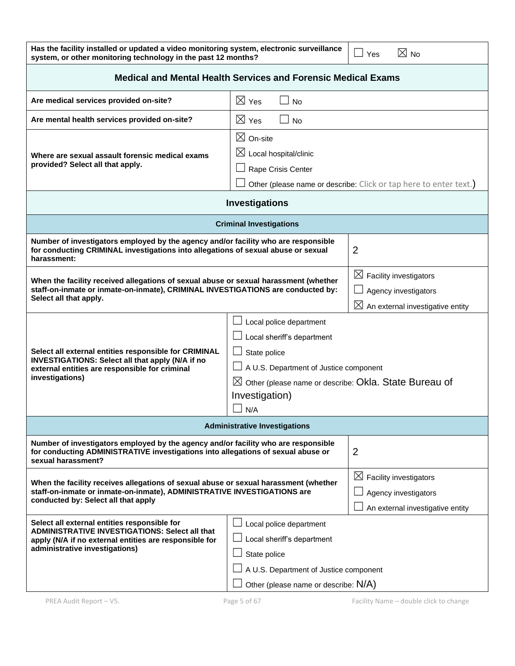| Has the facility installed or updated a video monitoring system, electronic surveillance $\Box$ Yes | $\boxtimes$ No |
|-----------------------------------------------------------------------------------------------------|----------------|
| system, or other monitoring technology in the past 12 months?                                       |                |

| <b>Medical and Mental Health Services and Forensic Medical Exams</b>                                                                                                                                                                                                                                                                                                                                                 |                                                                                                                                                                        |                                                                                                            |
|----------------------------------------------------------------------------------------------------------------------------------------------------------------------------------------------------------------------------------------------------------------------------------------------------------------------------------------------------------------------------------------------------------------------|------------------------------------------------------------------------------------------------------------------------------------------------------------------------|------------------------------------------------------------------------------------------------------------|
| Are medical services provided on-site?                                                                                                                                                                                                                                                                                                                                                                               | $\boxtimes$ Yes<br><b>No</b>                                                                                                                                           |                                                                                                            |
| Are mental health services provided on-site?                                                                                                                                                                                                                                                                                                                                                                         | $\boxtimes$ Yes<br><b>No</b>                                                                                                                                           |                                                                                                            |
| Where are sexual assault forensic medical exams<br>provided? Select all that apply.                                                                                                                                                                                                                                                                                                                                  | $\boxtimes$ On-site<br>$\boxtimes$ Local hospital/clinic<br>Rape Crisis Center<br>Other (please name or describe: Click or tap here to enter text.)                    |                                                                                                            |
|                                                                                                                                                                                                                                                                                                                                                                                                                      | <b>Investigations</b>                                                                                                                                                  |                                                                                                            |
|                                                                                                                                                                                                                                                                                                                                                                                                                      | <b>Criminal Investigations</b>                                                                                                                                         |                                                                                                            |
| Number of investigators employed by the agency and/or facility who are responsible<br>for conducting CRIMINAL investigations into allegations of sexual abuse or sexual<br>$\overline{2}$<br>harassment:                                                                                                                                                                                                             |                                                                                                                                                                        |                                                                                                            |
| When the facility received allegations of sexual abuse or sexual harassment (whether<br>staff-on-inmate or inmate-on-inmate), CRIMINAL INVESTIGATIONS are conducted by:<br>Select all that apply.                                                                                                                                                                                                                    |                                                                                                                                                                        | $\boxtimes$ Facility investigators<br>Agency investigators<br>$\boxtimes$ An external investigative entity |
| Local police department<br>$\Box$ Local sheriff's department<br>Select all external entities responsible for CRIMINAL<br>State police<br><b>INVESTIGATIONS: Select all that apply (N/A if no</b><br>$\Box$ A U.S. Department of Justice component<br>external entities are responsible for criminal<br>investigations)<br>$\boxtimes$ Other (please name or describe: Okla. State Bureau of<br>Investigation)<br>N/A |                                                                                                                                                                        |                                                                                                            |
|                                                                                                                                                                                                                                                                                                                                                                                                                      | <b>Administrative Investigations</b>                                                                                                                                   |                                                                                                            |
| Number of investigators employed by the agency and/or facility who are responsible<br>for conducting ADMINISTRATIVE investigations into allegations of sexual abuse or<br>2<br>sexual harassment?                                                                                                                                                                                                                    |                                                                                                                                                                        |                                                                                                            |
| When the facility receives allegations of sexual abuse or sexual harassment (whether<br>staff-on-inmate or inmate-on-inmate), ADMINISTRATIVE INVESTIGATIONS are<br>conducted by: Select all that apply                                                                                                                                                                                                               |                                                                                                                                                                        | $\boxtimes$ Facility investigators<br>Agency investigators<br>An external investigative entity             |
| Select all external entities responsible for<br><b>ADMINISTRATIVE INVESTIGATIONS: Select all that</b><br>apply (N/A if no external entities are responsible for<br>administrative investigations)                                                                                                                                                                                                                    | $\Box$ Local police department<br>$\perp$ Local sheriff's department<br>State police<br>A U.S. Department of Justice component<br>Other (please name or describe: N/A) |                                                                                                            |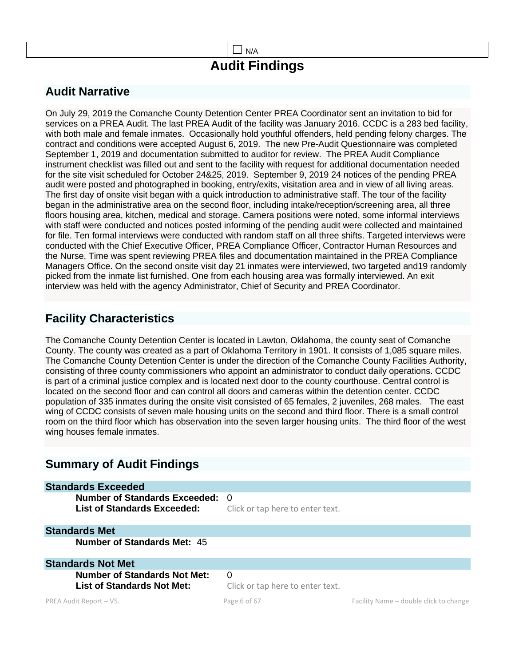

# **Audit Findings**

# **Audit Narrative**

On July 29, 2019 the Comanche County Detention Center PREA Coordinator sent an invitation to bid for services on a PREA Audit. The last PREA Audit of the facility was January 2016. CCDC is a 283 bed facility, with both male and female inmates. Occasionally hold youthful offenders, held pending felony charges. The contract and conditions were accepted August 6, 2019. The new Pre-Audit Questionnaire was completed September 1, 2019 and documentation submitted to auditor for review. The PREA Audit Compliance instrument checklist was filled out and sent to the facility with request for additional documentation needed for the site visit scheduled for October 24&25, 2019. September 9, 2019 24 notices of the pending PREA audit were posted and photographed in booking, entry/exits, visitation area and in view of all living areas. The first day of onsite visit began with a quick introduction to administrative staff. The tour of the facility began in the administrative area on the second floor, including intake/reception/screening area, all three floors housing area, kitchen, medical and storage. Camera positions were noted, some informal interviews with staff were conducted and notices posted informing of the pending audit were collected and maintained for file. Ten formal interviews were conducted with random staff on all three shifts. Targeted interviews were conducted with the Chief Executive Officer, PREA Compliance Officer, Contractor Human Resources and the Nurse, Time was spent reviewing PREA files and documentation maintained in the PREA Compliance Managers Office. On the second onsite visit day 21 inmates were interviewed, two targeted and19 randomly picked from the inmate list furnished. One from each housing area was formally interviewed. An exit interview was held with the agency Administrator, Chief of Security and PREA Coordinator.

# **Facility Characteristics**

The Comanche County Detention Center is located in Lawton, Oklahoma, the county seat of Comanche County. The county was created as a part of Oklahoma Territory in 1901. It consists of 1,085 square miles. The Comanche County Detention Center is under the direction of the Comanche County Facilities Authority, consisting of three county commissioners who appoint an administrator to conduct daily operations. CCDC is part of a criminal justice complex and is located next door to the county courthouse. Central control is located on the second floor and can control all doors and cameras within the detention center. CCDC population of 335 inmates during the onsite visit consisted of 65 females, 2 juveniles, 268 males. The east wing of CCDC consists of seven male housing units on the second and third floor. There is a small control room on the third floor which has observation into the seven larger housing units. The third floor of the west wing houses female inmates.

# **Summary of Audit Findings**

| <b>Standards Exceeded</b>                                           |                                         |                                        |
|---------------------------------------------------------------------|-----------------------------------------|----------------------------------------|
| <b>Number of Standards Exceeded:</b><br>List of Standards Exceeded: | - 0<br>Click or tap here to enter text. |                                        |
| <b>Standards Met</b>                                                |                                         |                                        |
| <b>Number of Standards Met: 45</b>                                  |                                         |                                        |
| <b>Standards Not Met</b>                                            |                                         |                                        |
| <b>Number of Standards Not Met:</b><br>List of Standards Not Met:   | 0<br>Click or tap here to enter text.   |                                        |
| PREA Audit Report - V5.                                             | Page 6 of 67                            | Facility Name – double click to change |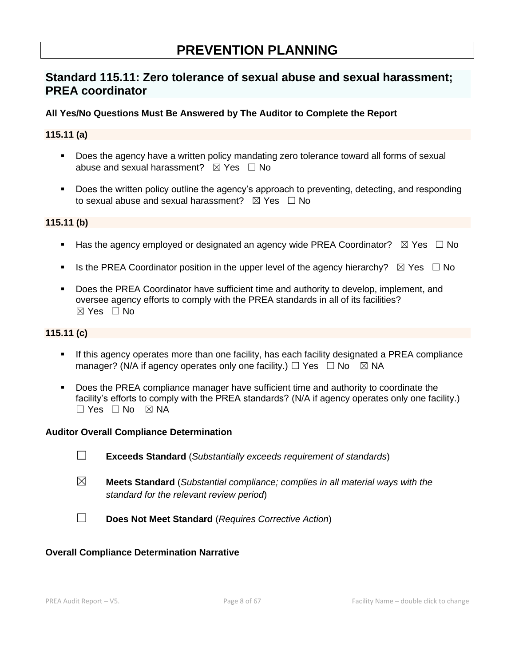# **PREVENTION PLANNING**

# **Standard 115.11: Zero tolerance of sexual abuse and sexual harassment; PREA coordinator**

# **All Yes/No Questions Must Be Answered by The Auditor to Complete the Report**

### **115.11 (a)**

- **•** Does the agency have a written policy mandating zero tolerance toward all forms of sexual abuse and sexual harassment?  $\boxtimes$  Yes  $\Box$  No
- Does the written policy outline the agency's approach to preventing, detecting, and responding to sexual abuse and sexual harassment?  $\boxtimes$  Yes  $\Box$  No

# **115.11 (b)**

- Has the agency employed or designated an agency wide PREA Coordinator?  $\boxtimes$  Yes  $\Box$  No
- **■** Is the PREA Coordinator position in the upper level of the agency hierarchy?  $\boxtimes$  Yes  $\Box$  No
- Does the PREA Coordinator have sufficient time and authority to develop, implement, and oversee agency efforts to comply with the PREA standards in all of its facilities? ☒ Yes ☐ No

### **115.11 (c)**

- If this agency operates more than one facility, has each facility designated a PREA compliance manager? (N/A if agency operates only one facility.)  $\Box$  Yes  $\Box$  No  $\boxtimes$  NA
- **•** Does the PREA compliance manager have sufficient time and authority to coordinate the facility's efforts to comply with the PREA standards? (N/A if agency operates only one facility.)  $\Box$  Yes  $\Box$  No  $\boxtimes$  NA

#### **Auditor Overall Compliance Determination**

- ☐ **Exceeds Standard** (*Substantially exceeds requirement of standards*)
- ☒ **Meets Standard** (*Substantial compliance; complies in all material ways with the standard for the relevant review period*)
- ☐ **Does Not Meet Standard** (*Requires Corrective Action*)

#### **Overall Compliance Determination Narrative**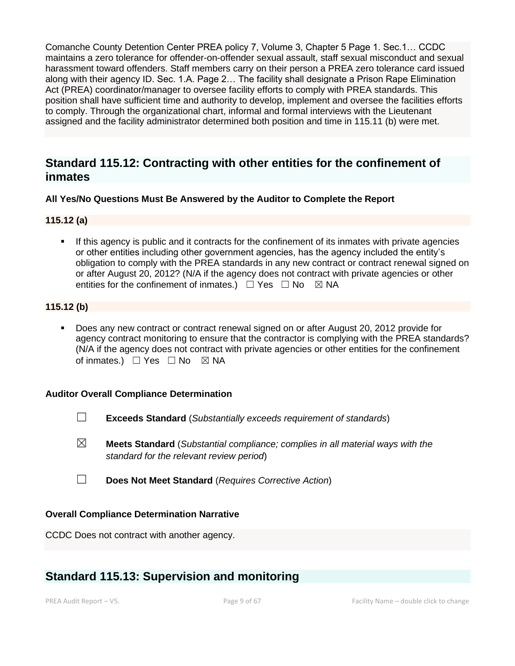Comanche County Detention Center PREA policy 7, Volume 3, Chapter 5 Page 1. Sec.1… CCDC maintains a zero tolerance for offender-on-offender sexual assault, staff sexual misconduct and sexual harassment toward offenders. Staff members carry on their person a PREA zero tolerance card issued along with their agency ID. Sec. 1.A. Page 2… The facility shall designate a Prison Rape Elimination Act (PREA) coordinator/manager to oversee facility efforts to comply with PREA standards. This position shall have sufficient time and authority to develop, implement and oversee the facilities efforts to comply. Through the organizational chart, informal and formal interviews with the Lieutenant assigned and the facility administrator determined both position and time in 115.11 (b) were met.

# **Standard 115.12: Contracting with other entities for the confinement of inmates**

# **All Yes/No Questions Must Be Answered by the Auditor to Complete the Report**

# **115.12 (a)**

**•** If this agency is public and it contracts for the confinement of its inmates with private agencies or other entities including other government agencies, has the agency included the entity's obligation to comply with the PREA standards in any new contract or contract renewal signed on or after August 20, 2012? (N/A if the agency does not contract with private agencies or other entities for the confinement of inmates.)  $\Box$  Yes  $\Box$  No  $\boxtimes$  NA

# **115.12 (b)**

▪ Does any new contract or contract renewal signed on or after August 20, 2012 provide for agency contract monitoring to ensure that the contractor is complying with the PREA standards? (N/A if the agency does not contract with private agencies or other entities for the confinement of inmates.) □ Yes □ No ⊠ NA

#### **Auditor Overall Compliance Determination**

- ☐ **Exceeds Standard** (*Substantially exceeds requirement of standards*)
- ☒ **Meets Standard** (*Substantial compliance; complies in all material ways with the standard for the relevant review period*)
- ☐ **Does Not Meet Standard** (*Requires Corrective Action*)

# **Overall Compliance Determination Narrative**

CCDC Does not contract with another agency.

# **Standard 115.13: Supervision and monitoring**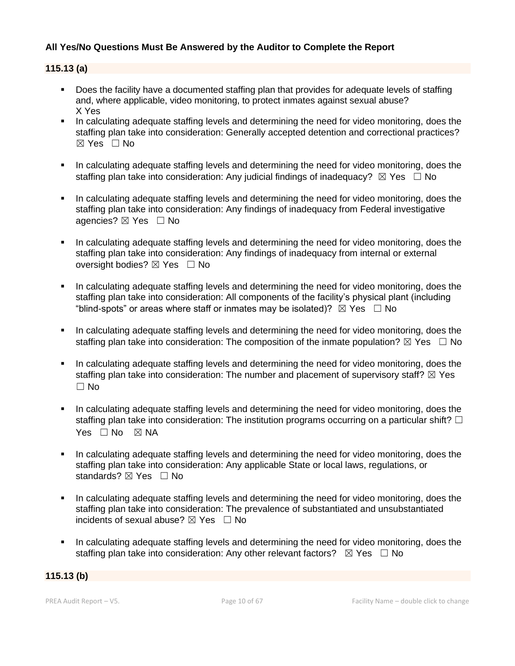# **All Yes/No Questions Must Be Answered by the Auditor to Complete the Report**

# **115.13 (a)**

- Does the facility have a documented staffing plan that provides for adequate levels of staffing and, where applicable, video monitoring, to protect inmates against sexual abuse? X Yes
- In calculating adequate staffing levels and determining the need for video monitoring, does the staffing plan take into consideration: Generally accepted detention and correctional practices? ☒ Yes ☐ No
- In calculating adequate staffing levels and determining the need for video monitoring, does the staffing plan take into consideration: Any judicial findings of inadequacy?  $\boxtimes$  Yes  $\Box$  No
- In calculating adequate staffing levels and determining the need for video monitoring, does the staffing plan take into consideration: Any findings of inadequacy from Federal investigative agencies? ⊠ Yes □ No
- In calculating adequate staffing levels and determining the need for video monitoring, does the staffing plan take into consideration: Any findings of inadequacy from internal or external oversight bodies?  $\boxtimes$  Yes  $\Box$  No
- In calculating adequate staffing levels and determining the need for video monitoring, does the staffing plan take into consideration: All components of the facility's physical plant (including "blind-spots" or areas where staff or inmates may be isolated)?  $\boxtimes$  Yes  $\Box$  No
- **•** In calculating adequate staffing levels and determining the need for video monitoring, does the staffing plan take into consideration: The composition of the inmate population?  $\boxtimes$  Yes  $\Box$  No
- In calculating adequate staffing levels and determining the need for video monitoring, does the staffing plan take into consideration: The number and placement of supervisory staff?  $\boxtimes$  Yes  $\Box$  No
- **•** In calculating adequate staffing levels and determining the need for video monitoring, does the staffing plan take into consideration: The institution programs occurring on a particular shift?  $\square$  $Yes \Box No \ \boxtimes NA$
- In calculating adequate staffing levels and determining the need for video monitoring, does the staffing plan take into consideration: Any applicable State or local laws, regulations, or standards? ⊠ Yes □ No
- **•** In calculating adequate staffing levels and determining the need for video monitoring, does the staffing plan take into consideration: The prevalence of substantiated and unsubstantiated incidents of sexual abuse?  $\boxtimes$  Yes  $\Box$  No
- In calculating adequate staffing levels and determining the need for video monitoring, does the staffing plan take into consideration: Any other relevant factors?  $\boxtimes$  Yes  $\Box$  No

#### **115.13 (b)**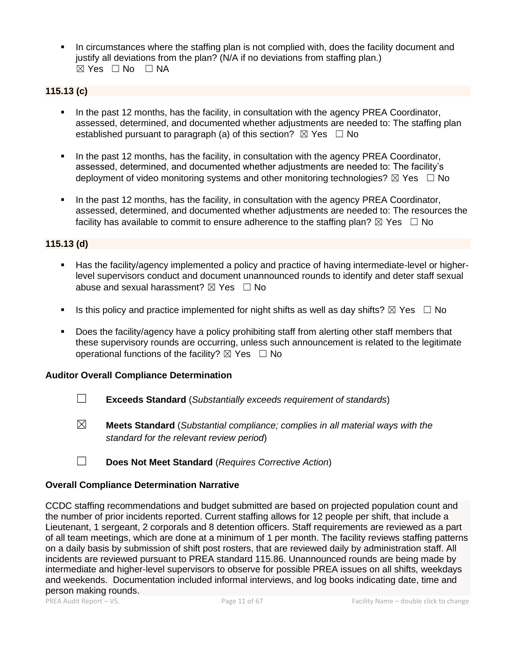In circumstances where the staffing plan is not complied with, does the facility document and justify all deviations from the plan? (N/A if no deviations from staffing plan.)  $⊠ Yes ⊡ No ⊡ NA$ 

# **115.13 (c)**

- In the past 12 months, has the facility, in consultation with the agency PREA Coordinator, assessed, determined, and documented whether adjustments are needed to: The staffing plan established pursuant to paragraph (a) of this section?  $\boxtimes$  Yes  $\Box$  No
- In the past 12 months, has the facility, in consultation with the agency PREA Coordinator, assessed, determined, and documented whether adjustments are needed to: The facility's deployment of video monitoring systems and other monitoring technologies?  $\boxtimes$  Yes  $\Box$  No
- In the past 12 months, has the facility, in consultation with the agency PREA Coordinator, assessed, determined, and documented whether adjustments are needed to: The resources the facility has available to commit to ensure adherence to the staffing plan?  $\boxtimes$  Yes  $\Box$  No

# **115.13 (d)**

- Has the facility/agency implemented a policy and practice of having intermediate-level or higherlevel supervisors conduct and document unannounced rounds to identify and deter staff sexual abuse and sexual harassment?  $\boxtimes$  Yes  $\Box$  No
- **■** Is this policy and practice implemented for night shifts as well as day shifts?  $\boxtimes$  Yes  $\Box$  No
- Does the facility/agency have a policy prohibiting staff from alerting other staff members that these supervisory rounds are occurring, unless such announcement is related to the legitimate operational functions of the facility?  $\boxtimes$  Yes  $\Box$  No

#### **Auditor Overall Compliance Determination**

- ☐ **Exceeds Standard** (*Substantially exceeds requirement of standards*)
- ☒ **Meets Standard** (*Substantial compliance; complies in all material ways with the standard for the relevant review period*)
- ☐ **Does Not Meet Standard** (*Requires Corrective Action*)

# **Overall Compliance Determination Narrative**

CCDC staffing recommendations and budget submitted are based on projected population count and the number of prior incidents reported. Current staffing allows for 12 people per shift, that include a Lieutenant, 1 sergeant, 2 corporals and 8 detention officers. Staff requirements are reviewed as a part of all team meetings, which are done at a minimum of 1 per month. The facility reviews staffing patterns on a daily basis by submission of shift post rosters, that are reviewed daily by administration staff. All incidents are reviewed pursuant to PREA standard 115.86. Unannounced rounds are being made by intermediate and higher-level supervisors to observe for possible PREA issues on all shifts, weekdays and weekends. Documentation included informal interviews, and log books indicating date, time and person making rounds.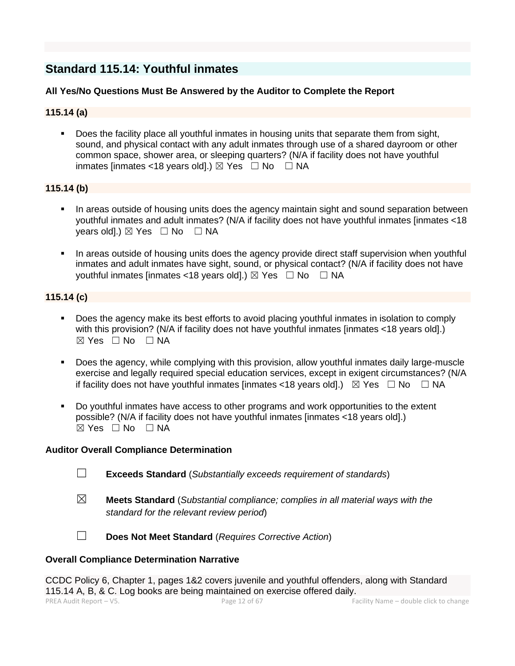# **Standard 115.14: Youthful inmates**

# **All Yes/No Questions Must Be Answered by the Auditor to Complete the Report**

# **115.14 (a)**

■ Does the facility place all youthful inmates in housing units that separate them from sight, sound, and physical contact with any adult inmates through use of a shared dayroom or other common space, shower area, or sleeping quarters? (N/A if facility does not have youthful inmates [inmates <18 years old].)  $\boxtimes$  Yes  $\Box$  No  $\Box$  NA

# **115.14 (b)**

- In areas outside of housing units does the agency maintain sight and sound separation between youthful inmates and adult inmates? (N/A if facility does not have youthful inmates [inmates <18 years old].)  $\boxtimes$  Yes  $\Box$  No  $\Box$  NA
- **•** In areas outside of housing units does the agency provide direct staff supervision when youthful inmates and adult inmates have sight, sound, or physical contact? (N/A if facility does not have youthful inmates [inmates <18 years old].)  $\boxtimes$  Yes  $\Box$  No  $\Box$  NA

# **115.14 (c)**

- Does the agency make its best efforts to avoid placing youthful inmates in isolation to comply with this provision? (N/A if facility does not have youthful inmates [inmates <18 years old].)  $\boxtimes$  Yes  $\Box$  No  $\Box$  NA
- Does the agency, while complying with this provision, allow youthful inmates daily large-muscle exercise and legally required special education services, except in exigent circumstances? (N/A if facility does not have youthful inmates [inmates <18 years old].)  $\boxtimes$  Yes  $\Box$  No  $\Box$  NA
- Do youthful inmates have access to other programs and work opportunities to the extent possible? (N/A if facility does not have youthful inmates [inmates <18 years old].)  $\boxtimes$  Yes  $\Box$  No  $\Box$  NA

# **Auditor Overall Compliance Determination**

- ☐ **Exceeds Standard** (*Substantially exceeds requirement of standards*)
- ☒ **Meets Standard** (*Substantial compliance; complies in all material ways with the standard for the relevant review period*)
- ☐ **Does Not Meet Standard** (*Requires Corrective Action*)

# **Overall Compliance Determination Narrative**

PREA Audit Report – V5. Page 12 of 67 Facility Name – double click to change CCDC Policy 6, Chapter 1, pages 1&2 covers juvenile and youthful offenders, along with Standard 115.14 A, B, & C. Log books are being maintained on exercise offered daily.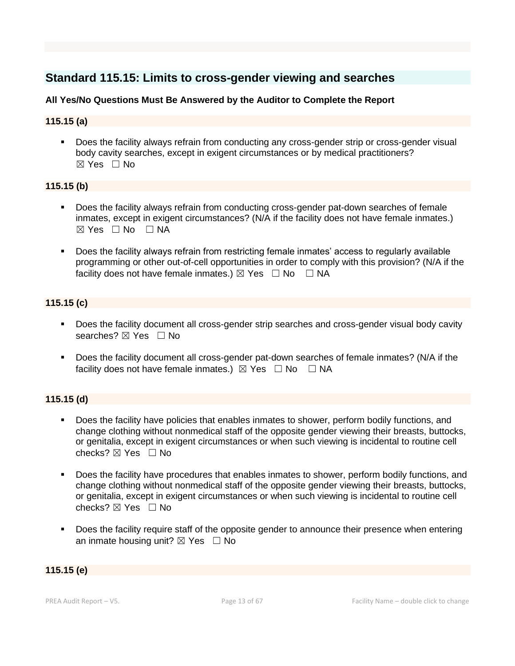# **Standard 115.15: Limits to cross-gender viewing and searches**

# **All Yes/No Questions Must Be Answered by the Auditor to Complete the Report**

# **115.15 (a)**

■ Does the facility always refrain from conducting any cross-gender strip or cross-gender visual body cavity searches, except in exigent circumstances or by medical practitioners?  $\boxtimes$  Yes  $\Box$  No

# **115.15 (b)**

- Does the facility always refrain from conducting cross-gender pat-down searches of female inmates, except in exigent circumstances? (N/A if the facility does not have female inmates.)  $\boxtimes$  Yes  $\Box$  No  $\Box$  NA
- Does the facility always refrain from restricting female inmates' access to regularly available programming or other out-of-cell opportunities in order to comply with this provision? (N/A if the facility does not have female inmates.)  $\boxtimes$  Yes  $\Box$  No  $\Box$  NA

# **115.15 (c)**

- Does the facility document all cross-gender strip searches and cross-gender visual body cavity searches? ⊠ Yes □ No
- Does the facility document all cross-gender pat-down searches of female inmates? (N/A if the facility does not have female inmates.)  $\boxtimes$  Yes  $\Box$  No  $\Box$  NA

#### **115.15 (d)**

- Does the facility have policies that enables inmates to shower, perform bodily functions, and change clothing without nonmedical staff of the opposite gender viewing their breasts, buttocks, or genitalia, except in exigent circumstances or when such viewing is incidental to routine cell checks? ☒ Yes ☐ No
- Does the facility have procedures that enables inmates to shower, perform bodily functions, and change clothing without nonmedical staff of the opposite gender viewing their breasts, buttocks, or genitalia, except in exigent circumstances or when such viewing is incidental to routine cell checks?  $\boxtimes$  Yes  $\Box$  No
- Does the facility require staff of the opposite gender to announce their presence when entering an inmate housing unit?  $\boxtimes$  Yes  $\Box$  No

# **115.15 (e)**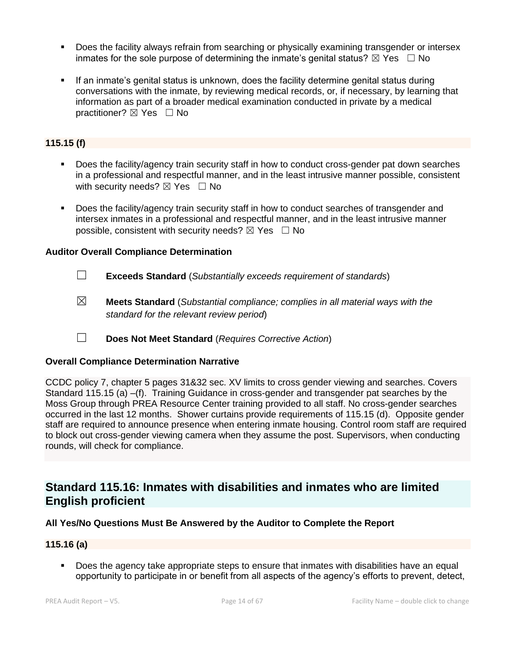- Does the facility always refrain from searching or physically examining transgender or intersex inmates for the sole purpose of determining the inmate's genital status?  $\boxtimes$  Yes  $\Box$  No
- If an inmate's genital status is unknown, does the facility determine genital status during conversations with the inmate, by reviewing medical records, or, if necessary, by learning that information as part of a broader medical examination conducted in private by a medical practitioner? ⊠ Yes □ No

# **115.15 (f)**

- Does the facility/agency train security staff in how to conduct cross-gender pat down searches in a professional and respectful manner, and in the least intrusive manner possible, consistent with security needs?  $\boxtimes$  Yes  $\Box$  No
- **•** Does the facility/agency train security staff in how to conduct searches of transgender and intersex inmates in a professional and respectful manner, and in the least intrusive manner possible, consistent with security needs?  $\boxtimes$  Yes  $\Box$  No

# **Auditor Overall Compliance Determination**

- ☐ **Exceeds Standard** (*Substantially exceeds requirement of standards*)
- ☒ **Meets Standard** (*Substantial compliance; complies in all material ways with the standard for the relevant review period*)
- ☐ **Does Not Meet Standard** (*Requires Corrective Action*)

# **Overall Compliance Determination Narrative**

CCDC policy 7, chapter 5 pages 31&32 sec. XV limits to cross gender viewing and searches. Covers Standard 115.15 (a) –(f). Training Guidance in cross-gender and transgender pat searches by the Moss Group through PREA Resource Center training provided to all staff. No cross-gender searches occurred in the last 12 months. Shower curtains provide requirements of 115.15 (d). Opposite gender staff are required to announce presence when entering inmate housing. Control room staff are required to block out cross-gender viewing camera when they assume the post. Supervisors, when conducting rounds, will check for compliance.

# **Standard 115.16: Inmates with disabilities and inmates who are limited English proficient**

# **All Yes/No Questions Must Be Answered by the Auditor to Complete the Report**

#### **115.16 (a)**

▪ Does the agency take appropriate steps to ensure that inmates with disabilities have an equal opportunity to participate in or benefit from all aspects of the agency's efforts to prevent, detect,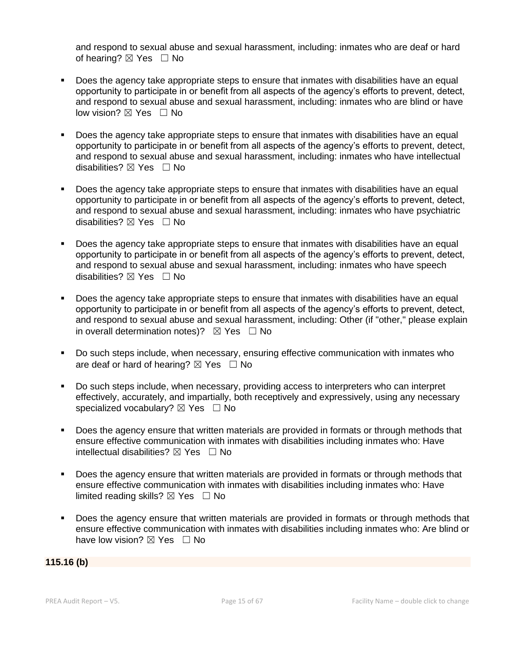and respond to sexual abuse and sexual harassment, including: inmates who are deaf or hard of hearing?  $\boxtimes$  Yes  $\Box$  No

- Does the agency take appropriate steps to ensure that inmates with disabilities have an equal opportunity to participate in or benefit from all aspects of the agency's efforts to prevent, detect, and respond to sexual abuse and sexual harassment, including: inmates who are blind or have low vision?  $\boxtimes$  Yes  $\Box$  No
- Does the agency take appropriate steps to ensure that inmates with disabilities have an equal opportunity to participate in or benefit from all aspects of the agency's efforts to prevent, detect, and respond to sexual abuse and sexual harassment, including: inmates who have intellectual disabilities? ⊠ Yes □ No
- Does the agency take appropriate steps to ensure that inmates with disabilities have an equal opportunity to participate in or benefit from all aspects of the agency's efforts to prevent, detect, and respond to sexual abuse and sexual harassment, including: inmates who have psychiatric disabilities? ⊠ Yes □ No
- Does the agency take appropriate steps to ensure that inmates with disabilities have an equal opportunity to participate in or benefit from all aspects of the agency's efforts to prevent, detect, and respond to sexual abuse and sexual harassment, including: inmates who have speech disabilities? ⊠ Yes □ No
- Does the agency take appropriate steps to ensure that inmates with disabilities have an equal opportunity to participate in or benefit from all aspects of the agency's efforts to prevent, detect, and respond to sexual abuse and sexual harassment, including: Other (if "other," please explain in overall determination notes)?  $\boxtimes$  Yes  $\Box$  No
- Do such steps include, when necessary, ensuring effective communication with inmates who are deaf or hard of hearing?  $\boxtimes$  Yes  $\Box$  No
- Do such steps include, when necessary, providing access to interpreters who can interpret effectively, accurately, and impartially, both receptively and expressively, using any necessary specialized vocabulary?  $\boxtimes$  Yes  $\Box$  No
- Does the agency ensure that written materials are provided in formats or through methods that ensure effective communication with inmates with disabilities including inmates who: Have intellectual disabilities?  $\boxtimes$  Yes  $\Box$  No
- Does the agency ensure that written materials are provided in formats or through methods that ensure effective communication with inmates with disabilities including inmates who: Have limited reading skills?  $\boxtimes$  Yes  $\Box$  No
- Does the agency ensure that written materials are provided in formats or through methods that ensure effective communication with inmates with disabilities including inmates who: Are blind or have low vision?  $\boxtimes$  Yes  $\Box$  No

# **115.16 (b)**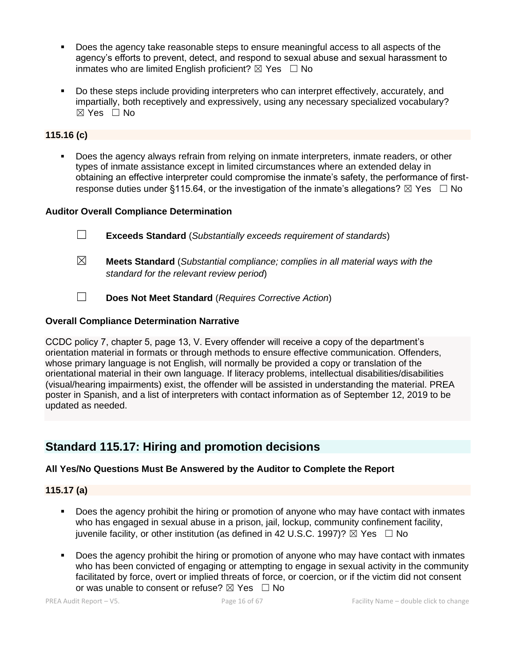- Does the agency take reasonable steps to ensure meaningful access to all aspects of the agency's efforts to prevent, detect, and respond to sexual abuse and sexual harassment to inmates who are limited English proficient?  $\boxtimes$  Yes  $\Box$  No
- Do these steps include providing interpreters who can interpret effectively, accurately, and impartially, both receptively and expressively, using any necessary specialized vocabulary?  $\boxtimes$  Yes  $\Box$  No

### **115.16 (c)**

Does the agency always refrain from relying on inmate interpreters, inmate readers, or other types of inmate assistance except in limited circumstances where an extended delay in obtaining an effective interpreter could compromise the inmate's safety, the performance of firstresponse duties under §115.64, or the investigation of the inmate's allegations?  $\boxtimes$  Yes  $\Box$  No

#### **Auditor Overall Compliance Determination**

| $\perp$     | <b>Exceeds Standard</b> (Substantially exceeds requirement of standards)                                                          |
|-------------|-----------------------------------------------------------------------------------------------------------------------------------|
| $\boxtimes$ | <b>Meets Standard</b> (Substantial compliance; complies in all material ways with the<br>standard for the relevant review period) |

☐ **Does Not Meet Standard** (*Requires Corrective Action*)

# **Overall Compliance Determination Narrative**

CCDC policy 7, chapter 5, page 13, V. Every offender will receive a copy of the department's orientation material in formats or through methods to ensure effective communication. Offenders, whose primary language is not English, will normally be provided a copy or translation of the orientational material in their own language. If literacy problems, intellectual disabilities/disabilities (visual/hearing impairments) exist, the offender will be assisted in understanding the material. PREA poster in Spanish, and a list of interpreters with contact information as of September 12, 2019 to be updated as needed.

# **Standard 115.17: Hiring and promotion decisions**

# **All Yes/No Questions Must Be Answered by the Auditor to Complete the Report**

# **115.17 (a)**

- Does the agency prohibit the hiring or promotion of anyone who may have contact with inmates who has engaged in sexual abuse in a prison, jail, lockup, community confinement facility, juvenile facility, or other institution (as defined in 42 U.S.C. 1997)?  $\boxtimes$  Yes  $\Box$  No
- **•** Does the agency prohibit the hiring or promotion of anyone who may have contact with inmates who has been convicted of engaging or attempting to engage in sexual activity in the community facilitated by force, overt or implied threats of force, or coercion, or if the victim did not consent or was unable to consent or refuse?  $\boxtimes$  Yes  $\Box$  No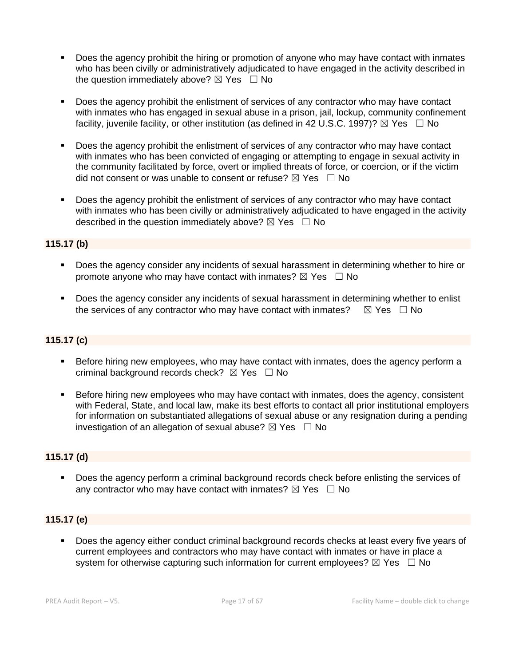- Does the agency prohibit the hiring or promotion of anyone who may have contact with inmates who has been civilly or administratively adjudicated to have engaged in the activity described in the question immediately above?  $\boxtimes$  Yes  $\Box$  No
- Does the agency prohibit the enlistment of services of any contractor who may have contact with inmates who has engaged in sexual abuse in a prison, jail, lockup, community confinement facility, juvenile facility, or other institution (as defined in 42 U.S.C. 1997)?  $\boxtimes$  Yes  $\Box$  No
- Does the agency prohibit the enlistment of services of any contractor who may have contact with inmates who has been convicted of engaging or attempting to engage in sexual activity in the community facilitated by force, overt or implied threats of force, or coercion, or if the victim did not consent or was unable to consent or refuse?  $\boxtimes$  Yes  $\Box$  No
- Does the agency prohibit the enlistment of services of any contractor who may have contact with inmates who has been civilly or administratively adjudicated to have engaged in the activity described in the question immediately above?  $\boxtimes$  Yes  $\Box$  No

# **115.17 (b)**

- Does the agency consider any incidents of sexual harassment in determining whether to hire or promote anyone who may have contact with inmates?  $\boxtimes$  Yes  $\Box$  No
- **Does the agency consider any incidents of sexual harassment in determining whether to enlist** the services of any contractor who may have contact with inmates?  $\boxtimes$  Yes  $\Box$  No

# **115.17 (c)**

- **EXEL Before hiring new employees, who may have contact with inmates, does the agency perform a** criminal background records check?  $\boxtimes$  Yes  $\Box$  No
- **EXEL Before hiring new employees who may have contact with inmates, does the agency, consistent** with Federal, State, and local law, make its best efforts to contact all prior institutional employers for information on substantiated allegations of sexual abuse or any resignation during a pending investigation of an allegation of sexual abuse?  $\boxtimes$  Yes  $\Box$  No

#### **115.17 (d)**

▪ Does the agency perform a criminal background records check before enlisting the services of any contractor who may have contact with inmates?  $\boxtimes$  Yes  $\Box$  No

#### **115.17 (e)**

Does the agency either conduct criminal background records checks at least every five years of current employees and contractors who may have contact with inmates or have in place a system for otherwise capturing such information for current employees?  $\boxtimes$  Yes  $\Box$  No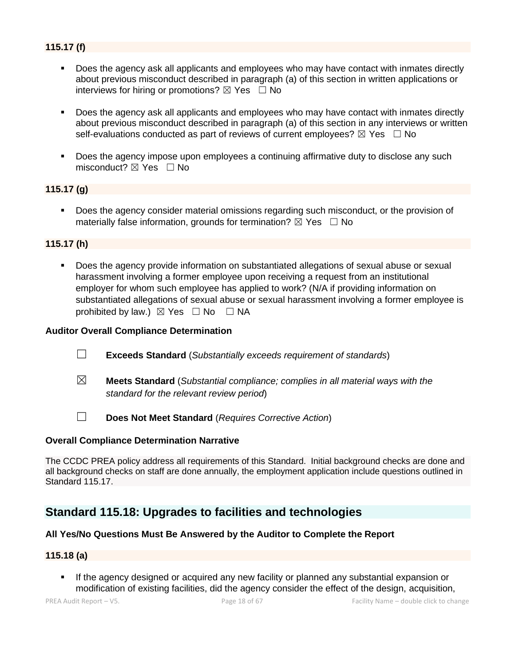# **115.17 (f)**

- Does the agency ask all applicants and employees who may have contact with inmates directly about previous misconduct described in paragraph (a) of this section in written applications or interviews for hiring or promotions?  $\boxtimes$  Yes  $\Box$  No
- Does the agency ask all applicants and employees who may have contact with inmates directly about previous misconduct described in paragraph (a) of this section in any interviews or written self-evaluations conducted as part of reviews of current employees?  $\boxtimes$  Yes  $\Box$  No
- Does the agency impose upon employees a continuing affirmative duty to disclose any such misconduct? ⊠ Yes □ No

#### **115.17 (g)**

▪ Does the agency consider material omissions regarding such misconduct, or the provision of materially false information, grounds for termination?  $\boxtimes$  Yes  $\Box$  No

#### **115.17 (h)**

▪ Does the agency provide information on substantiated allegations of sexual abuse or sexual harassment involving a former employee upon receiving a request from an institutional employer for whom such employee has applied to work? (N/A if providing information on substantiated allegations of sexual abuse or sexual harassment involving a former employee is prohibited by law.)  $\boxtimes$  Yes  $\Box$  No  $\Box$  NA

#### **Auditor Overall Compliance Determination**

- ☐ **Exceeds Standard** (*Substantially exceeds requirement of standards*)
- ☒ **Meets Standard** (*Substantial compliance; complies in all material ways with the standard for the relevant review period*)
- ☐ **Does Not Meet Standard** (*Requires Corrective Action*)

#### **Overall Compliance Determination Narrative**

The CCDC PREA policy address all requirements of this Standard. Initial background checks are done and all background checks on staff are done annually, the employment application include questions outlined in Standard 115.17.

# **Standard 115.18: Upgrades to facilities and technologies**

#### **All Yes/No Questions Must Be Answered by the Auditor to Complete the Report**

# **115.18 (a)**

If the agency designed or acquired any new facility or planned any substantial expansion or modification of existing facilities, did the agency consider the effect of the design, acquisition,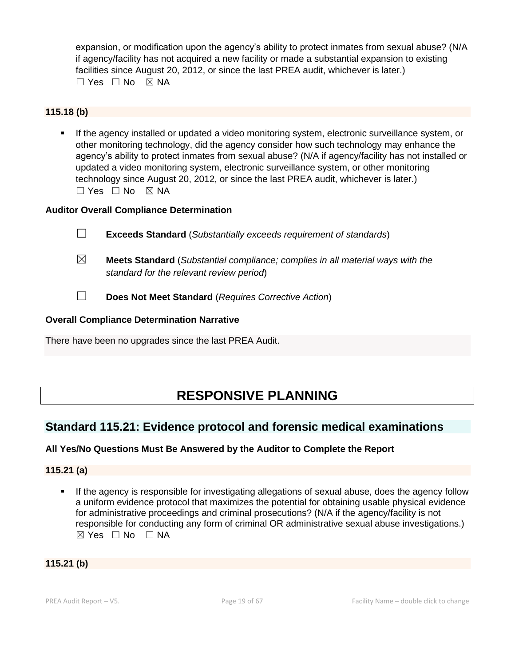expansion, or modification upon the agency's ability to protect inmates from sexual abuse? (N/A if agency/facility has not acquired a new facility or made a substantial expansion to existing facilities since August 20, 2012, or since the last PREA audit, whichever is later.)  $\Box$  Yes  $\Box$  No  $\boxtimes$  NA

# **115.18 (b)**

If the agency installed or updated a video monitoring system, electronic surveillance system, or other monitoring technology, did the agency consider how such technology may enhance the agency's ability to protect inmates from sexual abuse? (N/A if agency/facility has not installed or updated a video monitoring system, electronic surveillance system, or other monitoring technology since August 20, 2012, or since the last PREA audit, whichever is later.) ☐ Yes ☐ No ☒ NA

# **Auditor Overall Compliance Determination**

☐ **Exceeds Standard** (*Substantially exceeds requirement of standards*) ☒ **Meets Standard** (*Substantial compliance; complies in all material ways with the standard for the relevant review period*) ☐ **Does Not Meet Standard** (*Requires Corrective Action*)

# **Overall Compliance Determination Narrative**

There have been no upgrades since the last PREA Audit.

# **RESPONSIVE PLANNING**

# **Standard 115.21: Evidence protocol and forensic medical examinations**

# **All Yes/No Questions Must Be Answered by the Auditor to Complete the Report**

**115.21 (a)**

If the agency is responsible for investigating allegations of sexual abuse, does the agency follow a uniform evidence protocol that maximizes the potential for obtaining usable physical evidence for administrative proceedings and criminal prosecutions? (N/A if the agency/facility is not responsible for conducting any form of criminal OR administrative sexual abuse investigations.)  $\boxtimes$  Yes  $\Box$  No  $\Box$  NA

# **115.21 (b)**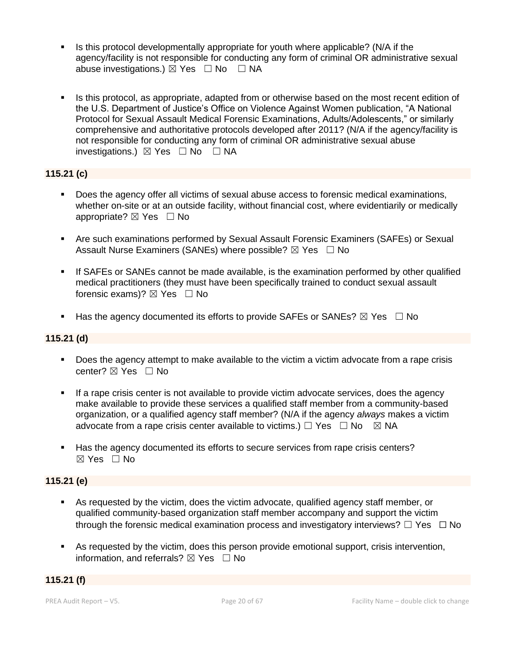- Is this protocol developmentally appropriate for youth where applicable? (N/A if the agency/facility is not responsible for conducting any form of criminal OR administrative sexual abuse investigations.)  $\boxtimes$  Yes  $\Box$  No  $\Box$  NA
- Is this protocol, as appropriate, adapted from or otherwise based on the most recent edition of the U.S. Department of Justice's Office on Violence Against Women publication, "A National Protocol for Sexual Assault Medical Forensic Examinations, Adults/Adolescents," or similarly comprehensive and authoritative protocols developed after 2011? (N/A if the agency/facility is not responsible for conducting any form of criminal OR administrative sexual abuse investigations.)  $\boxtimes$  Yes  $\Box$  No  $\Box$  NA

# **115.21 (c)**

- Does the agency offer all victims of sexual abuse access to forensic medical examinations, whether on-site or at an outside facility, without financial cost, where evidentiarily or medically appropriate?  $\boxtimes$  Yes  $\Box$  No
- **EXECT** Are such examinations performed by Sexual Assault Forensic Examiners (SAFEs) or Sexual Assault Nurse Examiners (SANEs) where possible?  $\boxtimes$  Yes  $\Box$  No
- **.** If SAFEs or SANEs cannot be made available, is the examination performed by other qualified medical practitioners (they must have been specifically trained to conduct sexual assault forensic exams)?  $\boxtimes$  Yes  $\Box$  No
- Has the agency documented its efforts to provide SAFEs or SANEs?  $\boxtimes$  Yes  $\Box$  No

# **115.21 (d)**

- Does the agency attempt to make available to the victim a victim advocate from a rape crisis center? ⊠ Yes □ No
- **EXECT** If a rape crisis center is not available to provide victim advocate services, does the agency make available to provide these services a qualified staff member from a community-based organization, or a qualified agency staff member? (N/A if the agency *always* makes a victim advocate from a rape crisis center available to victims.)  $\Box$  Yes  $\Box$  No  $\boxtimes$  NA
- Has the agency documented its efforts to secure services from rape crisis centers? ☒ Yes ☐ No

# **115.21 (e)**

- As requested by the victim, does the victim advocate, qualified agency staff member, or qualified community-based organization staff member accompany and support the victim through the forensic medical examination process and investigatory interviews?  $\Box$  Yes  $\Box$  No
- As requested by the victim, does this person provide emotional support, crisis intervention, information, and referrals?  $\boxtimes$  Yes  $\Box$  No

# **115.21 (f)**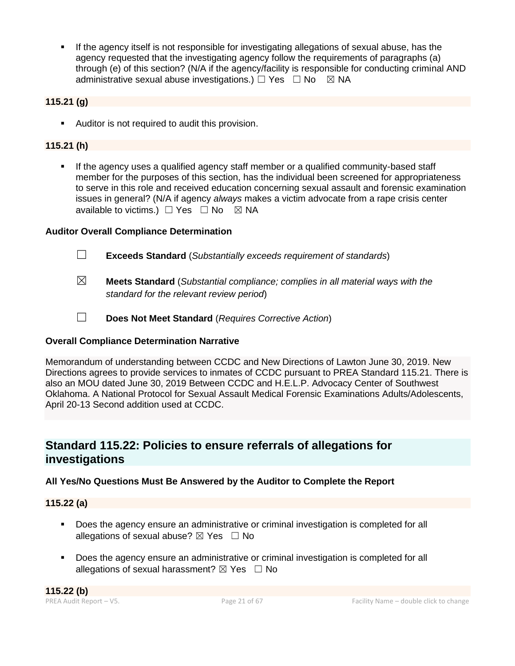**.** If the agency itself is not responsible for investigating allegations of sexual abuse, has the agency requested that the investigating agency follow the requirements of paragraphs (a) through (e) of this section? (N/A if the agency/facility is responsible for conducting criminal AND administrative sexual abuse investigations.)  $\Box$  Yes  $\Box$  No  $\boxtimes$  NA

# **115.21 (g)**

■ Auditor is not required to audit this provision.

# **115.21 (h)**

If the agency uses a qualified agency staff member or a qualified community-based staff member for the purposes of this section, has the individual been screened for appropriateness to serve in this role and received education concerning sexual assault and forensic examination issues in general? (N/A if agency *always* makes a victim advocate from a rape crisis center available to victims.)  $\Box$  Yes  $\Box$  No  $\boxtimes$  NA

# **Auditor Overall Compliance Determination**

- ☐ **Exceeds Standard** (*Substantially exceeds requirement of standards*)
- ☒ **Meets Standard** (*Substantial compliance; complies in all material ways with the standard for the relevant review period*)
- ☐ **Does Not Meet Standard** (*Requires Corrective Action*)

# **Overall Compliance Determination Narrative**

Memorandum of understanding between CCDC and New Directions of Lawton June 30, 2019. New Directions agrees to provide services to inmates of CCDC pursuant to PREA Standard 115.21. There is also an MOU dated June 30, 2019 Between CCDC and H.E.L.P. Advocacy Center of Southwest Oklahoma. A National Protocol for Sexual Assault Medical Forensic Examinations Adults/Adolescents, April 20-13 Second addition used at CCDC.

# **Standard 115.22: Policies to ensure referrals of allegations for investigations**

# **All Yes/No Questions Must Be Answered by the Auditor to Complete the Report**

# **115.22 (a)**

- Does the agency ensure an administrative or criminal investigation is completed for all allegations of sexual abuse?  $\boxtimes$  Yes  $\Box$  No
- Does the agency ensure an administrative or criminal investigation is completed for all allegations of sexual harassment?  $\boxtimes$  Yes  $\Box$  No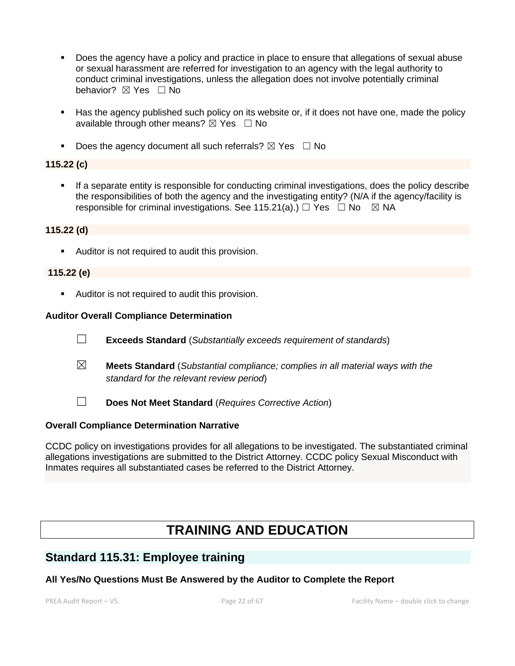- Does the agency have a policy and practice in place to ensure that allegations of sexual abuse or sexual harassment are referred for investigation to an agency with the legal authority to conduct criminal investigations, unless the allegation does not involve potentially criminal behavior? **⊠** Yes □ No
- Has the agency published such policy on its website or, if it does not have one, made the policy available through other means?  $\boxtimes$  Yes  $\Box$  No
- **•** Does the agency document all such referrals?  $\boxtimes$  Yes  $\Box$  No

# **115.22 (c)**

If a separate entity is responsible for conducting criminal investigations, does the policy describe the responsibilities of both the agency and the investigating entity? (N/A if the agency/facility is responsible for criminal investigations. See 115.21(a).)  $\Box$  Yes  $\Box$  No  $\boxtimes$  NA

# **115.22 (d)**

■ Auditor is not required to audit this provision.

#### **115.22 (e)**

■ Auditor is not required to audit this provision.

#### **Auditor Overall Compliance Determination**

- ☐ **Exceeds Standard** (*Substantially exceeds requirement of standards*)
- ☒ **Meets Standard** (*Substantial compliance; complies in all material ways with the standard for the relevant review period*)
	-
- ☐ **Does Not Meet Standard** (*Requires Corrective Action*)

#### **Overall Compliance Determination Narrative**

CCDC policy on investigations provides for all allegations to be investigated. The substantiated criminal allegations investigations are submitted to the District Attorney. CCDC policy Sexual Misconduct with Inmates requires all substantiated cases be referred to the District Attorney.

# **TRAINING AND EDUCATION**

# **Standard 115.31: Employee training**

# **All Yes/No Questions Must Be Answered by the Auditor to Complete the Report**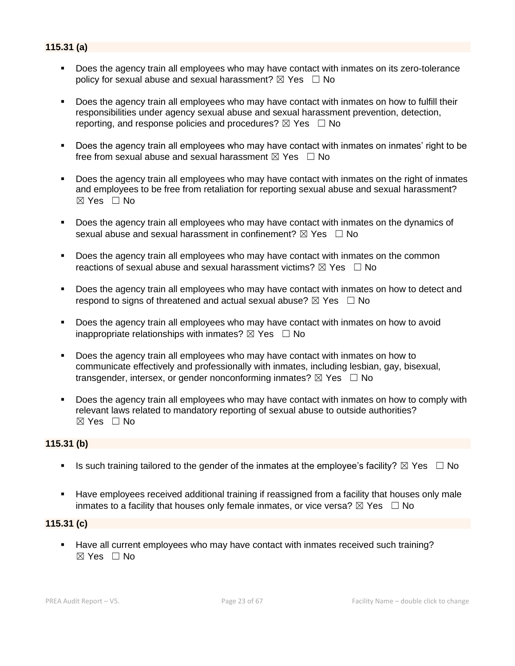# **115.31 (a)**

- Does the agency train all employees who may have contact with inmates on its zero-tolerance policy for sexual abuse and sexual harassment?  $\boxtimes$  Yes  $\Box$  No
- **•** Does the agency train all employees who may have contact with inmates on how to fulfill their responsibilities under agency sexual abuse and sexual harassment prevention, detection, reporting, and response policies and procedures?  $\boxtimes$  Yes  $\Box$  No
- Does the agency train all employees who may have contact with inmates on inmates' right to be free from sexual abuse and sexual harassment  $\boxtimes$  Yes  $\Box$  No
- Does the agency train all employees who may have contact with inmates on the right of inmates and employees to be free from retaliation for reporting sexual abuse and sexual harassment? ☒ Yes ☐ No
- Does the agency train all employees who may have contact with inmates on the dynamics of sexual abuse and sexual harassment in confinement?  $\boxtimes$  Yes  $\Box$  No
- **•** Does the agency train all employees who may have contact with inmates on the common reactions of sexual abuse and sexual harassment victims?  $\boxtimes$  Yes  $\Box$  No
- **Does the agency train all employees who may have contact with inmates on how to detect and** respond to signs of threatened and actual sexual abuse?  $\boxtimes$  Yes  $\Box$  No
- Does the agency train all employees who may have contact with inmates on how to avoid inappropriate relationships with inmates?  $\boxtimes$  Yes  $\Box$  No
- Does the agency train all employees who may have contact with inmates on how to communicate effectively and professionally with inmates, including lesbian, gay, bisexual, transgender, intersex, or gender nonconforming inmates?  $\boxtimes$  Yes  $\Box$  No
- Does the agency train all employees who may have contact with inmates on how to comply with relevant laws related to mandatory reporting of sexual abuse to outside authorities? ☒ Yes ☐ No

# **115.31 (b)**

- **■** Is such training tailored to the gender of the inmates at the employee's facility?  $\boxtimes$  Yes  $\Box$  No
- Have employees received additional training if reassigned from a facility that houses only male inmates to a facility that houses only female inmates, or vice versa?  $\boxtimes$  Yes  $\Box$  No

#### **115.31 (c)**

■ Have all current employees who may have contact with inmates received such training?  $\boxtimes$  Yes  $\Box$  No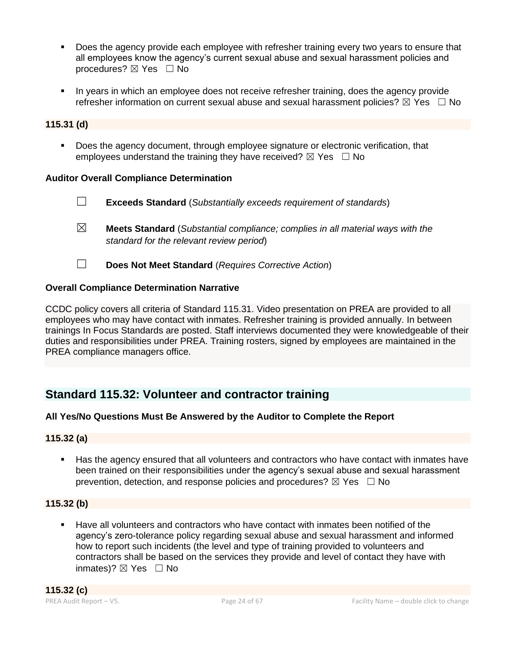- Does the agency provide each employee with refresher training every two years to ensure that all employees know the agency's current sexual abuse and sexual harassment policies and procedures?  $\boxtimes$  Yes  $\Box$  No
- In years in which an employee does not receive refresher training, does the agency provide refresher information on current sexual abuse and sexual harassment policies?  $\boxtimes$  Yes  $\Box$  No

# **115.31 (d)**

▪ Does the agency document, through employee signature or electronic verification, that employees understand the training they have received?  $\boxtimes$  Yes  $\Box$  No

# **Auditor Overall Compliance Determination**

- ☐ **Exceeds Standard** (*Substantially exceeds requirement of standards*)
- ☒ **Meets Standard** (*Substantial compliance; complies in all material ways with the standard for the relevant review period*)
- ☐ **Does Not Meet Standard** (*Requires Corrective Action*)

# **Overall Compliance Determination Narrative**

CCDC policy covers all criteria of Standard 115.31. Video presentation on PREA are provided to all employees who may have contact with inmates. Refresher training is provided annually. In between trainings In Focus Standards are posted. Staff interviews documented they were knowledgeable of their duties and responsibilities under PREA. Training rosters, signed by employees are maintained in the PREA compliance managers office.

# **Standard 115.32: Volunteer and contractor training**

# **All Yes/No Questions Must Be Answered by the Auditor to Complete the Report**

# **115.32 (a)**

Has the agency ensured that all volunteers and contractors who have contact with inmates have been trained on their responsibilities under the agency's sexual abuse and sexual harassment prevention, detection, and response policies and procedures?  $\boxtimes$  Yes  $\Box$  No

# **115.32 (b)**

Have all volunteers and contractors who have contact with inmates been notified of the agency's zero-tolerance policy regarding sexual abuse and sexual harassment and informed how to report such incidents (the level and type of training provided to volunteers and contractors shall be based on the services they provide and level of contact they have with inmates)?  $\boxtimes$  Yes  $\Box$  No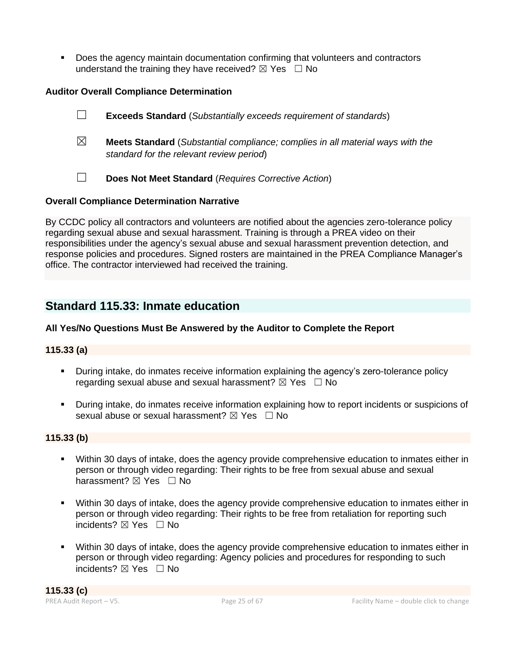Boes the agency maintain documentation confirming that volunteers and contractors understand the training they have received?  $\boxtimes$  Yes  $\Box$  No

# **Auditor Overall Compliance Determination**

|             | <b>Exceeds Standard</b> (Substantially exceeds requirement of standards)                                                          |
|-------------|-----------------------------------------------------------------------------------------------------------------------------------|
| $\boxtimes$ | <b>Meets Standard</b> (Substantial compliance; complies in all material ways with the<br>standard for the relevant review period) |
|             | Does Not Meet Standard (Requires Corrective Action)                                                                               |
|             |                                                                                                                                   |

# **Overall Compliance Determination Narrative**

By CCDC policy all contractors and volunteers are notified about the agencies zero-tolerance policy regarding sexual abuse and sexual harassment. Training is through a PREA video on their responsibilities under the agency's sexual abuse and sexual harassment prevention detection, and response policies and procedures. Signed rosters are maintained in the PREA Compliance Manager's office. The contractor interviewed had received the training.

# **Standard 115.33: Inmate education**

# **All Yes/No Questions Must Be Answered by the Auditor to Complete the Report**

# **115.33 (a)**

- **•** During intake, do inmates receive information explaining the agency's zero-tolerance policy regarding sexual abuse and sexual harassment?  $\boxtimes$  Yes  $\Box$  No
- During intake, do inmates receive information explaining how to report incidents or suspicions of sexual abuse or sexual harassment?  $\boxtimes$  Yes  $\Box$  No

# **115.33 (b)**

- Within 30 days of intake, does the agency provide comprehensive education to inmates either in person or through video regarding: Their rights to be free from sexual abuse and sexual harassment? ⊠ Yes □ No
- Within 30 days of intake, does the agency provide comprehensive education to inmates either in person or through video regarding: Their rights to be free from retaliation for reporting such incidents? ⊠ Yes □ No
- Within 30 days of intake, does the agency provide comprehensive education to inmates either in person or through video regarding: Agency policies and procedures for responding to such incidents? ⊠ Yes □ No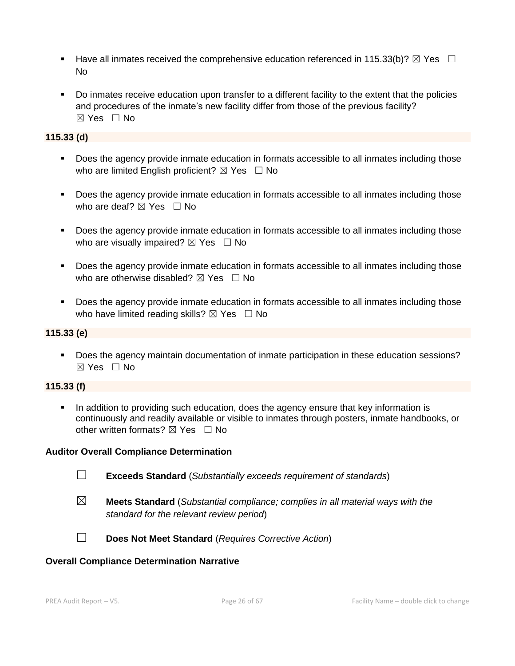- **■** Have all inmates received the comprehensive education referenced in 115.33(b)?  $\boxtimes$  Yes  $\Box$ No
- Do inmates receive education upon transfer to a different facility to the extent that the policies and procedures of the inmate's new facility differ from those of the previous facility? ☒ Yes ☐ No

# **115.33 (d)**

- Does the agency provide inmate education in formats accessible to all inmates including those who are limited English proficient?  $\boxtimes$  Yes  $\Box$  No
- Does the agency provide inmate education in formats accessible to all inmates including those who are deaf?  $\boxtimes$  Yes  $\Box$  No
- Does the agency provide inmate education in formats accessible to all inmates including those who are visually impaired?  $\boxtimes$  Yes  $\Box$  No
- Does the agency provide inmate education in formats accessible to all inmates including those who are otherwise disabled?  $\boxtimes$  Yes  $\Box$  No
- Does the agency provide inmate education in formats accessible to all inmates including those who have limited reading skills?  $\boxtimes$  Yes  $\Box$  No

# **115.33 (e)**

▪ Does the agency maintain documentation of inmate participation in these education sessions?  $\boxtimes$  Yes  $\Box$  No

# **115.33 (f)**

**•** In addition to providing such education, does the agency ensure that key information is continuously and readily available or visible to inmates through posters, inmate handbooks, or other written formats?  $\boxtimes$  Yes  $\Box$  No

# **Auditor Overall Compliance Determination**

- ☐ **Exceeds Standard** (*Substantially exceeds requirement of standards*)
- ☒ **Meets Standard** (*Substantial compliance; complies in all material ways with the standard for the relevant review period*)
- 
- ☐ **Does Not Meet Standard** (*Requires Corrective Action*)

# **Overall Compliance Determination Narrative**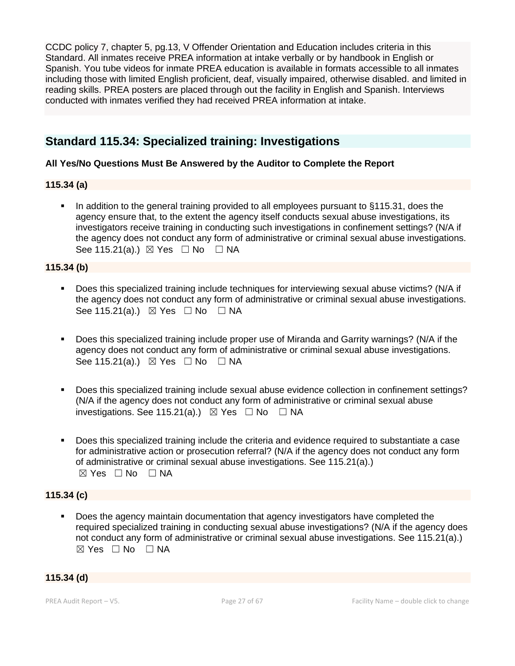CCDC policy 7, chapter 5, pg.13, V Offender Orientation and Education includes criteria in this Standard. All inmates receive PREA information at intake verbally or by handbook in English or Spanish. You tube videos for inmate PREA education is available in formats accessible to all inmates including those with limited English proficient, deaf, visually impaired, otherwise disabled. and limited in reading skills. PREA posters are placed through out the facility in English and Spanish. Interviews conducted with inmates verified they had received PREA information at intake.

# **Standard 115.34: Specialized training: Investigations**

# **All Yes/No Questions Must Be Answered by the Auditor to Complete the Report**

# **115.34 (a)**

■ In addition to the general training provided to all employees pursuant to §115.31, does the agency ensure that, to the extent the agency itself conducts sexual abuse investigations, its investigators receive training in conducting such investigations in confinement settings? (N/A if the agency does not conduct any form of administrative or criminal sexual abuse investigations. See 115.21(a).)  $\boxtimes$  Yes  $\Box$  No  $\Box$  NA

# **115.34 (b)**

- Does this specialized training include techniques for interviewing sexual abuse victims? (N/A if the agency does not conduct any form of administrative or criminal sexual abuse investigations. See 115.21(a).)  $\boxtimes$  Yes  $\Box$  No  $\Box$  NA
- Does this specialized training include proper use of Miranda and Garrity warnings? (N/A if the agency does not conduct any form of administrative or criminal sexual abuse investigations. See 115.21(a).)  $\boxtimes$  Yes  $\Box$  No  $\Box$  NA
- Does this specialized training include sexual abuse evidence collection in confinement settings? (N/A if the agency does not conduct any form of administrative or criminal sexual abuse investigations. See 115.21(a).)  $\boxtimes$  Yes  $\Box$  No  $\Box$  NA
- Does this specialized training include the criteria and evidence required to substantiate a case for administrative action or prosecution referral? (N/A if the agency does not conduct any form of administrative or criminal sexual abuse investigations. See 115.21(a).)  $\boxtimes$  Yes  $\Box$  No  $\Box$  NA

# **115.34 (c)**

**•** Does the agency maintain documentation that agency investigators have completed the required specialized training in conducting sexual abuse investigations? (N/A if the agency does not conduct any form of administrative or criminal sexual abuse investigations. See 115.21(a).)  $\boxtimes$  Yes  $\Box$  No  $\Box$  NA

# **115.34 (d)**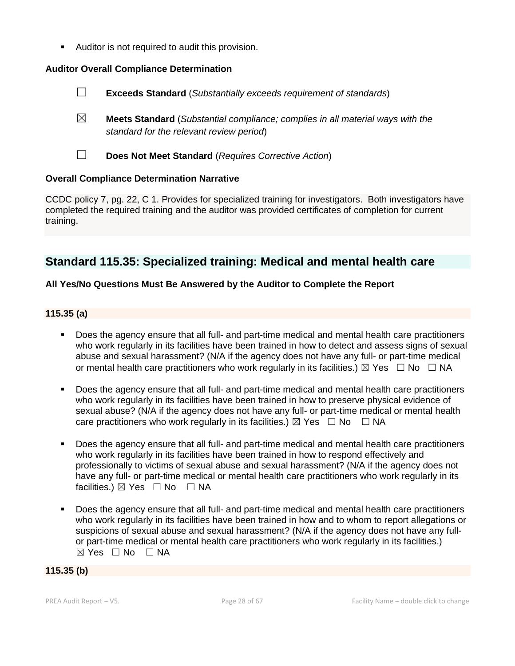■ Auditor is not required to audit this provision.

# **Auditor Overall Compliance Determination**

- ☐ **Exceeds Standard** (*Substantially exceeds requirement of standards*)
- ☒ **Meets Standard** (*Substantial compliance; complies in all material ways with the standard for the relevant review period*)
- ☐ **Does Not Meet Standard** (*Requires Corrective Action*)

# **Overall Compliance Determination Narrative**

CCDC policy 7, pg. 22, C 1. Provides for specialized training for investigators. Both investigators have completed the required training and the auditor was provided certificates of completion for current training.

# **Standard 115.35: Specialized training: Medical and mental health care**

# **All Yes/No Questions Must Be Answered by the Auditor to Complete the Report**

# **115.35 (a)**

- Does the agency ensure that all full- and part-time medical and mental health care practitioners who work regularly in its facilities have been trained in how to detect and assess signs of sexual abuse and sexual harassment? (N/A if the agency does not have any full- or part-time medical or mental health care practitioners who work regularly in its facilities.)  $\boxtimes$  Yes  $\Box$  No  $\Box$  NA
- Does the agency ensure that all full- and part-time medical and mental health care practitioners who work regularly in its facilities have been trained in how to preserve physical evidence of sexual abuse? (N/A if the agency does not have any full- or part-time medical or mental health care practitioners who work regularly in its facilities.)  $\boxtimes$  Yes  $\Box$  No  $\Box$  NA
- Does the agency ensure that all full- and part-time medical and mental health care practitioners who work regularly in its facilities have been trained in how to respond effectively and professionally to victims of sexual abuse and sexual harassment? (N/A if the agency does not have any full- or part-time medical or mental health care practitioners who work regularly in its facilities.) ⊠ Yes □ No □ NA
- Does the agency ensure that all full- and part-time medical and mental health care practitioners who work regularly in its facilities have been trained in how and to whom to report allegations or suspicions of sexual abuse and sexual harassment? (N/A if the agency does not have any fullor part-time medical or mental health care practitioners who work regularly in its facilities.)  $\boxtimes$  Yes  $\Box$  No  $\Box$  NA

### **115.35 (b)**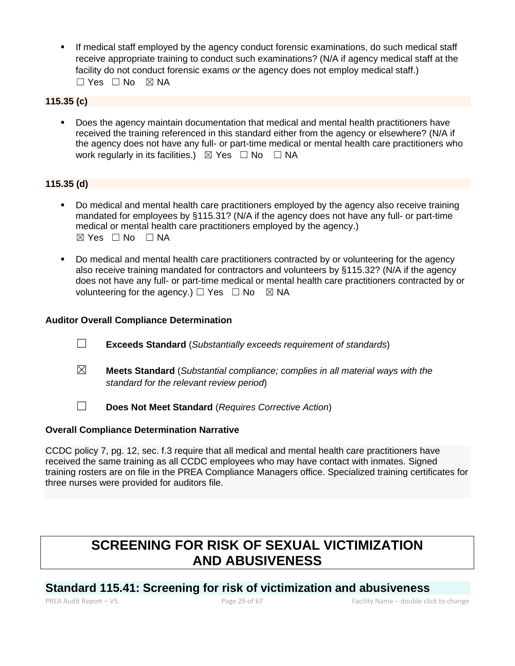**.** If medical staff employed by the agency conduct forensic examinations, do such medical staff receive appropriate training to conduct such examinations? (N/A if agency medical staff at the facility do not conduct forensic exams *or* the agency does not employ medical staff.)  $\Box$  Yes  $\Box$  No  $\boxtimes$  NA

# **115.35 (c)**

Does the agency maintain documentation that medical and mental health practitioners have received the training referenced in this standard either from the agency or elsewhere? (N/A if the agency does not have any full- or part-time medical or mental health care practitioners who work regularly in its facilities.)  $\boxtimes$  Yes  $\Box$  No  $\Box$  NA

# **115.35 (d)**

- Do medical and mental health care practitioners employed by the agency also receive training mandated for employees by §115.31? (N/A if the agency does not have any full- or part-time medical or mental health care practitioners employed by the agency.)  $\boxtimes$  Yes  $\Box$  No  $\Box$  NA
- Do medical and mental health care practitioners contracted by or volunteering for the agency also receive training mandated for contractors and volunteers by §115.32? (N/A if the agency does not have any full- or part-time medical or mental health care practitioners contracted by or volunteering for the agency.)  $\Box$  Yes  $\Box$  No  $\boxtimes$  NA

# **Auditor Overall Compliance Determination**

- ☐ **Exceeds Standard** (*Substantially exceeds requirement of standards*)
- ☒ **Meets Standard** (*Substantial compliance; complies in all material ways with the standard for the relevant review period*)
- ☐ **Does Not Meet Standard** (*Requires Corrective Action*)

# **Overall Compliance Determination Narrative**

CCDC policy 7, pg. 12, sec. f.3 require that all medical and mental health care practitioners have received the same training as all CCDC employees who may have contact with inmates. Signed training rosters are on file in the PREA Compliance Managers office. Specialized training certificates for three nurses were provided for auditors file.

# **SCREENING FOR RISK OF SEXUAL VICTIMIZATION AND ABUSIVENESS**

# **Standard 115.41: Screening for risk of victimization and abusiveness**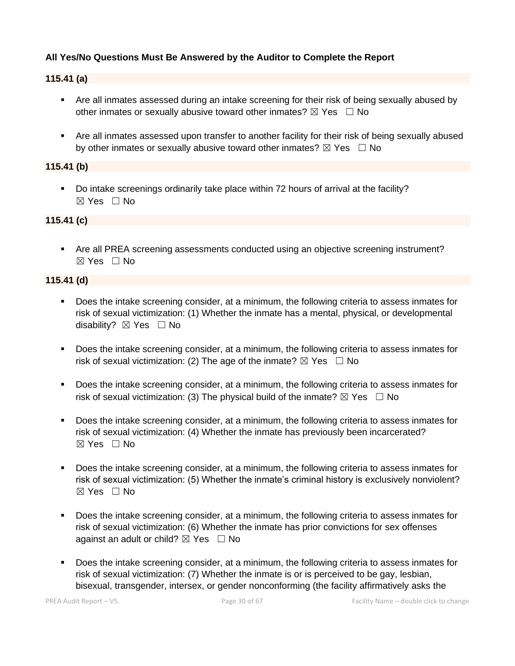# **All Yes/No Questions Must Be Answered by the Auditor to Complete the Report**

### **115.41 (a)**

- Are all inmates assessed during an intake screening for their risk of being sexually abused by other inmates or sexually abusive toward other inmates?  $\boxtimes$  Yes  $\Box$  No
- Are all inmates assessed upon transfer to another facility for their risk of being sexually abused by other inmates or sexually abusive toward other inmates?  $\boxtimes$  Yes  $\Box$  No

# **115.41 (b)**

▪ Do intake screenings ordinarily take place within 72 hours of arrival at the facility?  $\boxtimes$  Yes  $\Box$  No

# **115.41 (c)**

■ Are all PREA screening assessments conducted using an objective screening instrument? ☒ Yes ☐ No

# **115.41 (d)**

- Does the intake screening consider, at a minimum, the following criteria to assess inmates for risk of sexual victimization: (1) Whether the inmate has a mental, physical, or developmental disability?  $\boxtimes$  Yes  $\Box$  No
- Does the intake screening consider, at a minimum, the following criteria to assess inmates for risk of sexual victimization: (2) The age of the inmate?  $\boxtimes$  Yes  $\Box$  No
- Does the intake screening consider, at a minimum, the following criteria to assess inmates for risk of sexual victimization: (3) The physical build of the inmate?  $\boxtimes$  Yes  $\Box$  No
- Does the intake screening consider, at a minimum, the following criteria to assess inmates for risk of sexual victimization: (4) Whether the inmate has previously been incarcerated? ☒ Yes ☐ No
- Does the intake screening consider, at a minimum, the following criteria to assess inmates for risk of sexual victimization: (5) Whether the inmate's criminal history is exclusively nonviolent?  $\boxtimes$  Yes  $\Box$  No
- Does the intake screening consider, at a minimum, the following criteria to assess inmates for risk of sexual victimization: (6) Whether the inmate has prior convictions for sex offenses against an adult or child?  $\boxtimes$  Yes  $\Box$  No
- Does the intake screening consider, at a minimum, the following criteria to assess inmates for risk of sexual victimization: (7) Whether the inmate is or is perceived to be gay, lesbian, bisexual, transgender, intersex, or gender nonconforming (the facility affirmatively asks the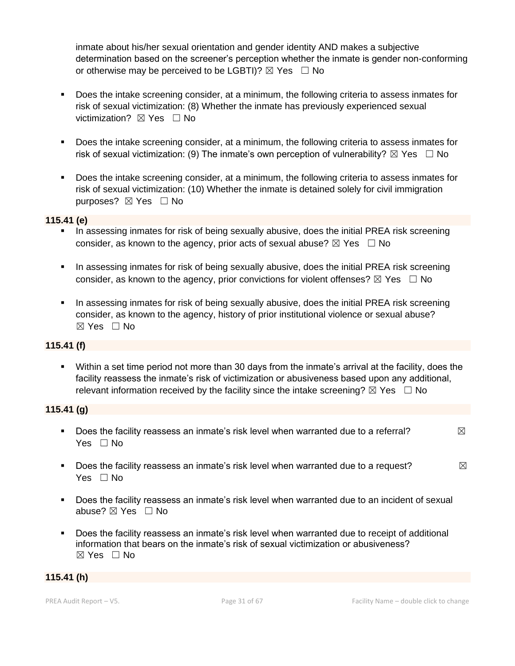inmate about his/her sexual orientation and gender identity AND makes a subjective determination based on the screener's perception whether the inmate is gender non-conforming or otherwise may be perceived to be LGBTI)?  $\boxtimes$  Yes  $\Box$  No

- Does the intake screening consider, at a minimum, the following criteria to assess inmates for risk of sexual victimization: (8) Whether the inmate has previously experienced sexual victimization?  $\boxtimes$  Yes  $\Box$  No
- Does the intake screening consider, at a minimum, the following criteria to assess inmates for risk of sexual victimization: (9) The inmate's own perception of vulnerability?  $\boxtimes$  Yes  $\Box$  No
- Does the intake screening consider, at a minimum, the following criteria to assess inmates for risk of sexual victimization: (10) Whether the inmate is detained solely for civil immigration purposes? ⊠ Yes □ No

#### **115.41 (e)**

- **■** In assessing inmates for risk of being sexually abusive, does the initial PREA risk screening consider, as known to the agency, prior acts of sexual abuse?  $\boxtimes$  Yes  $\Box$  No
- In assessing inmates for risk of being sexually abusive, does the initial PREA risk screening consider, as known to the agency, prior convictions for violent offenses?  $\boxtimes$  Yes  $\Box$  No
- **•** In assessing inmates for risk of being sexually abusive, does the initial PREA risk screening consider, as known to the agency, history of prior institutional violence or sexual abuse? ☒ Yes ☐ No

# **115.41 (f)**

▪ Within a set time period not more than 30 days from the inmate's arrival at the facility, does the facility reassess the inmate's risk of victimization or abusiveness based upon any additional, relevant information received by the facility since the intake screening?  $\boxtimes$  Yes  $\Box$  No

# **115.41 (g)**

- **•** Does the facility reassess an inmate's risk level when warranted due to a referral?  $\boxtimes$ Yes □ No
- **•** Does the facility reassess an inmate's risk level when warranted due to a request?  $\boxtimes$ Yes □ No
- Does the facility reassess an inmate's risk level when warranted due to an incident of sexual abuse? ⊠ Yes □ No
- Does the facility reassess an inmate's risk level when warranted due to receipt of additional information that bears on the inmate's risk of sexual victimization or abusiveness? ☒ Yes ☐ No

#### **115.41 (h)**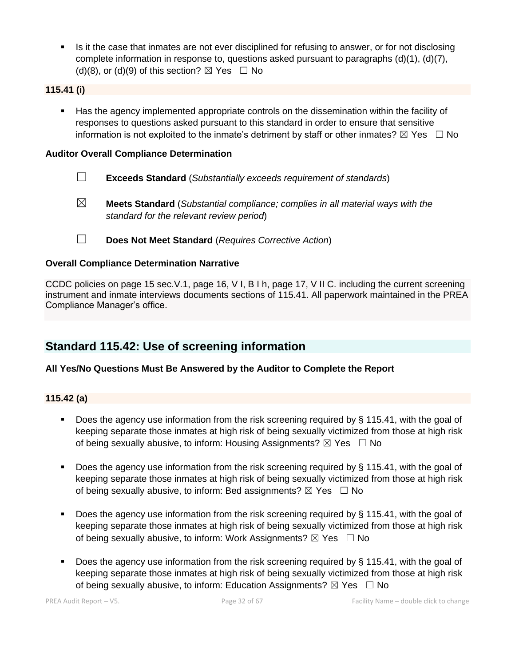**•** Is it the case that inmates are not ever disciplined for refusing to answer, or for not disclosing complete information in response to, questions asked pursuant to paragraphs (d)(1), (d)(7), (d)(8), or (d)(9) of this section?  $\boxtimes$  Yes  $\Box$  No

# **115.41 (i)**

■ Has the agency implemented appropriate controls on the dissemination within the facility of responses to questions asked pursuant to this standard in order to ensure that sensitive information is not exploited to the inmate's detriment by staff or other inmates?  $\boxtimes$  Yes  $\Box$  No

# **Auditor Overall Compliance Determination**

- ☐ **Exceeds Standard** (*Substantially exceeds requirement of standards*)
- ☒ **Meets Standard** (*Substantial compliance; complies in all material ways with the standard for the relevant review period*)
- ☐ **Does Not Meet Standard** (*Requires Corrective Action*)

# **Overall Compliance Determination Narrative**

CCDC policies on page 15 sec.V.1, page 16, V I, B I h, page 17, V II C. including the current screening instrument and inmate interviews documents sections of 115.41. All paperwork maintained in the PREA Compliance Manager's office.

# **Standard 115.42: Use of screening information**

# **All Yes/No Questions Must Be Answered by the Auditor to Complete the Report**

# **115.42 (a)**

- **•** Does the agency use information from the risk screening required by  $\S$  115.41, with the goal of keeping separate those inmates at high risk of being sexually victimized from those at high risk of being sexually abusive, to inform: Housing Assignments?  $\boxtimes$  Yes  $\Box$  No
- Does the agency use information from the risk screening required by § 115.41, with the goal of keeping separate those inmates at high risk of being sexually victimized from those at high risk of being sexually abusive, to inform: Bed assignments?  $\boxtimes$  Yes  $\Box$  No
- Does the agency use information from the risk screening required by  $\S$  115.41, with the goal of keeping separate those inmates at high risk of being sexually victimized from those at high risk of being sexually abusive, to inform: Work Assignments?  $\boxtimes$  Yes  $\Box$  No
- Does the agency use information from the risk screening required by  $\S$  115.41, with the goal of keeping separate those inmates at high risk of being sexually victimized from those at high risk of being sexually abusive, to inform: Education Assignments?  $\boxtimes$  Yes  $\Box$  No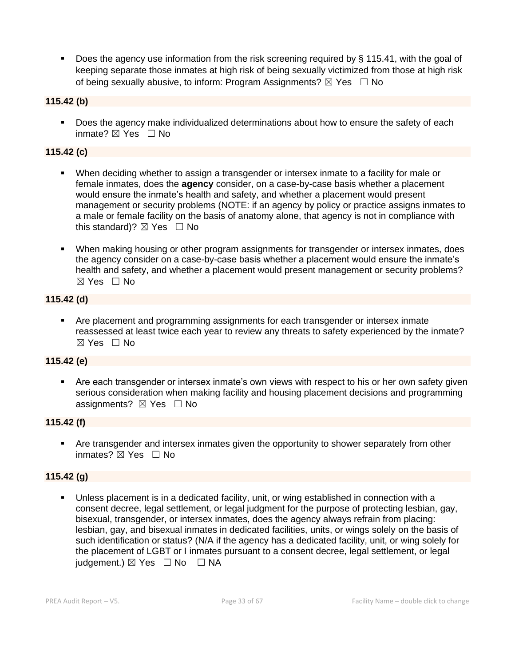Does the agency use information from the risk screening required by § 115.41, with the goal of keeping separate those inmates at high risk of being sexually victimized from those at high risk of being sexually abusive, to inform: Program Assignments?  $\boxtimes$  Yes  $\Box$  No

# **115.42 (b)**

Does the agency make individualized determinations about how to ensure the safety of each inmate? **⊠** Yes □ No

# **115.42 (c)**

- When deciding whether to assign a transgender or intersex inmate to a facility for male or female inmates, does the **agency** consider, on a case-by-case basis whether a placement would ensure the inmate's health and safety, and whether a placement would present management or security problems (NOTE: if an agency by policy or practice assigns inmates to a male or female facility on the basis of anatomy alone, that agency is not in compliance with this standard)?  $\boxtimes$  Yes  $\Box$  No
- When making housing or other program assignments for transgender or intersex inmates, does the agency consider on a case-by-case basis whether a placement would ensure the inmate's health and safety, and whether a placement would present management or security problems? ☒ Yes ☐ No

# **115.42 (d)**

▪ Are placement and programming assignments for each transgender or intersex inmate reassessed at least twice each year to review any threats to safety experienced by the inmate? ☒ Yes ☐ No

# **115.42 (e)**

Are each transgender or intersex inmate's own views with respect to his or her own safety given serious consideration when making facility and housing placement decisions and programming assignments? ⊠ Yes □ No

# **115.42 (f)**

**EXECT** Are transgender and intersex inmates given the opportunity to shower separately from other inmates? ☒ Yes ☐ No

# **115.42 (g)**

Unless placement is in a dedicated facility, unit, or wing established in connection with a consent decree, legal settlement, or legal judgment for the purpose of protecting lesbian, gay, bisexual, transgender, or intersex inmates, does the agency always refrain from placing: lesbian, gay, and bisexual inmates in dedicated facilities, units, or wings solely on the basis of such identification or status? (N/A if the agency has a dedicated facility, unit, or wing solely for the placement of LGBT or I inmates pursuant to a consent decree, legal settlement, or legal judgement.)  $\boxtimes$  Yes  $\Box$  No  $\Box$  NA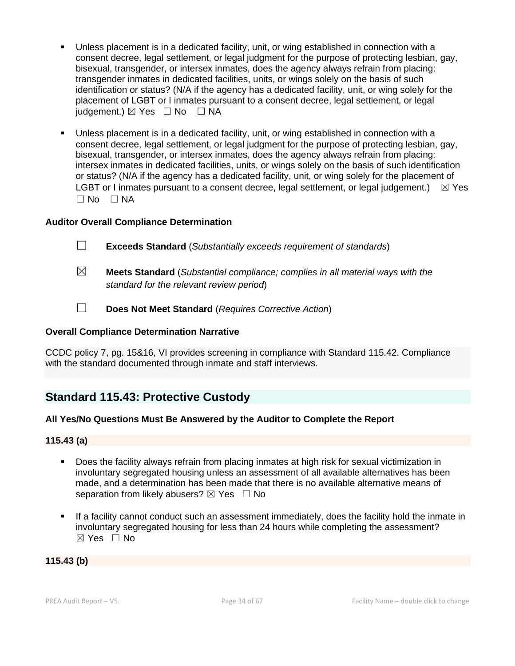- Unless placement is in a dedicated facility, unit, or wing established in connection with a consent decree, legal settlement, or legal judgment for the purpose of protecting lesbian, gay, bisexual, transgender, or intersex inmates, does the agency always refrain from placing: transgender inmates in dedicated facilities, units, or wings solely on the basis of such identification or status? (N/A if the agency has a dedicated facility, unit, or wing solely for the placement of LGBT or I inmates pursuant to a consent decree, legal settlement, or legal judgement.)  $\boxtimes$  Yes  $\Box$  No  $\Box$  NA
- Unless placement is in a dedicated facility, unit, or wing established in connection with a consent decree, legal settlement, or legal judgment for the purpose of protecting lesbian, gay, bisexual, transgender, or intersex inmates, does the agency always refrain from placing: intersex inmates in dedicated facilities, units, or wings solely on the basis of such identification or status? (N/A if the agency has a dedicated facility, unit, or wing solely for the placement of LGBT or I inmates pursuant to a consent decree, legal settlement, or legal judgement.)  $\boxtimes$  Yes  $\square$  No  $\square$  NA

# **Auditor Overall Compliance Determination**

- ☐ **Exceeds Standard** (*Substantially exceeds requirement of standards*)
- ☒ **Meets Standard** (*Substantial compliance; complies in all material ways with the standard for the relevant review period*)
- ☐ **Does Not Meet Standard** (*Requires Corrective Action*)

### **Overall Compliance Determination Narrative**

CCDC policy 7, pg. 15&16, VI provides screening in compliance with Standard 115.42. Compliance with the standard documented through inmate and staff interviews.

# **Standard 115.43: Protective Custody**

# **All Yes/No Questions Must Be Answered by the Auditor to Complete the Report**

#### **115.43 (a)**

- Does the facility always refrain from placing inmates at high risk for sexual victimization in involuntary segregated housing unless an assessment of all available alternatives has been made, and a determination has been made that there is no available alternative means of separation from likely abusers?  $\boxtimes$  Yes  $\Box$  No
- If a facility cannot conduct such an assessment immediately, does the facility hold the inmate in involuntary segregated housing for less than 24 hours while completing the assessment? ☒ Yes ☐ No

#### **115.43 (b)**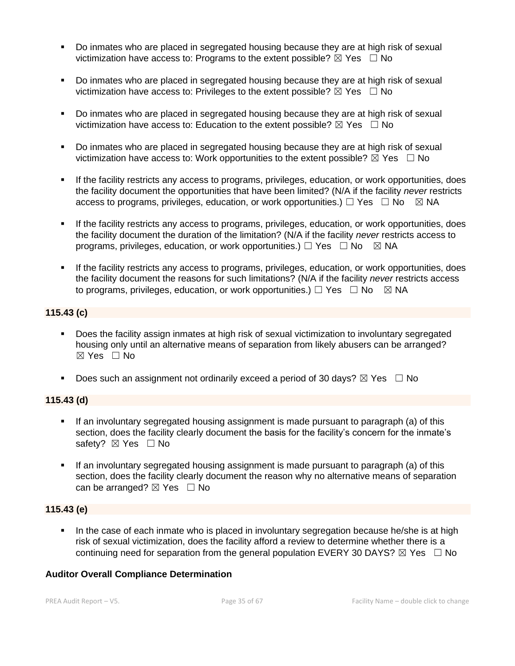- Do inmates who are placed in segregated housing because they are at high risk of sexual victimization have access to: Programs to the extent possible?  $\boxtimes$  Yes  $\Box$  No
- Do inmates who are placed in segregated housing because they are at high risk of sexual victimization have access to: Privileges to the extent possible?  $\boxtimes$  Yes  $\Box$  No
- Do inmates who are placed in segregated housing because they are at high risk of sexual victimization have access to: Education to the extent possible?  $\boxtimes$  Yes  $\Box$  No
- Do inmates who are placed in segregated housing because they are at high risk of sexual victimization have access to: Work opportunities to the extent possible?  $\boxtimes$  Yes  $\Box$  No
- If the facility restricts any access to programs, privileges, education, or work opportunities, does the facility document the opportunities that have been limited? (N/A if the facility *never* restricts access to programs, privileges, education, or work opportunities.)  $\Box$  Yes  $\Box$  No  $\boxtimes$  NA
- If the facility restricts any access to programs, privileges, education, or work opportunities, does the facility document the duration of the limitation? (N/A if the facility *never* restricts access to programs, privileges, education, or work opportunities.)  $\Box$  Yes  $\Box$  No  $\boxtimes$  NA
- **.** If the facility restricts any access to programs, privileges, education, or work opportunities, does the facility document the reasons for such limitations? (N/A if the facility *never* restricts access to programs, privileges, education, or work opportunities.)  $\Box$  Yes  $\Box$  No  $\boxtimes$  NA

# **115.43 (c)**

- Does the facility assign inmates at high risk of sexual victimization to involuntary segregated housing only until an alternative means of separation from likely abusers can be arranged? ☒ Yes ☐ No
- **•** Does such an assignment not ordinarily exceed a period of 30 days?  $\boxtimes$  Yes  $\Box$  No

# **115.43 (d)**

- **.** If an involuntary segregated housing assignment is made pursuant to paragraph (a) of this section, does the facility clearly document the basis for the facility's concern for the inmate's safety? ⊠ Yes □ No
- If an involuntary segregated housing assignment is made pursuant to paragraph (a) of this section, does the facility clearly document the reason why no alternative means of separation can be arranged?  $\boxtimes$  Yes  $\Box$  No

# **115.43 (e)**

In the case of each inmate who is placed in involuntary segregation because he/she is at high risk of sexual victimization, does the facility afford a review to determine whether there is a continuing need for separation from the general population EVERY 30 DAYS?  $\boxtimes$  Yes  $\Box$  No

# **Auditor Overall Compliance Determination**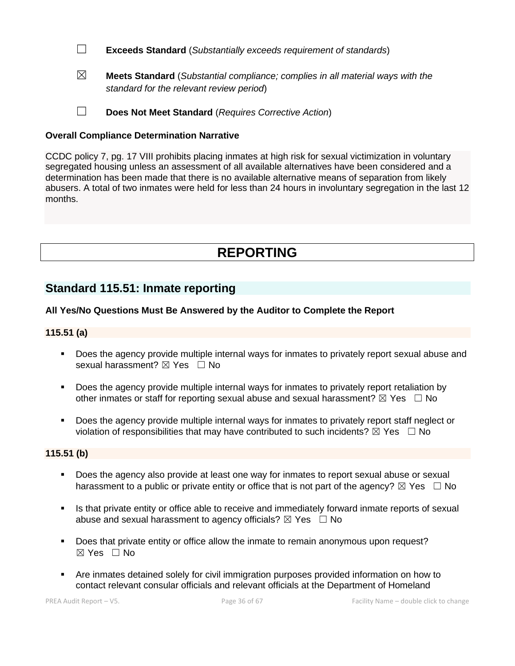- ☐ **Exceeds Standard** (*Substantially exceeds requirement of standards*)
- ☒ **Meets Standard** (*Substantial compliance; complies in all material ways with the standard for the relevant review period*)

☐ **Does Not Meet Standard** (*Requires Corrective Action*)

# **Overall Compliance Determination Narrative**

CCDC policy 7, pg. 17 VIII prohibits placing inmates at high risk for sexual victimization in voluntary segregated housing unless an assessment of all available alternatives have been considered and a determination has been made that there is no available alternative means of separation from likely abusers. A total of two inmates were held for less than 24 hours in involuntary segregation in the last 12 months.

# **REPORTING**

# **Standard 115.51: Inmate reporting**

# **All Yes/No Questions Must Be Answered by the Auditor to Complete the Report**

# **115.51 (a)**

- Does the agency provide multiple internal ways for inmates to privately report sexual abuse and sexual harassment? ⊠ Yes □ No
- Does the agency provide multiple internal ways for inmates to privately report retaliation by other inmates or staff for reporting sexual abuse and sexual harassment?  $\boxtimes$  Yes  $\Box$  No
- Does the agency provide multiple internal ways for inmates to privately report staff neglect or violation of responsibilities that may have contributed to such incidents?  $\boxtimes$  Yes  $\Box$  No

# **115.51 (b)**

- Does the agency also provide at least one way for inmates to report sexual abuse or sexual harassment to a public or private entity or office that is not part of the agency?  $\boxtimes$  Yes  $\Box$  No
- **.** Is that private entity or office able to receive and immediately forward inmate reports of sexual abuse and sexual harassment to agency officials?  $\boxtimes$  Yes  $\Box$  No
- **•** Does that private entity or office allow the inmate to remain anonymous upon request?  $\boxtimes$  Yes  $\Box$  No
- Are inmates detained solely for civil immigration purposes provided information on how to contact relevant consular officials and relevant officials at the Department of Homeland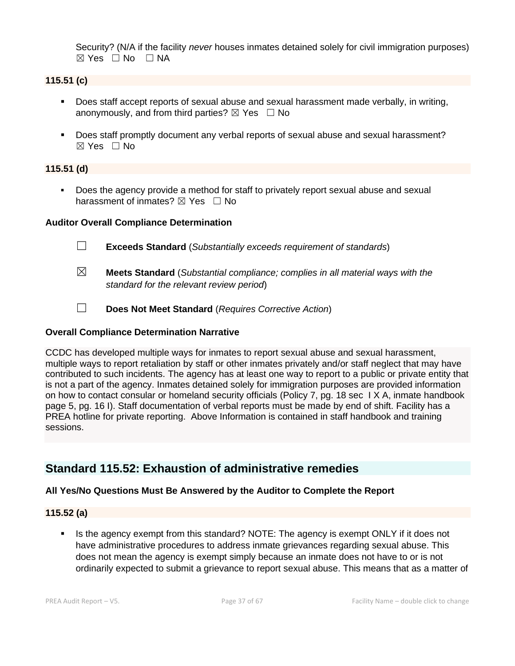Security? (N/A if the facility *never* houses inmates detained solely for civil immigration purposes)  $\boxtimes$  Yes  $\Box$  No  $\Box$  NA

# **115.51 (c)**

- Does staff accept reports of sexual abuse and sexual harassment made verbally, in writing, anonymously, and from third parties?  $\boxtimes$  Yes  $\Box$  No
- Does staff promptly document any verbal reports of sexual abuse and sexual harassment?  $\boxtimes$  Yes  $\Box$  No

# **115.51 (d)**

▪ Does the agency provide a method for staff to privately report sexual abuse and sexual harassment of inmates?  $\boxtimes$  Yes  $\Box$  No

# **Auditor Overall Compliance Determination**

- ☐ **Exceeds Standard** (*Substantially exceeds requirement of standards*)
- ☒ **Meets Standard** (*Substantial compliance; complies in all material ways with the standard for the relevant review period*)
- ☐ **Does Not Meet Standard** (*Requires Corrective Action*)

### **Overall Compliance Determination Narrative**

CCDC has developed multiple ways for inmates to report sexual abuse and sexual harassment, multiple ways to report retaliation by staff or other inmates privately and/or staff neglect that may have contributed to such incidents. The agency has at least one way to report to a public or private entity that is not a part of the agency. Inmates detained solely for immigration purposes are provided information on how to contact consular or homeland security officials (Policy 7, pg. 18 sec I X A, inmate handbook page 5, pg. 16 I). Staff documentation of verbal reports must be made by end of shift. Facility has a PREA hotline for private reporting. Above Information is contained in staff handbook and training sessions.

# **Standard 115.52: Exhaustion of administrative remedies**

# **All Yes/No Questions Must Be Answered by the Auditor to Complete the Report**

# **115.52 (a)**

Is the agency exempt from this standard? NOTE: The agency is exempt ONLY if it does not have administrative procedures to address inmate grievances regarding sexual abuse. This does not mean the agency is exempt simply because an inmate does not have to or is not ordinarily expected to submit a grievance to report sexual abuse. This means that as a matter of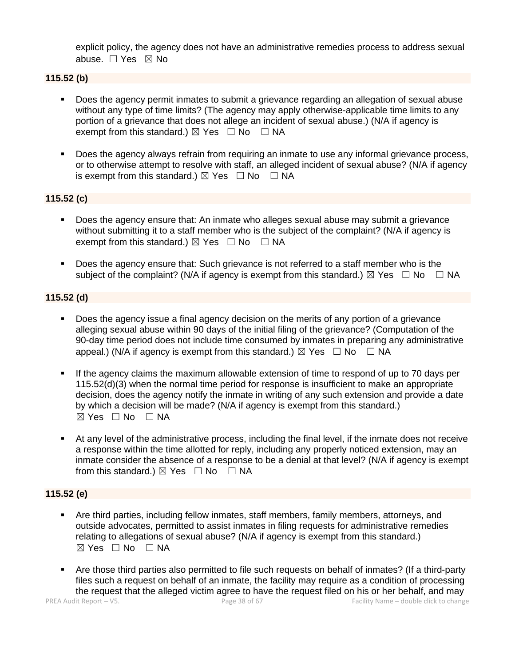explicit policy, the agency does not have an administrative remedies process to address sexual abuse. ☐ Yes ☒ No

# **115.52 (b)**

- Does the agency permit inmates to submit a grievance regarding an allegation of sexual abuse without any type of time limits? (The agency may apply otherwise-applicable time limits to any portion of a grievance that does not allege an incident of sexual abuse.) (N/A if agency is exempt from this standard.)  $\boxtimes$  Yes  $\Box$  No  $\Box$  NA
- Does the agency always refrain from requiring an inmate to use any informal grievance process, or to otherwise attempt to resolve with staff, an alleged incident of sexual abuse? (N/A if agency is exempt from this standard.)  $\boxtimes$  Yes  $\Box$  No  $\Box$  NA

# **115.52 (c)**

- Does the agency ensure that: An inmate who alleges sexual abuse may submit a grievance without submitting it to a staff member who is the subject of the complaint? (N/A if agency is exempt from this standard.)  $\boxtimes$  Yes  $\Box$  No  $\Box$  NA
- Does the agency ensure that: Such grievance is not referred to a staff member who is the subject of the complaint? (N/A if agency is exempt from this standard.)  $\boxtimes$  Yes  $\Box$  No  $\Box$  NA

# **115.52 (d)**

- Does the agency issue a final agency decision on the merits of any portion of a grievance alleging sexual abuse within 90 days of the initial filing of the grievance? (Computation of the 90-day time period does not include time consumed by inmates in preparing any administrative appeal.) (N/A if agency is exempt from this standard.)  $\boxtimes$  Yes  $\Box$  No  $\Box$  NA
- If the agency claims the maximum allowable extension of time to respond of up to 70 days per 115.52(d)(3) when the normal time period for response is insufficient to make an appropriate decision, does the agency notify the inmate in writing of any such extension and provide a date by which a decision will be made? (N/A if agency is exempt from this standard.)  $\boxtimes$  Yes  $\Box$  No  $\Box$  NA
- At any level of the administrative process, including the final level, if the inmate does not receive a response within the time allotted for reply, including any properly noticed extension, may an inmate consider the absence of a response to be a denial at that level? (N/A if agency is exempt from this standard.)  $\boxtimes$  Yes  $\Box$  No  $\Box$  NA

#### **115.52 (e)**

- Are third parties, including fellow inmates, staff members, family members, attorneys, and outside advocates, permitted to assist inmates in filing requests for administrative remedies relating to allegations of sexual abuse? (N/A if agency is exempt from this standard.)  $⊠ Yes ⊡ No ⊡ NA$
- Are those third parties also permitted to file such requests on behalf of inmates? (If a third-party files such a request on behalf of an inmate, the facility may require as a condition of processing the request that the alleged victim agree to have the request filed on his or her behalf, and may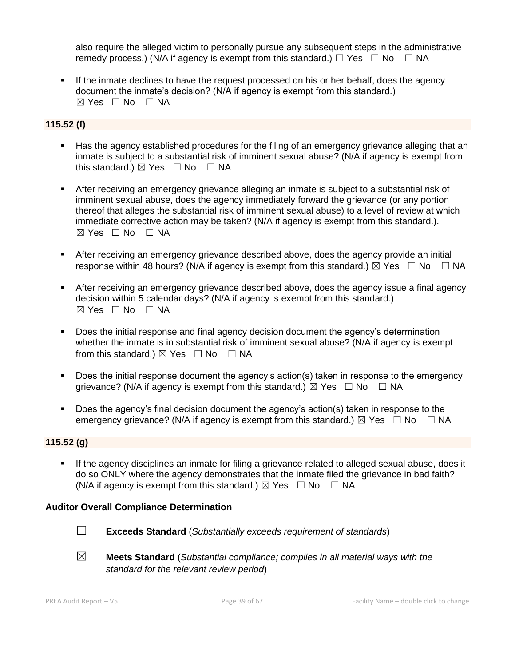also require the alleged victim to personally pursue any subsequent steps in the administrative remedy process.) (N/A if agency is exempt from this standard.)  $\Box$  Yes  $\Box$  No  $\Box$  NA

If the inmate declines to have the request processed on his or her behalf, does the agency document the inmate's decision? (N/A if agency is exempt from this standard.)  $\boxtimes$  Yes  $\Box$  No  $\Box$  NA

# **115.52 (f)**

- Has the agency established procedures for the filing of an emergency grievance alleging that an inmate is subject to a substantial risk of imminent sexual abuse? (N/A if agency is exempt from this standard.)  $\boxtimes$  Yes  $\Box$  No  $\Box$  NA
- **EXECT** After receiving an emergency grievance alleging an inmate is subject to a substantial risk of imminent sexual abuse, does the agency immediately forward the grievance (or any portion thereof that alleges the substantial risk of imminent sexual abuse) to a level of review at which immediate corrective action may be taken? (N/A if agency is exempt from this standard.).  $⊠ Yes ⊡ No ⊡ NA$
- **E** After receiving an emergency grievance described above, does the agency provide an initial response within 48 hours? (N/A if agency is exempt from this standard.)  $\boxtimes$  Yes  $\Box$  No  $\Box$  NA
- **EXECT** After receiving an emergency grievance described above, does the agency issue a final agency decision within 5 calendar days? (N/A if agency is exempt from this standard.) ☒ Yes ☐ No ☐ NA
- Does the initial response and final agency decision document the agency's determination whether the inmate is in substantial risk of imminent sexual abuse? (N/A if agency is exempt from this standard.)  $\boxtimes$  Yes  $\Box$  No  $\Box$  NA
- Does the initial response document the agency's action(s) taken in response to the emergency grievance? (N/A if agency is exempt from this standard.)  $\boxtimes$  Yes  $\Box$  No  $\Box$  NA
- Does the agency's final decision document the agency's action(s) taken in response to the emergency grievance? (N/A if agency is exempt from this standard.)  $\boxtimes$  Yes  $\Box$  No  $\Box$  NA

# **115.52 (g)**

**•** If the agency disciplines an inmate for filing a grievance related to alleged sexual abuse, does it do so ONLY where the agency demonstrates that the inmate filed the grievance in bad faith? (N/A if agency is exempt from this standard.)  $\boxtimes$  Yes  $\Box$  No  $\Box$  NA

#### **Auditor Overall Compliance Determination**



☐ **Exceeds Standard** (*Substantially exceeds requirement of standards*)

☒ **Meets Standard** (*Substantial compliance; complies in all material ways with the standard for the relevant review period*)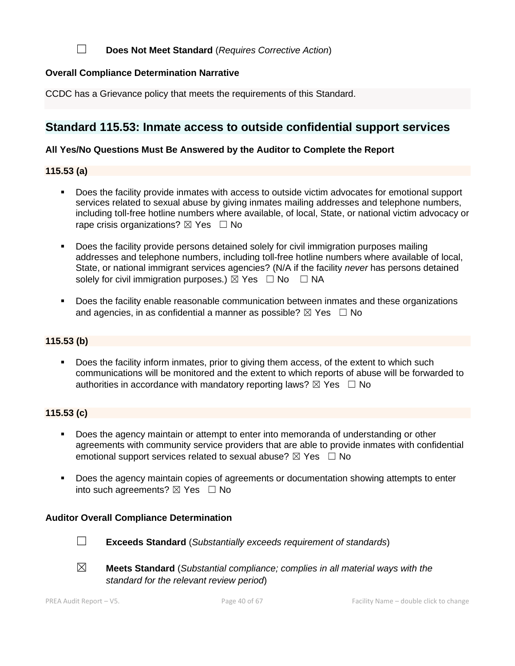# ☐ **Does Not Meet Standard** (*Requires Corrective Action*)

### **Overall Compliance Determination Narrative**

CCDC has a Grievance policy that meets the requirements of this Standard.

# **Standard 115.53: Inmate access to outside confidential support services**

#### **All Yes/No Questions Must Be Answered by the Auditor to Complete the Report**

# **115.53 (a)**

- Does the facility provide inmates with access to outside victim advocates for emotional support services related to sexual abuse by giving inmates mailing addresses and telephone numbers, including toll-free hotline numbers where available, of local, State, or national victim advocacy or rape crisis organizations?  $\boxtimes$  Yes  $\Box$  No
- Does the facility provide persons detained solely for civil immigration purposes mailing addresses and telephone numbers, including toll-free hotline numbers where available of local, State, or national immigrant services agencies? (N/A if the facility *never* has persons detained solely for civil immigration purposes.)  $\boxtimes$  Yes  $\Box$  No  $\Box$  NA
- Does the facility enable reasonable communication between inmates and these organizations and agencies, in as confidential a manner as possible?  $\boxtimes$  Yes  $\Box$  No

# **115.53 (b)**

Does the facility inform inmates, prior to giving them access, of the extent to which such communications will be monitored and the extent to which reports of abuse will be forwarded to authorities in accordance with mandatory reporting laws?  $\boxtimes$  Yes  $\Box$  No

### **115.53 (c)**

- **•** Does the agency maintain or attempt to enter into memoranda of understanding or other agreements with community service providers that are able to provide inmates with confidential emotional support services related to sexual abuse?  $\boxtimes$  Yes  $\Box$  No
- Does the agency maintain copies of agreements or documentation showing attempts to enter into such agreements?  $\boxtimes$  Yes  $\Box$  No

#### **Auditor Overall Compliance Determination**



- ☐ **Exceeds Standard** (*Substantially exceeds requirement of standards*)
- 
- ☒ **Meets Standard** (*Substantial compliance; complies in all material ways with the standard for the relevant review period*)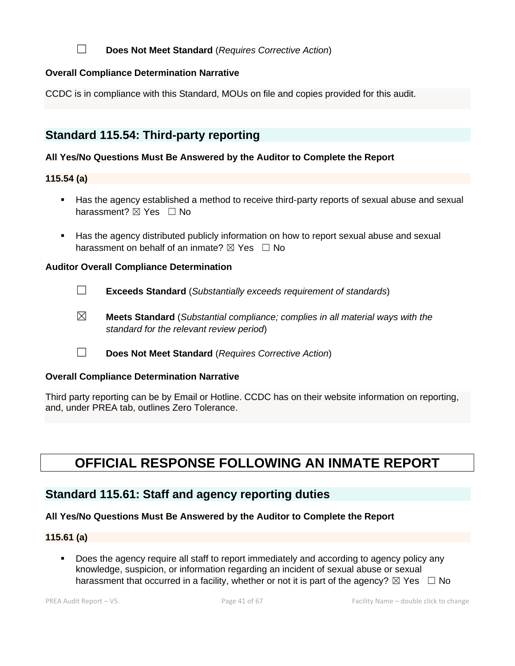# ☐ **Does Not Meet Standard** (*Requires Corrective Action*)

### **Overall Compliance Determination Narrative**

CCDC is in compliance with this Standard, MOUs on file and copies provided for this audit.

# **Standard 115.54: Third-party reporting**

### **All Yes/No Questions Must Be Answered by the Auditor to Complete the Report**

**115.54 (a)**

- Has the agency established a method to receive third-party reports of sexual abuse and sexual harassment?  $\boxtimes$  Yes  $\Box$  No
- Has the agency distributed publicly information on how to report sexual abuse and sexual harassment on behalf of an inmate?  $\boxtimes$  Yes  $\Box$  No

#### **Auditor Overall Compliance Determination**

- ☐ **Exceeds Standard** (*Substantially exceeds requirement of standards*)
- ☒ **Meets Standard** (*Substantial compliance; complies in all material ways with the standard for the relevant review period*)
- ☐ **Does Not Meet Standard** (*Requires Corrective Action*)

#### **Overall Compliance Determination Narrative**

Third party reporting can be by Email or Hotline. CCDC has on their website information on reporting, and, under PREA tab, outlines Zero Tolerance.

# **OFFICIAL RESPONSE FOLLOWING AN INMATE REPORT**

# **Standard 115.61: Staff and agency reporting duties**

# **All Yes/No Questions Must Be Answered by the Auditor to Complete the Report**

#### **115.61 (a)**

▪ Does the agency require all staff to report immediately and according to agency policy any knowledge, suspicion, or information regarding an incident of sexual abuse or sexual harassment that occurred in a facility, whether or not it is part of the agency?  $\boxtimes$  Yes  $\Box$  No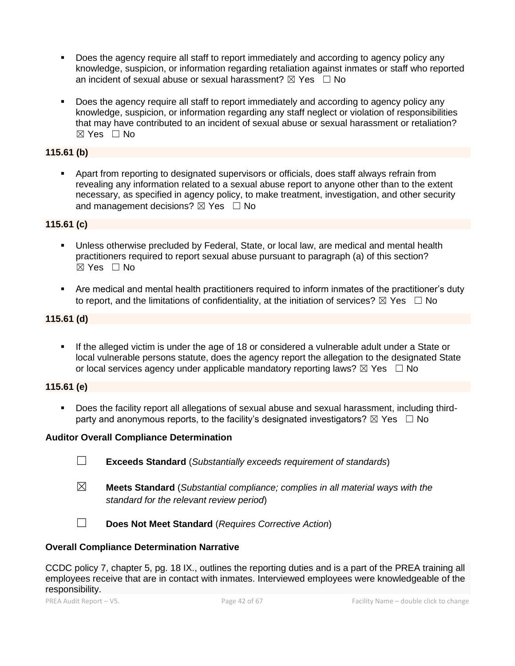- Does the agency require all staff to report immediately and according to agency policy any knowledge, suspicion, or information regarding retaliation against inmates or staff who reported an incident of sexual abuse or sexual harassment?  $\boxtimes$  Yes  $\Box$  No
- Does the agency require all staff to report immediately and according to agency policy any knowledge, suspicion, or information regarding any staff neglect or violation of responsibilities that may have contributed to an incident of sexual abuse or sexual harassment or retaliation? ☒ Yes ☐ No

# **115.61 (b)**

▪ Apart from reporting to designated supervisors or officials, does staff always refrain from revealing any information related to a sexual abuse report to anyone other than to the extent necessary, as specified in agency policy, to make treatment, investigation, and other security and management decisions?  $\boxtimes$  Yes  $\Box$  No

# **115.61 (c)**

- Unless otherwise precluded by Federal, State, or local law, are medical and mental health practitioners required to report sexual abuse pursuant to paragraph (a) of this section?  $\boxtimes$  Yes  $\Box$  No
- Are medical and mental health practitioners required to inform inmates of the practitioner's duty to report, and the limitations of confidentiality, at the initiation of services?  $\boxtimes$  Yes  $\Box$  No

# **115.61 (d)**

**.** If the alleged victim is under the age of 18 or considered a vulnerable adult under a State or local vulnerable persons statute, does the agency report the allegation to the designated State or local services agency under applicable mandatory reporting laws?  $\boxtimes$  Yes  $\Box$  No

# **115.61 (e)**

▪ Does the facility report all allegations of sexual abuse and sexual harassment, including thirdparty and anonymous reports, to the facility's designated investigators?  $\boxtimes$  Yes  $\Box$  No

# **Auditor Overall Compliance Determination**

- ☐ **Exceeds Standard** (*Substantially exceeds requirement of standards*)
- ☒ **Meets Standard** (*Substantial compliance; complies in all material ways with the standard for the relevant review period*)
- ☐ **Does Not Meet Standard** (*Requires Corrective Action*)

#### **Overall Compliance Determination Narrative**

CCDC policy 7, chapter 5, pg. 18 IX., outlines the reporting duties and is a part of the PREA training all employees receive that are in contact with inmates. Interviewed employees were knowledgeable of the responsibility.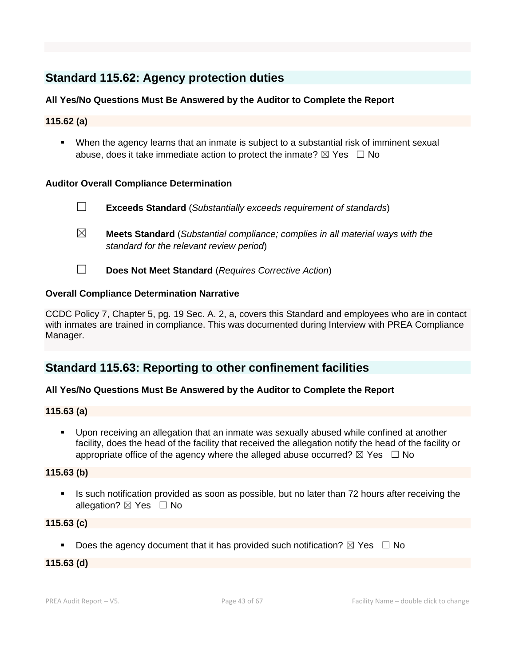# **Standard 115.62: Agency protection duties**

# **All Yes/No Questions Must Be Answered by the Auditor to Complete the Report**

#### **115.62 (a)**

■ When the agency learns that an inmate is subject to a substantial risk of imminent sexual abuse, does it take immediate action to protect the inmate?  $\boxtimes$  Yes  $\Box$  No

#### **Auditor Overall Compliance Determination**

- ☐ **Exceeds Standard** (*Substantially exceeds requirement of standards*)
- ☒ **Meets Standard** (*Substantial compliance; complies in all material ways with the standard for the relevant review period*)
- ☐ **Does Not Meet Standard** (*Requires Corrective Action*)

#### **Overall Compliance Determination Narrative**

CCDC Policy 7, Chapter 5, pg. 19 Sec. A. 2, a, covers this Standard and employees who are in contact with inmates are trained in compliance. This was documented during Interview with PREA Compliance Manager.

# **Standard 115.63: Reporting to other confinement facilities**

#### **All Yes/No Questions Must Be Answered by the Auditor to Complete the Report**

#### **115.63 (a)**

▪ Upon receiving an allegation that an inmate was sexually abused while confined at another facility, does the head of the facility that received the allegation notify the head of the facility or appropriate office of the agency where the alleged abuse occurred?  $\boxtimes$  Yes  $\Box$  No

#### **115.63 (b)**

Is such notification provided as soon as possible, but no later than 72 hours after receiving the allegation?  $\boxtimes$  Yes  $\Box$  No

#### **115.63 (c)**

**•** Does the agency document that it has provided such notification?  $\boxtimes$  Yes  $\Box$  No

#### **115.63 (d)**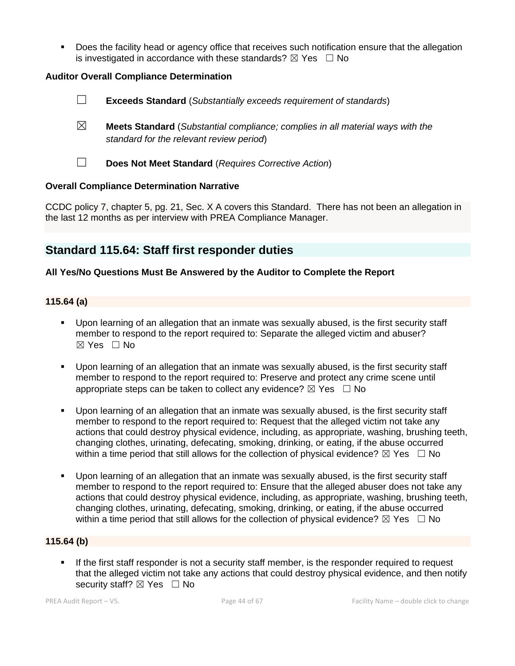■ Does the facility head or agency office that receives such notification ensure that the allegation is investigated in accordance with these standards?  $\boxtimes$  Yes  $\Box$  No

# **Auditor Overall Compliance Determination**



CCDC policy 7, chapter 5, pg. 21, Sec. X A covers this Standard. There has not been an allegation in the last 12 months as per interview with PREA Compliance Manager.

# **Standard 115.64: Staff first responder duties**

# **All Yes/No Questions Must Be Answered by the Auditor to Complete the Report**

# **115.64 (a)**

- Upon learning of an allegation that an inmate was sexually abused, is the first security staff member to respond to the report required to: Separate the alleged victim and abuser?  $\boxtimes$  Yes  $\Box$  No
- Upon learning of an allegation that an inmate was sexually abused, is the first security staff member to respond to the report required to: Preserve and protect any crime scene until appropriate steps can be taken to collect any evidence?  $\boxtimes$  Yes  $\Box$  No
- Upon learning of an allegation that an inmate was sexually abused, is the first security staff member to respond to the report required to: Request that the alleged victim not take any actions that could destroy physical evidence, including, as appropriate, washing, brushing teeth, changing clothes, urinating, defecating, smoking, drinking, or eating, if the abuse occurred within a time period that still allows for the collection of physical evidence?  $\boxtimes$  Yes  $\Box$  No
- Upon learning of an allegation that an inmate was sexually abused, is the first security staff member to respond to the report required to: Ensure that the alleged abuser does not take any actions that could destroy physical evidence, including, as appropriate, washing, brushing teeth, changing clothes, urinating, defecating, smoking, drinking, or eating, if the abuse occurred within a time period that still allows for the collection of physical evidence?  $\boxtimes$  Yes  $\Box$  No

# **115.64 (b)**

If the first staff responder is not a security staff member, is the responder required to request that the alleged victim not take any actions that could destroy physical evidence, and then notify security staff?  $\boxtimes$  Yes  $\Box$  No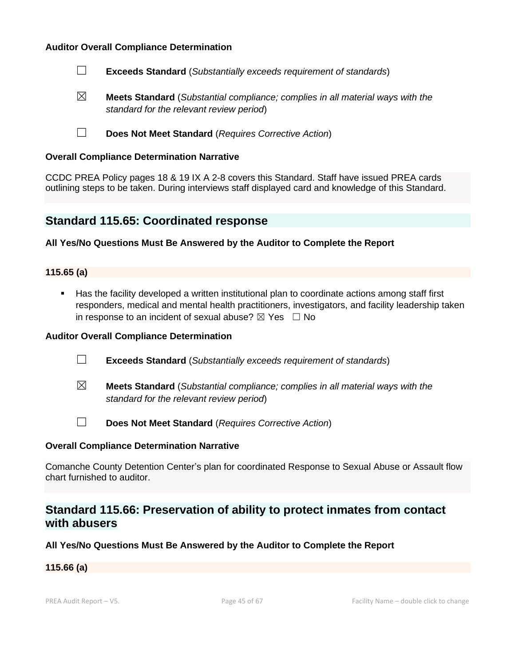#### **Auditor Overall Compliance Determination**

- ☐ **Exceeds Standard** (*Substantially exceeds requirement of standards*)
- ☒ **Meets Standard** (*Substantial compliance; complies in all material ways with the standard for the relevant review period*)
- ☐ **Does Not Meet Standard** (*Requires Corrective Action*)

#### **Overall Compliance Determination Narrative**

CCDC PREA Policy pages 18 & 19 IX A 2-8 covers this Standard. Staff have issued PREA cards outlining steps to be taken. During interviews staff displayed card and knowledge of this Standard.

# **Standard 115.65: Coordinated response**

#### **All Yes/No Questions Must Be Answered by the Auditor to Complete the Report**

### **115.65 (a)**

■ Has the facility developed a written institutional plan to coordinate actions among staff first responders, medical and mental health practitioners, investigators, and facility leadership taken in response to an incident of sexual abuse?  $\boxtimes$  Yes  $\Box$  No

#### **Auditor Overall Compliance Determination**

- ☐ **Exceeds Standard** (*Substantially exceeds requirement of standards*)
- ☒ **Meets Standard** (*Substantial compliance; complies in all material ways with the standard for the relevant review period*)
- ☐ **Does Not Meet Standard** (*Requires Corrective Action*)

#### **Overall Compliance Determination Narrative**

Comanche County Detention Center's plan for coordinated Response to Sexual Abuse or Assault flow chart furnished to auditor.

# **Standard 115.66: Preservation of ability to protect inmates from contact with abusers**

#### **All Yes/No Questions Must Be Answered by the Auditor to Complete the Report**

#### **115.66 (a)**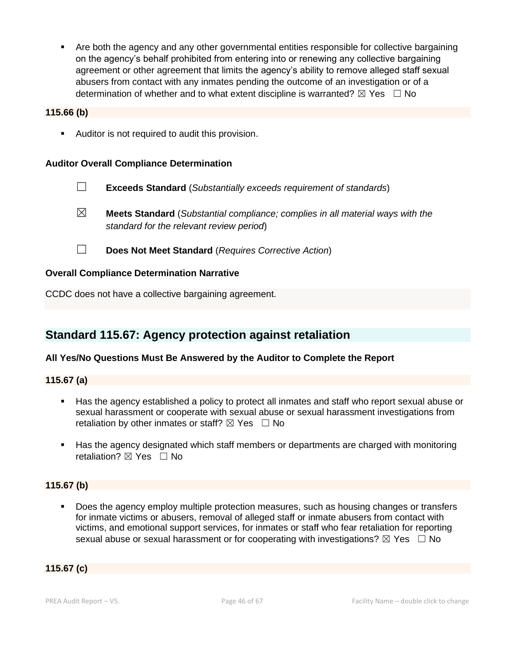■ Are both the agency and any other governmental entities responsible for collective bargaining on the agency's behalf prohibited from entering into or renewing any collective bargaining agreement or other agreement that limits the agency's ability to remove alleged staff sexual abusers from contact with any inmates pending the outcome of an investigation or of a determination of whether and to what extent discipline is warranted?  $\boxtimes$  Yes  $\Box$  No

# **115.66 (b)**

**EXECUTE:** Auditor is not required to audit this provision.

### **Auditor Overall Compliance Determination**

- ☐ **Exceeds Standard** (*Substantially exceeds requirement of standards*)
- ☒ **Meets Standard** (*Substantial compliance; complies in all material ways with the standard for the relevant review period*)
- ☐ **Does Not Meet Standard** (*Requires Corrective Action*)

#### **Overall Compliance Determination Narrative**

CCDC does not have a collective bargaining agreement.

# **Standard 115.67: Agency protection against retaliation**

# **All Yes/No Questions Must Be Answered by the Auditor to Complete the Report**

**115.67 (a)**

- Has the agency established a policy to protect all inmates and staff who report sexual abuse or sexual harassment or cooperate with sexual abuse or sexual harassment investigations from retaliation by other inmates or staff?  $\boxtimes$  Yes  $\Box$  No
- Has the agency designated which staff members or departments are charged with monitoring retaliation?  $\boxtimes$  Yes  $\Box$  No

# **115.67 (b)**

Does the agency employ multiple protection measures, such as housing changes or transfers for inmate victims or abusers, removal of alleged staff or inmate abusers from contact with victims, and emotional support services, for inmates or staff who fear retaliation for reporting sexual abuse or sexual harassment or for cooperating with investigations?  $\boxtimes$  Yes  $\Box$  No

# **115.67 (c)**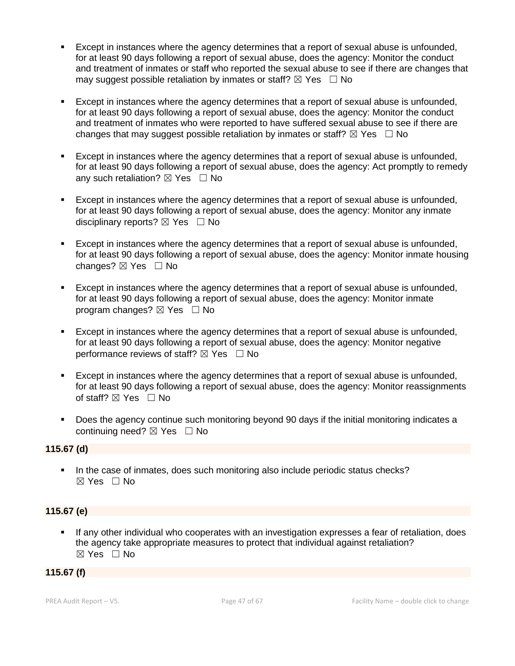- Except in instances where the agency determines that a report of sexual abuse is unfounded, for at least 90 days following a report of sexual abuse, does the agency: Monitor the conduct and treatment of inmates or staff who reported the sexual abuse to see if there are changes that may suggest possible retaliation by inmates or staff?  $\boxtimes$  Yes  $\Box$  No
- Except in instances where the agency determines that a report of sexual abuse is unfounded, for at least 90 days following a report of sexual abuse, does the agency: Monitor the conduct and treatment of inmates who were reported to have suffered sexual abuse to see if there are changes that may suggest possible retaliation by inmates or staff?  $\boxtimes$  Yes  $\Box$  No
- Except in instances where the agency determines that a report of sexual abuse is unfounded, for at least 90 days following a report of sexual abuse, does the agency: Act promptly to remedy any such retaliation?  $\boxtimes$  Yes  $\Box$  No
- Except in instances where the agency determines that a report of sexual abuse is unfounded, for at least 90 days following a report of sexual abuse, does the agency: Monitor any inmate disciplinary reports?  $\boxtimes$  Yes  $\Box$  No
- Except in instances where the agency determines that a report of sexual abuse is unfounded, for at least 90 days following a report of sexual abuse, does the agency: Monitor inmate housing changes?  $\boxtimes$  Yes  $\Box$  No
- Except in instances where the agency determines that a report of sexual abuse is unfounded, for at least 90 days following a report of sexual abuse, does the agency: Monitor inmate program changes?  $\boxtimes$  Yes  $\Box$  No
- Except in instances where the agency determines that a report of sexual abuse is unfounded, for at least 90 days following a report of sexual abuse, does the agency: Monitor negative performance reviews of staff?  $\boxtimes$  Yes  $\Box$  No
- Except in instances where the agency determines that a report of sexual abuse is unfounded, for at least 90 days following a report of sexual abuse, does the agency: Monitor reassignments of staff?  $\boxtimes$  Yes  $\Box$  No
- Does the agency continue such monitoring beyond 90 days if the initial monitoring indicates a continuing need?  $\boxtimes$  Yes  $\Box$  No

# **115.67 (d)**

■ In the case of inmates, does such monitoring also include periodic status checks? ☒ Yes ☐ No

# **115.67 (e)**

If any other individual who cooperates with an investigation expresses a fear of retaliation, does the agency take appropriate measures to protect that individual against retaliation? ☒ Yes ☐ No

### **115.67 (f)**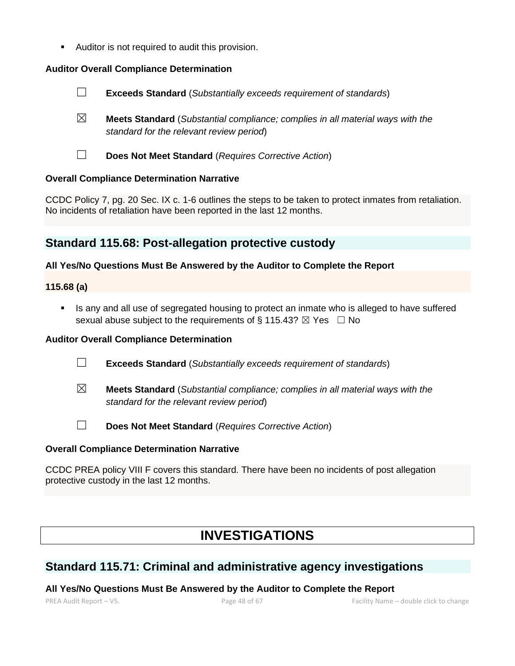■ Auditor is not required to audit this provision.

# **Auditor Overall Compliance Determination**

- ☐ **Exceeds Standard** (*Substantially exceeds requirement of standards*)
- ☒ **Meets Standard** (*Substantial compliance; complies in all material ways with the standard for the relevant review period*)
- ☐ **Does Not Meet Standard** (*Requires Corrective Action*)

# **Overall Compliance Determination Narrative**

CCDC Policy 7, pg. 20 Sec. IX c. 1-6 outlines the steps to be taken to protect inmates from retaliation. No incidents of retaliation have been reported in the last 12 months.

# **Standard 115.68: Post-allegation protective custody**

# **All Yes/No Questions Must Be Answered by the Auditor to Complete the Report**

#### **115.68 (a)**

Is any and all use of segregated housing to protect an inmate who is alleged to have suffered sexual abuse subject to the requirements of § 115.43?  $\boxtimes$  Yes  $\Box$  No

# **Auditor Overall Compliance Determination**

- ☐ **Exceeds Standard** (*Substantially exceeds requirement of standards*)
- ☒ **Meets Standard** (*Substantial compliance; complies in all material ways with the standard for the relevant review period*)
- ☐ **Does Not Meet Standard** (*Requires Corrective Action*)

# **Overall Compliance Determination Narrative**

CCDC PREA policy VIII F covers this standard. There have been no incidents of post allegation protective custody in the last 12 months.

# **INVESTIGATIONS**

# **Standard 115.71: Criminal and administrative agency investigations**

**All Yes/No Questions Must Be Answered by the Auditor to Complete the Report**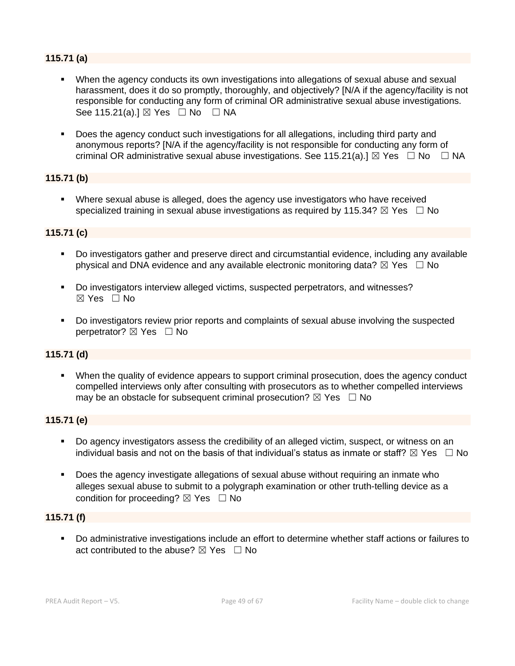# **115.71 (a)**

- When the agency conducts its own investigations into allegations of sexual abuse and sexual harassment, does it do so promptly, thoroughly, and objectively? [N/A if the agency/facility is not responsible for conducting any form of criminal OR administrative sexual abuse investigations. See 115.21(a).]  $\boxtimes$  Yes  $\Box$  No  $\Box$  NA
- Does the agency conduct such investigations for all allegations, including third party and anonymous reports? [N/A if the agency/facility is not responsible for conducting any form of criminal OR administrative sexual abuse investigations. See 115.21(a).]  $\boxtimes$  Yes  $\Box$  No  $\Box$  NA

# **115.71 (b)**

▪ Where sexual abuse is alleged, does the agency use investigators who have received specialized training in sexual abuse investigations as required by 115.34?  $\boxtimes$  Yes  $\Box$  No

# **115.71 (c)**

- Do investigators gather and preserve direct and circumstantial evidence, including any available physical and DNA evidence and any available electronic monitoring data?  $\boxtimes$  Yes  $\Box$  No
- Do investigators interview alleged victims, suspected perpetrators, and witnesses?  $\boxtimes$  Yes  $\Box$  No
- Do investigators review prior reports and complaints of sexual abuse involving the suspected perpetrator?  $\boxtimes$  Yes  $\Box$  No

# **115.71 (d)**

▪ When the quality of evidence appears to support criminal prosecution, does the agency conduct compelled interviews only after consulting with prosecutors as to whether compelled interviews may be an obstacle for subsequent criminal prosecution?  $\boxtimes$  Yes  $\Box$  No

#### **115.71 (e)**

- Do agency investigators assess the credibility of an alleged victim, suspect, or witness on an individual basis and not on the basis of that individual's status as inmate or staff?  $\boxtimes$  Yes  $\;\;\Box$  No
- Does the agency investigate allegations of sexual abuse without requiring an inmate who alleges sexual abuse to submit to a polygraph examination or other truth-telling device as a condition for proceeding?  $\boxtimes$  Yes  $\Box$  No

### **115.71 (f)**

▪ Do administrative investigations include an effort to determine whether staff actions or failures to act contributed to the abuse?  $\boxtimes$  Yes  $\Box$  No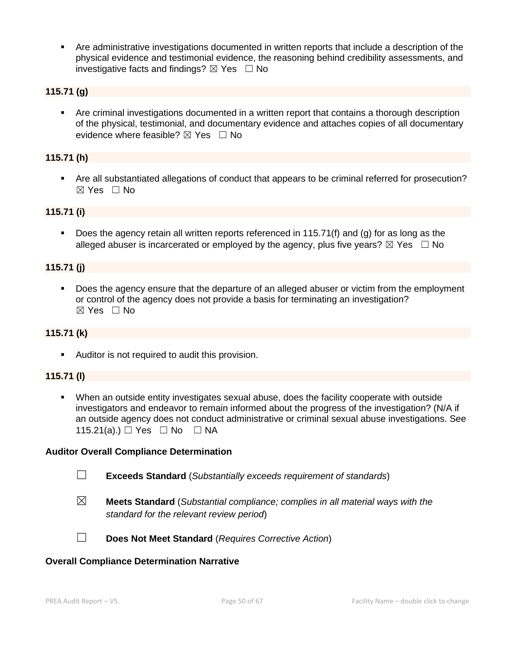Are administrative investigations documented in written reports that include a description of the physical evidence and testimonial evidence, the reasoning behind credibility assessments, and investigative facts and findings?  $\boxtimes$  Yes  $\Box$  No

# **115.71 (g)**

▪ Are criminal investigations documented in a written report that contains a thorough description of the physical, testimonial, and documentary evidence and attaches copies of all documentary evidence where feasible?  $\boxtimes$  Yes  $\Box$  No

#### **115.71 (h)**

■ Are all substantiated allegations of conduct that appears to be criminal referred for prosecution? ☒ Yes ☐ No

#### **115.71 (i)**

Does the agency retain all written reports referenced in 115.71(f) and (g) for as long as the alleged abuser is incarcerated or employed by the agency, plus five years?  $\boxtimes$  Yes  $\Box$  No

#### **115.71 (j)**

Does the agency ensure that the departure of an alleged abuser or victim from the employment or control of the agency does not provide a basis for terminating an investigation? ☒ Yes ☐ No

#### **115.71 (k)**

■ Auditor is not required to audit this provision.

# **115.71 (l)**

When an outside entity investigates sexual abuse, does the facility cooperate with outside investigators and endeavor to remain informed about the progress of the investigation? (N/A if an outside agency does not conduct administrative or criminal sexual abuse investigations. See 115.21(a).) □ Yes □ No □ NA

#### **Auditor Overall Compliance Determination**

- ☐ **Exceeds Standard** (*Substantially exceeds requirement of standards*)
- ☒ **Meets Standard** (*Substantial compliance; complies in all material ways with the standard for the relevant review period*)
- 
- ☐ **Does Not Meet Standard** (*Requires Corrective Action*)

#### **Overall Compliance Determination Narrative**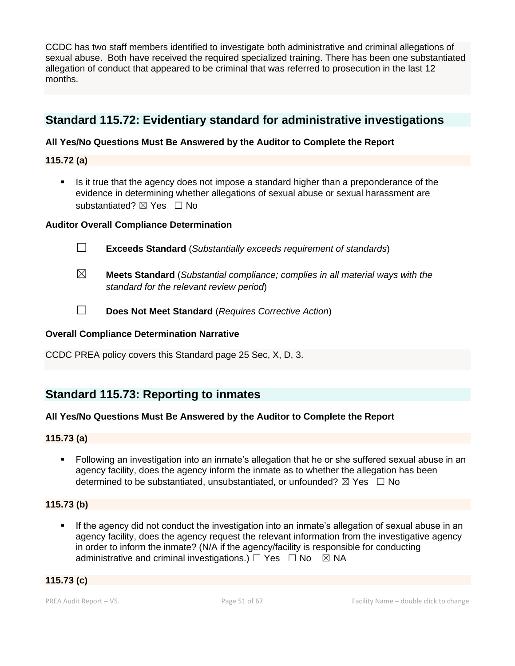CCDC has two staff members identified to investigate both administrative and criminal allegations of sexual abuse. Both have received the required specialized training. There has been one substantiated allegation of conduct that appeared to be criminal that was referred to prosecution in the last 12 months.

# **Standard 115.72: Evidentiary standard for administrative investigations**

# **All Yes/No Questions Must Be Answered by the Auditor to Complete the Report**

**115.72 (a)**

■ Is it true that the agency does not impose a standard higher than a preponderance of the evidence in determining whether allegations of sexual abuse or sexual harassment are substantiated? ⊠ Yes □ No

# **Auditor Overall Compliance Determination**



- ☐ **Exceeds Standard** (*Substantially exceeds requirement of standards*)
- ☒ **Meets Standard** (*Substantial compliance; complies in all material ways with the standard for the relevant review period*)
- ☐ **Does Not Meet Standard** (*Requires Corrective Action*)

#### **Overall Compliance Determination Narrative**

CCDC PREA policy covers this Standard page 25 Sec, X, D, 3.

# **Standard 115.73: Reporting to inmates**

# **All Yes/No Questions Must Be Answered by the Auditor to Complete the Report**

# **115.73 (a)**

▪ Following an investigation into an inmate's allegation that he or she suffered sexual abuse in an agency facility, does the agency inform the inmate as to whether the allegation has been determined to be substantiated, unsubstantiated, or unfounded?  $\boxtimes$  Yes  $\Box$  No

# **115.73 (b)**

If the agency did not conduct the investigation into an inmate's allegation of sexual abuse in an agency facility, does the agency request the relevant information from the investigative agency in order to inform the inmate? (N/A if the agency/facility is responsible for conducting administrative and criminal investigations.)  $\Box$  Yes  $\Box$  No  $\boxtimes$  NA

# **115.73 (c)**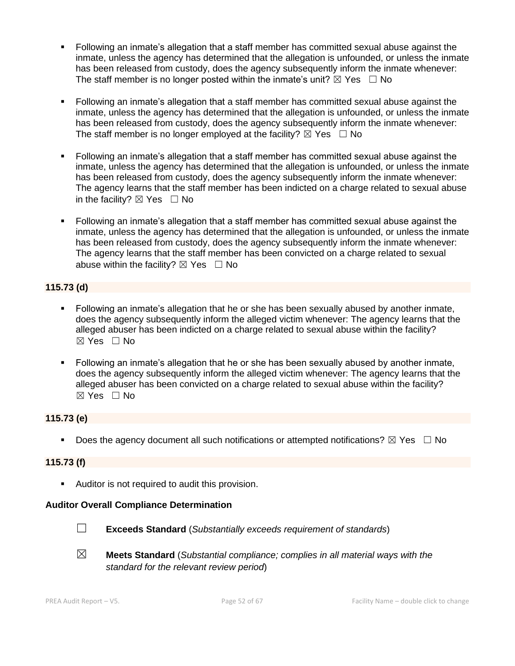- Following an inmate's allegation that a staff member has committed sexual abuse against the inmate, unless the agency has determined that the allegation is unfounded, or unless the inmate has been released from custody, does the agency subsequently inform the inmate whenever: The staff member is no longer posted within the inmate's unit?  $\boxtimes$  Yes  $\Box$  No
- Following an inmate's allegation that a staff member has committed sexual abuse against the inmate, unless the agency has determined that the allegation is unfounded, or unless the inmate has been released from custody, does the agency subsequently inform the inmate whenever: The staff member is no longer employed at the facility?  $\boxtimes$  Yes  $\Box$  No
- Following an inmate's allegation that a staff member has committed sexual abuse against the inmate, unless the agency has determined that the allegation is unfounded, or unless the inmate has been released from custody, does the agency subsequently inform the inmate whenever: The agency learns that the staff member has been indicted on a charge related to sexual abuse in the facility?  $\boxtimes$  Yes  $\Box$  No
- Following an inmate's allegation that a staff member has committed sexual abuse against the inmate, unless the agency has determined that the allegation is unfounded, or unless the inmate has been released from custody, does the agency subsequently inform the inmate whenever: The agency learns that the staff member has been convicted on a charge related to sexual abuse within the facility?  $\boxtimes$  Yes  $\Box$  No

# **115.73 (d)**

- Following an inmate's allegation that he or she has been sexually abused by another inmate, does the agency subsequently inform the alleged victim whenever: The agency learns that the alleged abuser has been indicted on a charge related to sexual abuse within the facility? ☒ Yes ☐ No
- Following an inmate's allegation that he or she has been sexually abused by another inmate, does the agency subsequently inform the alleged victim whenever: The agency learns that the alleged abuser has been convicted on a charge related to sexual abuse within the facility?  $\boxtimes$  Yes  $\Box$  No

# **115.73 (e)**

**•** Does the agency document all such notifications or attempted notifications?  $\boxtimes$  Yes  $\Box$  No

# **115.73 (f)**

■ Auditor is not required to audit this provision.

# **Auditor Overall Compliance Determination**



☐ **Exceeds Standard** (*Substantially exceeds requirement of standards*)

☒ **Meets Standard** (*Substantial compliance; complies in all material ways with the standard for the relevant review period*)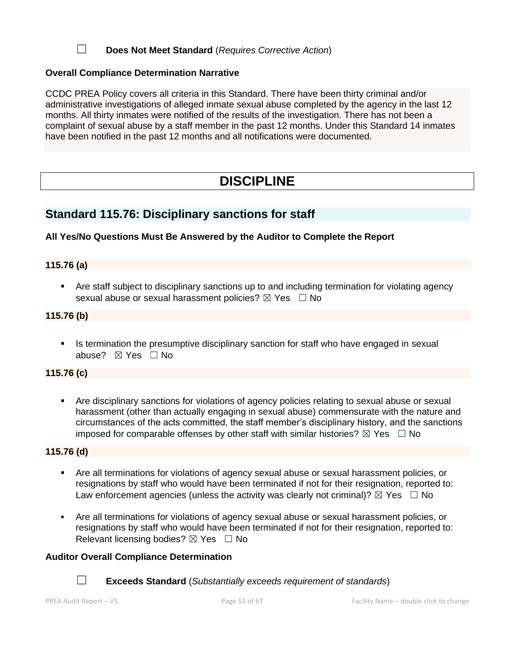# ☐ **Does Not Meet Standard** (*Requires Corrective Action*)

### **Overall Compliance Determination Narrative**

CCDC PREA Policy covers all criteria in this Standard. There have been thirty criminal and/or administrative investigations of alleged inmate sexual abuse completed by the agency in the last 12 months. All thirty inmates were notified of the results of the investigation. There has not been a complaint of sexual abuse by a staff member in the past 12 months. Under this Standard 14 inmates have been notified in the past 12 months and all notifications were documented.

# **DISCIPLINE**

# **Standard 115.76: Disciplinary sanctions for staff**

#### **All Yes/No Questions Must Be Answered by the Auditor to Complete the Report**

#### **115.76 (a)**

■ Are staff subject to disciplinary sanctions up to and including termination for violating agency sexual abuse or sexual harassment policies?  $\boxtimes$  Yes  $\Box$  No

#### **115.76 (b)**

**•** Is termination the presumptive disciplinary sanction for staff who have engaged in sexual abuse? ☒ Yes ☐ No

#### **115.76 (c)**

▪ Are disciplinary sanctions for violations of agency policies relating to sexual abuse or sexual harassment (other than actually engaging in sexual abuse) commensurate with the nature and circumstances of the acts committed, the staff member's disciplinary history, and the sanctions imposed for comparable offenses by other staff with similar histories?  $\boxtimes$  Yes  $\Box$  No

#### **115.76 (d)**

- Are all terminations for violations of agency sexual abuse or sexual harassment policies, or resignations by staff who would have been terminated if not for their resignation, reported to: Law enforcement agencies (unless the activity was clearly not criminal)?  $\boxtimes$  Yes  $\Box$  No
- Are all terminations for violations of agency sexual abuse or sexual harassment policies, or resignations by staff who would have been terminated if not for their resignation, reported to: Relevant licensing bodies?  $\boxtimes$  Yes  $\Box$  No

#### **Auditor Overall Compliance Determination**



☐ **Exceeds Standard** (*Substantially exceeds requirement of standards*)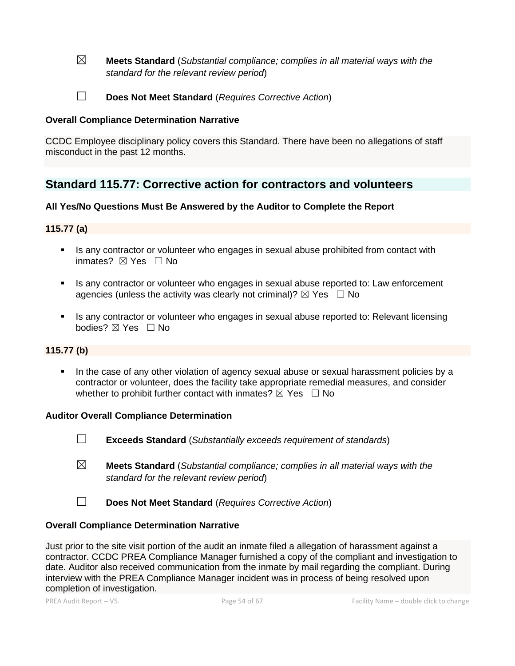☒ **Meets Standard** (*Substantial compliance; complies in all material ways with the standard for the relevant review period*)

☐ **Does Not Meet Standard** (*Requires Corrective Action*)

# **Overall Compliance Determination Narrative**

CCDC Employee disciplinary policy covers this Standard. There have been no allegations of staff misconduct in the past 12 months.

# **Standard 115.77: Corrective action for contractors and volunteers**

# **All Yes/No Questions Must Be Answered by the Auditor to Complete the Report**

# **115.77 (a)**

- **EXECT** Is any contractor or volunteer who engages in sexual abuse prohibited from contact with inmates? **⊠** Yes □ No
- Is any contractor or volunteer who engages in sexual abuse reported to: Law enforcement agencies (unless the activity was clearly not criminal)?  $\boxtimes$  Yes  $\Box$  No
- **EXECT** Is any contractor or volunteer who engages in sexual abuse reported to: Relevant licensing bodies? ⊠ Yes □ No

# **115.77 (b)**

**.** In the case of any other violation of agency sexual abuse or sexual harassment policies by a contractor or volunteer, does the facility take appropriate remedial measures, and consider whether to prohibit further contact with inmates?  $\boxtimes$  Yes  $\Box$  No

# **Auditor Overall Compliance Determination**

- ☐ **Exceeds Standard** (*Substantially exceeds requirement of standards*)
- ☒ **Meets Standard** (*Substantial compliance; complies in all material ways with the standard for the relevant review period*)
- ☐ **Does Not Meet Standard** (*Requires Corrective Action*)

# **Overall Compliance Determination Narrative**

Just prior to the site visit portion of the audit an inmate filed a allegation of harassment against a contractor. CCDC PREA Compliance Manager furnished a copy of the compliant and investigation to date. Auditor also received communication from the inmate by mail regarding the compliant. During interview with the PREA Compliance Manager incident was in process of being resolved upon completion of investigation.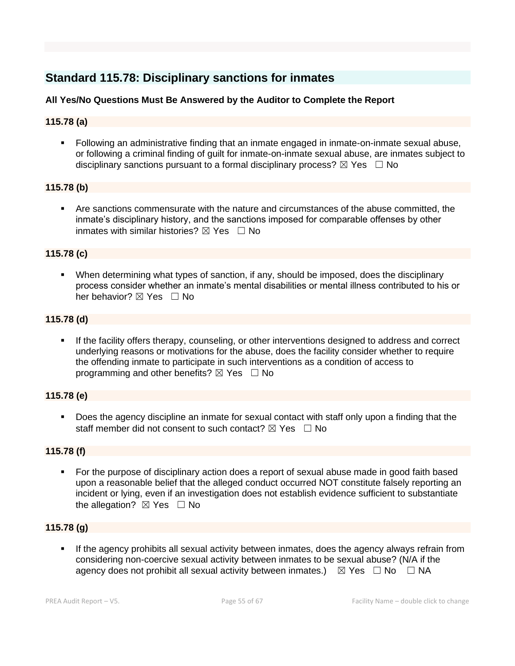# **Standard 115.78: Disciplinary sanctions for inmates**

# **All Yes/No Questions Must Be Answered by the Auditor to Complete the Report**

# **115.78 (a)**

■ Following an administrative finding that an inmate engaged in inmate-on-inmate sexual abuse, or following a criminal finding of guilt for inmate-on-inmate sexual abuse, are inmates subject to disciplinary sanctions pursuant to a formal disciplinary process?  $\boxtimes$  Yes  $\Box$  No

# **115.78 (b)**

▪ Are sanctions commensurate with the nature and circumstances of the abuse committed, the inmate's disciplinary history, and the sanctions imposed for comparable offenses by other inmates with similar histories?  $\nabla$  Yes  $\Box$  No

# **115.78 (c)**

When determining what types of sanction, if any, should be imposed, does the disciplinary process consider whether an inmate's mental disabilities or mental illness contributed to his or her behavior? ⊠ Yes □ No

# **115.78 (d)**

If the facility offers therapy, counseling, or other interventions designed to address and correct underlying reasons or motivations for the abuse, does the facility consider whether to require the offending inmate to participate in such interventions as a condition of access to programming and other benefits?  $\boxtimes$  Yes  $\Box$  No

# **115.78 (e)**

▪ Does the agency discipline an inmate for sexual contact with staff only upon a finding that the staff member did not consent to such contact?  $\boxtimes$  Yes  $\Box$  No

# **115.78 (f)**

■ For the purpose of disciplinary action does a report of sexual abuse made in good faith based upon a reasonable belief that the alleged conduct occurred NOT constitute falsely reporting an incident or lying, even if an investigation does not establish evidence sufficient to substantiate the allegation?  $\boxtimes$  Yes  $\Box$  No

# **115.78 (g)**

If the agency prohibits all sexual activity between inmates, does the agency always refrain from considering non-coercive sexual activity between inmates to be sexual abuse? (N/A if the agency does not prohibit all sexual activity between inmates.)  $\boxtimes$  Yes  $\Box$  No  $\Box$  NA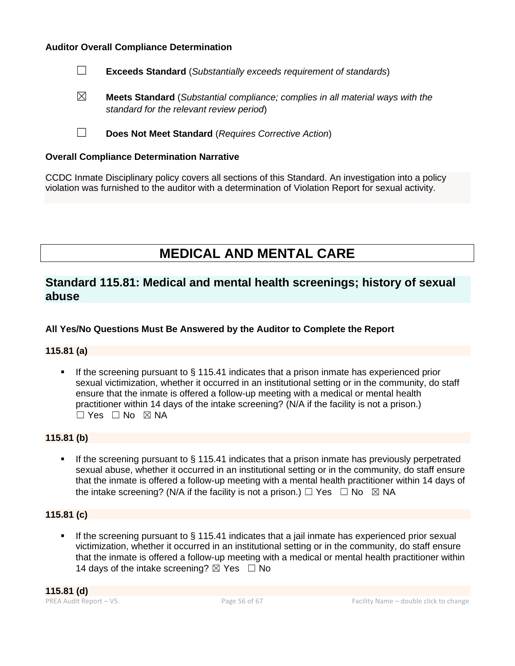#### **Auditor Overall Compliance Determination**

- ☐ **Exceeds Standard** (*Substantially exceeds requirement of standards*)
- ☒ **Meets Standard** (*Substantial compliance; complies in all material ways with the standard for the relevant review period*)
- ☐ **Does Not Meet Standard** (*Requires Corrective Action*)

#### **Overall Compliance Determination Narrative**

CCDC Inmate Disciplinary policy covers all sections of this Standard. An investigation into a policy violation was furnished to the auditor with a determination of Violation Report for sexual activity.

# **MEDICAL AND MENTAL CARE**

# **Standard 115.81: Medical and mental health screenings; history of sexual abuse**

# **All Yes/No Questions Must Be Answered by the Auditor to Complete the Report**

# **115.81 (a)**

**.** If the screening pursuant to  $\S$  115.41 indicates that a prison inmate has experienced prior sexual victimization, whether it occurred in an institutional setting or in the community, do staff ensure that the inmate is offered a follow-up meeting with a medical or mental health practitioner within 14 days of the intake screening? (N/A if the facility is not a prison.)  $\Box$  Yes  $\Box$  No  $\boxtimes$  NA

#### **115.81 (b)**

■ If the screening pursuant to § 115.41 indicates that a prison inmate has previously perpetrated sexual abuse, whether it occurred in an institutional setting or in the community, do staff ensure that the inmate is offered a follow-up meeting with a mental health practitioner within 14 days of the intake screening? (N/A if the facility is not a prison.)  $\Box$  Yes  $\Box$  No  $\boxtimes$  NA

#### **115.81 (c)**

If the screening pursuant to  $\S$  115.41 indicates that a jail inmate has experienced prior sexual victimization, whether it occurred in an institutional setting or in the community, do staff ensure that the inmate is offered a follow-up meeting with a medical or mental health practitioner within 14 days of the intake screening?  $\boxtimes$  Yes  $\Box$  No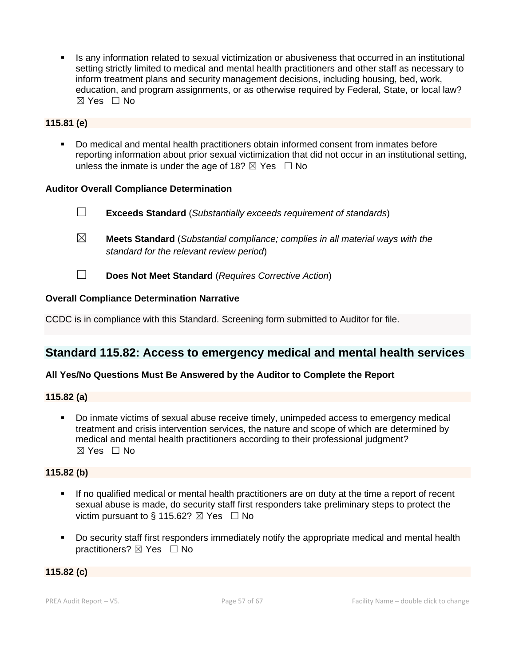Is any information related to sexual victimization or abusiveness that occurred in an institutional setting strictly limited to medical and mental health practitioners and other staff as necessary to inform treatment plans and security management decisions, including housing, bed, work, education, and program assignments, or as otherwise required by Federal, State, or local law?  $\boxtimes$  Yes  $\Box$  No

# **115.81 (e)**

▪ Do medical and mental health practitioners obtain informed consent from inmates before reporting information about prior sexual victimization that did not occur in an institutional setting, unless the inmate is under the age of 18?  $\boxtimes$  Yes  $\Box$  No

#### **Auditor Overall Compliance Determination**

- ☐ **Exceeds Standard** (*Substantially exceeds requirement of standards*)
- ☒ **Meets Standard** (*Substantial compliance; complies in all material ways with the standard for the relevant review period*)
- ☐ **Does Not Meet Standard** (*Requires Corrective Action*)

# **Overall Compliance Determination Narrative**

CCDC is in compliance with this Standard. Screening form submitted to Auditor for file.

# **Standard 115.82: Access to emergency medical and mental health services**

# **All Yes/No Questions Must Be Answered by the Auditor to Complete the Report**

#### **115.82 (a)**

▪ Do inmate victims of sexual abuse receive timely, unimpeded access to emergency medical treatment and crisis intervention services, the nature and scope of which are determined by medical and mental health practitioners according to their professional judgment?  $\boxtimes$  Yes  $\Box$  No

#### **115.82 (b)**

- If no qualified medical or mental health practitioners are on duty at the time a report of recent sexual abuse is made, do security staff first responders take preliminary steps to protect the victim pursuant to § 115.62?  $\boxtimes$  Yes  $\Box$  No
- Do security staff first responders immediately notify the appropriate medical and mental health practitioners? ⊠ Yes □ No

#### **115.82 (c)**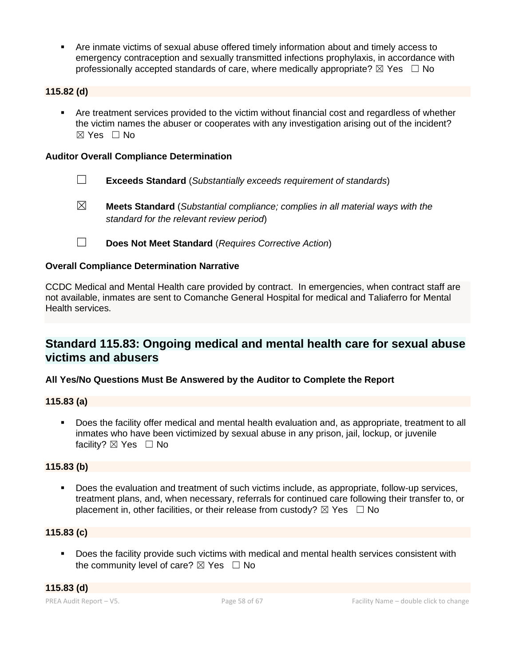▪ Are inmate victims of sexual abuse offered timely information about and timely access to emergency contraception and sexually transmitted infections prophylaxis, in accordance with professionally accepted standards of care, where medically appropriate?  $\boxtimes$  Yes  $\Box$  No

# **115.82 (d)**

▪ Are treatment services provided to the victim without financial cost and regardless of whether the victim names the abuser or cooperates with any investigation arising out of the incident? ☒ Yes ☐ No

### **Auditor Overall Compliance Determination**

- ☐ **Exceeds Standard** (*Substantially exceeds requirement of standards*)
- ☒ **Meets Standard** (*Substantial compliance; complies in all material ways with the standard for the relevant review period*)
- ☐ **Does Not Meet Standard** (*Requires Corrective Action*)

# **Overall Compliance Determination Narrative**

CCDC Medical and Mental Health care provided by contract. In emergencies, when contract staff are not available, inmates are sent to Comanche General Hospital for medical and Taliaferro for Mental Health services.

# **Standard 115.83: Ongoing medical and mental health care for sexual abuse victims and abusers**

# **All Yes/No Questions Must Be Answered by the Auditor to Complete the Report**

# **115.83 (a)**

Does the facility offer medical and mental health evaluation and, as appropriate, treatment to all inmates who have been victimized by sexual abuse in any prison, jail, lockup, or juvenile facility? ⊠ Yes □ No

# **115.83 (b)**

Does the evaluation and treatment of such victims include, as appropriate, follow-up services, treatment plans, and, when necessary, referrals for continued care following their transfer to, or placement in, other facilities, or their release from custody?  $\boxtimes$  Yes  $\Box$  No

# **115.83 (c)**

■ Does the facility provide such victims with medical and mental health services consistent with the community level of care?  $\boxtimes$  Yes  $\Box$  No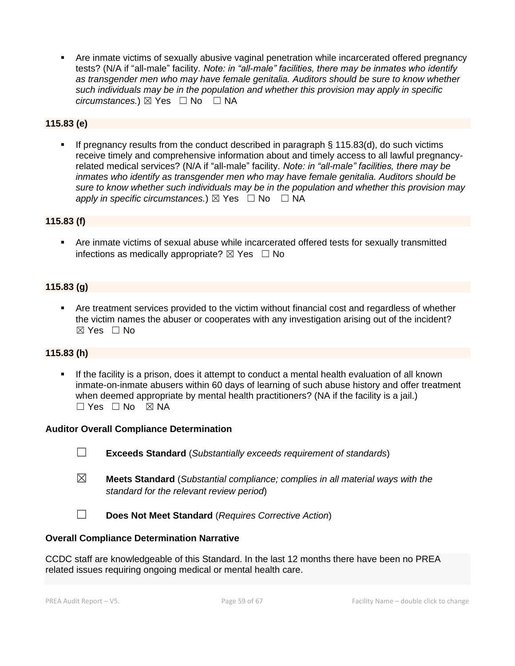Are inmate victims of sexually abusive vaginal penetration while incarcerated offered pregnancy tests? (N/A if "all-male" facility. *Note: in "all-male" facilities, there may be inmates who identify as transgender men who may have female genitalia. Auditors should be sure to know whether such individuals may be in the population and whether this provision may apply in specific circumstances.*) ⊠ Yes  $□$  No  $□$  NA

# **115.83 (e)**

**•** If pregnancy results from the conduct described in paragraph  $\S$  115.83(d), do such victims receive timely and comprehensive information about and timely access to all lawful pregnancyrelated medical services? (N/A if "all-male" facility. *Note: in "all-male" facilities, there may be inmates who identify as transgender men who may have female genitalia. Auditors should be sure to know whether such individuals may be in the population and whether this provision may apply in specific circumstances.*)  $\boxtimes$  Yes  $\Box$  No  $\Box$  NA

# **115.83 (f)**

**•** Are inmate victims of sexual abuse while incarcerated offered tests for sexually transmitted infections as medically appropriate?  $\boxtimes$  Yes  $\Box$  No

# **115.83 (g)**

Are treatment services provided to the victim without financial cost and regardless of whether the victim names the abuser or cooperates with any investigation arising out of the incident?  $\boxtimes$  Yes  $\Box$  No

# **115.83 (h)**

**.** If the facility is a prison, does it attempt to conduct a mental health evaluation of all known inmate-on-inmate abusers within 60 days of learning of such abuse history and offer treatment when deemed appropriate by mental health practitioners? (NA if the facility is a jail.)  $\Box$  Yes  $\Box$  No  $\boxtimes$  NA

# **Auditor Overall Compliance Determination**

- ☐ **Exceeds Standard** (*Substantially exceeds requirement of standards*)
- ☒ **Meets Standard** (*Substantial compliance; complies in all material ways with the standard for the relevant review period*)
- ☐ **Does Not Meet Standard** (*Requires Corrective Action*)

#### **Overall Compliance Determination Narrative**

CCDC staff are knowledgeable of this Standard. In the last 12 months there have been no PREA related issues requiring ongoing medical or mental health care.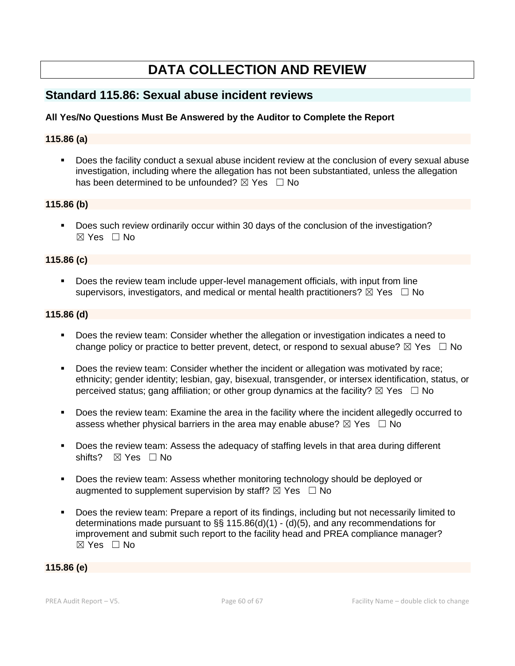# **DATA COLLECTION AND REVIEW**

# **Standard 115.86: Sexual abuse incident reviews**

# **All Yes/No Questions Must Be Answered by the Auditor to Complete the Report**

# **115.86 (a)**

■ Does the facility conduct a sexual abuse incident review at the conclusion of every sexual abuse investigation, including where the allegation has not been substantiated, unless the allegation has been determined to be unfounded?  $\boxtimes$  Yes  $\Box$  No

#### **115.86 (b)**

▪ Does such review ordinarily occur within 30 days of the conclusion of the investigation? ☒ Yes ☐ No

#### **115.86 (c)**

Does the review team include upper-level management officials, with input from line supervisors, investigators, and medical or mental health practitioners?  $\boxtimes$  Yes  $\Box$  No

#### **115.86 (d)**

- Does the review team: Consider whether the allegation or investigation indicates a need to change policy or practice to better prevent, detect, or respond to sexual abuse?  $\boxtimes$  Yes  $\Box$  No
- Does the review team: Consider whether the incident or allegation was motivated by race; ethnicity; gender identity; lesbian, gay, bisexual, transgender, or intersex identification, status, or perceived status; gang affiliation; or other group dynamics at the facility?  $\boxtimes$  Yes  $\Box$  No
- Does the review team: Examine the area in the facility where the incident allegedly occurred to assess whether physical barriers in the area may enable abuse?  $\boxtimes$  Yes  $\Box$  No
- Does the review team: Assess the adequacy of staffing levels in that area during different shifts?  $\boxtimes$  Yes  $\Box$  No
- Does the review team: Assess whether monitoring technology should be deployed or augmented to supplement supervision by staff?  $\boxtimes$  Yes  $\Box$  No
- Does the review team: Prepare a report of its findings, including but not necessarily limited to determinations made pursuant to  $\S$ § 115.86(d)(1) - (d)(5), and any recommendations for improvement and submit such report to the facility head and PREA compliance manager?  $\boxtimes$  Yes  $\Box$  No

#### **115.86 (e)**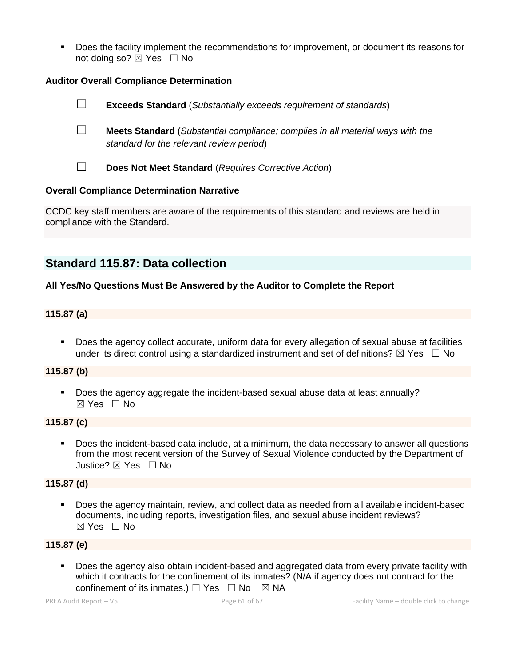▪ Does the facility implement the recommendations for improvement, or document its reasons for not doing so?  $\boxtimes$  Yes  $\Box$  No

# **Auditor Overall Compliance Determination**



#### **Overall Compliance Determination Narrative**

CCDC key staff members are aware of the requirements of this standard and reviews are held in compliance with the Standard.

# **Standard 115.87: Data collection**

#### **All Yes/No Questions Must Be Answered by the Auditor to Complete the Report**

# **115.87 (a)**

Does the agency collect accurate, uniform data for every allegation of sexual abuse at facilities under its direct control using a standardized instrument and set of definitions?  $\boxtimes$  Yes  $\Box$  No

#### **115.87 (b)**

▪ Does the agency aggregate the incident-based sexual abuse data at least annually?  $\boxtimes$  Yes  $\Box$  No

# **115.87 (c)**

▪ Does the incident-based data include, at a minimum, the data necessary to answer all questions from the most recent version of the Survey of Sexual Violence conducted by the Department of Justice? ☒ Yes ☐ No

#### **115.87 (d)**

Does the agency maintain, review, and collect data as needed from all available incident-based documents, including reports, investigation files, and sexual abuse incident reviews?  $\boxtimes$  Yes  $\Box$  No

#### **115.87 (e)**

Does the agency also obtain incident-based and aggregated data from every private facility with which it contracts for the confinement of its inmates? (N/A if agency does not contract for the confinement of its inmates.)  $\Box$  Yes  $\Box$  No  $\boxtimes$  NA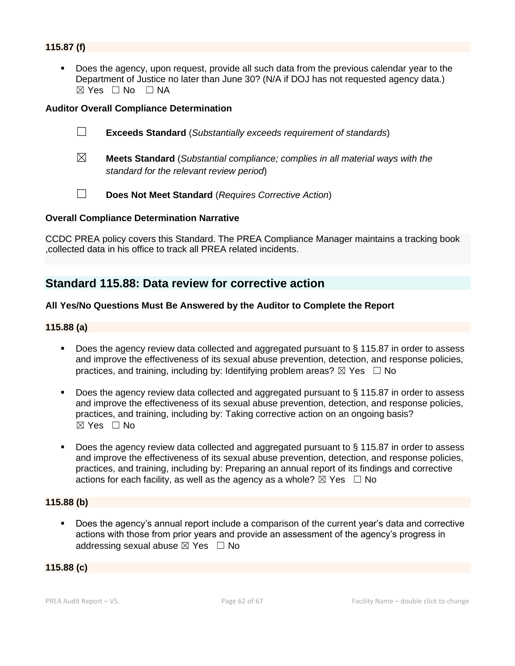# **115.87 (f)**

Does the agency, upon request, provide all such data from the previous calendar year to the Department of Justice no later than June 30? (N/A if DOJ has not requested agency data.)  $\boxtimes$  Yes  $\Box$  No  $\Box$  NA

#### **Auditor Overall Compliance Determination**



- ☐ **Exceeds Standard** (*Substantially exceeds requirement of standards*)
- ☒ **Meets Standard** (*Substantial compliance; complies in all material ways with the standard for the relevant review period*)
- 

☐ **Does Not Meet Standard** (*Requires Corrective Action*)

#### **Overall Compliance Determination Narrative**

CCDC PREA policy covers this Standard. The PREA Compliance Manager maintains a tracking book ,collected data in his office to track all PREA related incidents.

# **Standard 115.88: Data review for corrective action**

# **All Yes/No Questions Must Be Answered by the Auditor to Complete the Report**

#### **115.88 (a)**

- Does the agency review data collected and aggregated pursuant to § 115.87 in order to assess and improve the effectiveness of its sexual abuse prevention, detection, and response policies, practices, and training, including by: Identifying problem areas?  $\boxtimes$  Yes  $\Box$  No
- Does the agency review data collected and aggregated pursuant to § 115.87 in order to assess and improve the effectiveness of its sexual abuse prevention, detection, and response policies, practices, and training, including by: Taking corrective action on an ongoing basis?  $\boxtimes$  Yes  $\Box$  No
- Does the agency review data collected and aggregated pursuant to § 115.87 in order to assess and improve the effectiveness of its sexual abuse prevention, detection, and response policies, practices, and training, including by: Preparing an annual report of its findings and corrective actions for each facility, as well as the agency as a whole?  $\boxtimes$  Yes  $\Box$  No

#### **115.88 (b)**

Does the agency's annual report include a comparison of the current year's data and corrective actions with those from prior years and provide an assessment of the agency's progress in addressing sexual abuse  $\boxtimes$  Yes  $\Box$  No

#### **115.88 (c)**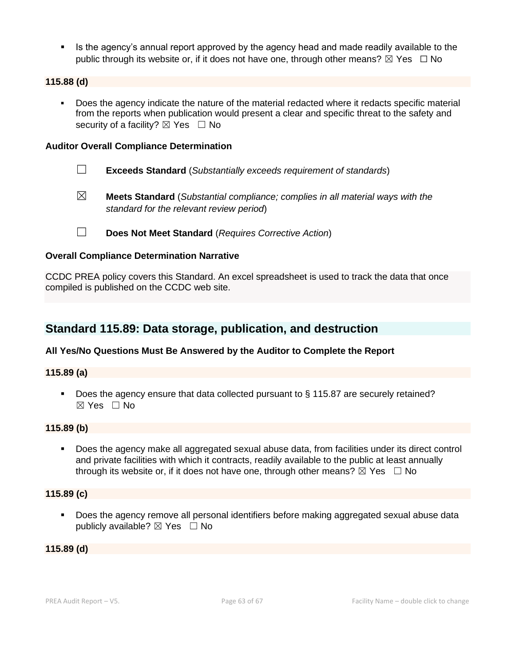**EXECT** Is the agency's annual report approved by the agency head and made readily available to the public through its website or, if it does not have one, through other means?  $\boxtimes$  Yes  $\Box$  No

# **115.88 (d)**

▪ Does the agency indicate the nature of the material redacted where it redacts specific material from the reports when publication would present a clear and specific threat to the safety and security of a facility?  $\boxtimes$  Yes  $\Box$  No

#### **Auditor Overall Compliance Determination**

- ☐ **Exceeds Standard** (*Substantially exceeds requirement of standards*)
- ☒ **Meets Standard** (*Substantial compliance; complies in all material ways with the standard for the relevant review period*)

☐ **Does Not Meet Standard** (*Requires Corrective Action*)

# **Overall Compliance Determination Narrative**

CCDC PREA policy covers this Standard. An excel spreadsheet is used to track the data that once compiled is published on the CCDC web site.

# **Standard 115.89: Data storage, publication, and destruction**

# **All Yes/No Questions Must Be Answered by the Auditor to Complete the Report**

#### **115.89 (a)**

■ Does the agency ensure that data collected pursuant to § 115.87 are securely retained?  $\boxtimes$  Yes  $\Box$  No

# **115.89 (b)**

▪ Does the agency make all aggregated sexual abuse data, from facilities under its direct control and private facilities with which it contracts, readily available to the public at least annually through its website or, if it does not have one, through other means?  $\boxtimes$  Yes  $\Box$  No

#### **115.89 (c)**

Does the agency remove all personal identifiers before making aggregated sexual abuse data publicly available?  $\boxtimes$  Yes  $\Box$  No

**115.89 (d)**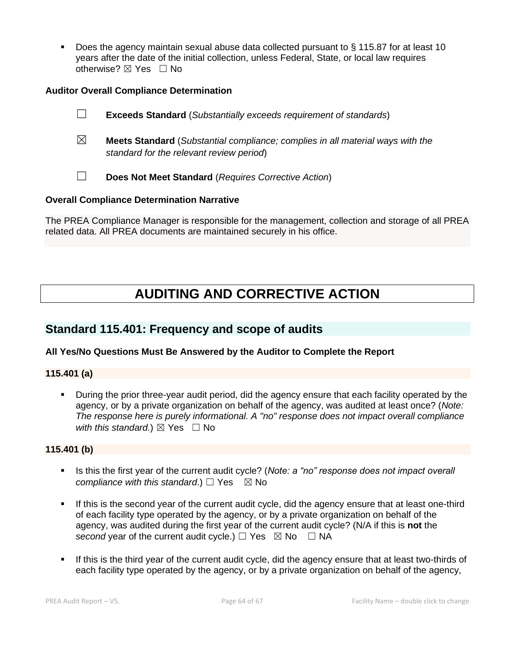■ Does the agency maintain sexual abuse data collected pursuant to § 115.87 for at least 10 years after the date of the initial collection, unless Federal, State, or local law requires otherwise?  $\boxtimes$  Yes  $\Box$  No

# **Auditor Overall Compliance Determination**

- ☐ **Exceeds Standard** (*Substantially exceeds requirement of standards*) ☒ **Meets Standard** (*Substantial compliance; complies in all material ways with the standard for the relevant review period*)
- ☐ **Does Not Meet Standard** (*Requires Corrective Action*)

#### **Overall Compliance Determination Narrative**

The PREA Compliance Manager is responsible for the management, collection and storage of all PREA related data. All PREA documents are maintained securely in his office.

# **AUDITING AND CORRECTIVE ACTION**

# **Standard 115.401: Frequency and scope of audits**

# **All Yes/No Questions Must Be Answered by the Auditor to Complete the Report**

#### **115.401 (a)**

▪ During the prior three-year audit period, did the agency ensure that each facility operated by the agency, or by a private organization on behalf of the agency, was audited at least once? (*Note: The response here is purely informational. A "no" response does not impact overall compliance with this standard.*)  $\boxtimes$  Yes  $\Box$  No

#### **115.401 (b)**

- **EXECT** Is this the first year of the current audit cycle? (*Note: a "no" response does not impact overall compliance with this standard.*)  $\Box$  Yes  $\boxtimes$  No
- **.** If this is the second year of the current audit cycle, did the agency ensure that at least one-third of each facility type operated by the agency, or by a private organization on behalf of the agency, was audited during the first year of the current audit cycle? (N/A if this is **not** the *second* year of the current audit cycle.)  $\Box$  Yes  $\boxtimes$  No  $\Box$  NA
- If this is the third year of the current audit cycle, did the agency ensure that at least two-thirds of each facility type operated by the agency, or by a private organization on behalf of the agency,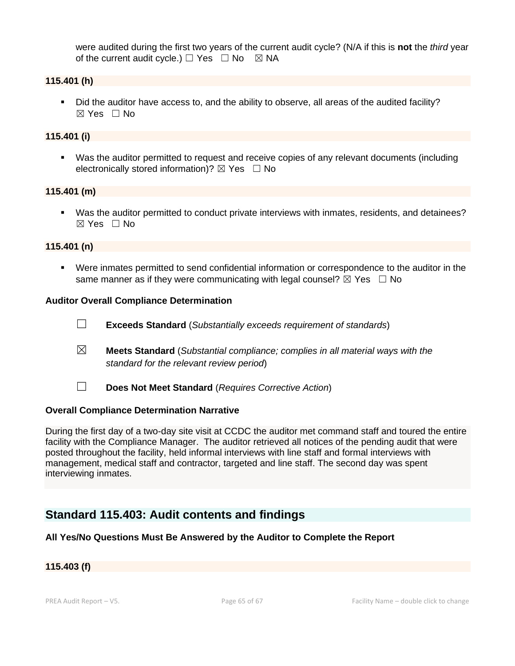were audited during the first two years of the current audit cycle? (N/A if this is **not** the *third* year of the current audit cycle.)  $\Box$  Yes  $\Box$  No  $\boxtimes$  NA

#### **115.401 (h)**

▪ Did the auditor have access to, and the ability to observe, all areas of the audited facility?  $\boxtimes$  Yes  $\Box$  No

### **115.401 (i)**

▪ Was the auditor permitted to request and receive copies of any relevant documents (including electronically stored information)?  $\boxtimes$  Yes  $\Box$  No

#### **115.401 (m)**

▪ Was the auditor permitted to conduct private interviews with inmates, residents, and detainees?  $\boxtimes$  Yes  $\Box$  No

#### **115.401 (n)**

▪ Were inmates permitted to send confidential information or correspondence to the auditor in the same manner as if they were communicating with legal counsel?  $\boxtimes$  Yes  $\Box$  No

#### **Auditor Overall Compliance Determination**

- ☐ **Exceeds Standard** (*Substantially exceeds requirement of standards*)
- ☒ **Meets Standard** (*Substantial compliance; complies in all material ways with the standard for the relevant review period*)
- ☐ **Does Not Meet Standard** (*Requires Corrective Action*)

#### **Overall Compliance Determination Narrative**

During the first day of a two-day site visit at CCDC the auditor met command staff and toured the entire facility with the Compliance Manager. The auditor retrieved all notices of the pending audit that were posted throughout the facility, held informal interviews with line staff and formal interviews with management, medical staff and contractor, targeted and line staff. The second day was spent interviewing inmates.

# **Standard 115.403: Audit contents and findings**

# **All Yes/No Questions Must Be Answered by the Auditor to Complete the Report**

#### **115.403 (f)**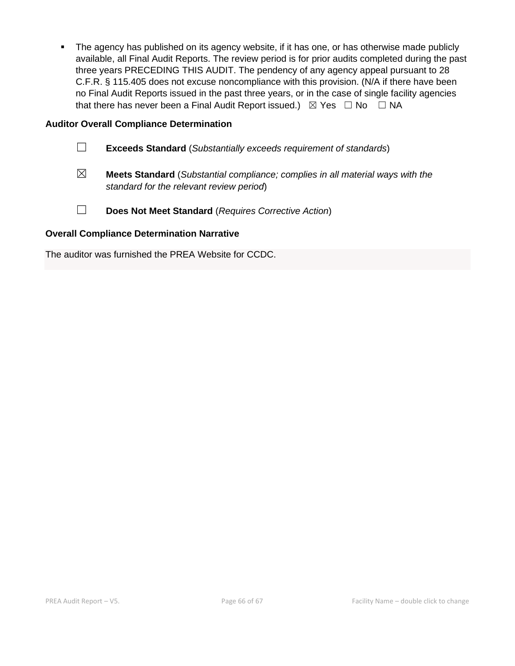The agency has published on its agency website, if it has one, or has otherwise made publicly available, all Final Audit Reports. The review period is for prior audits completed during the past three years PRECEDING THIS AUDIT. The pendency of any agency appeal pursuant to 28 C.F.R. § 115.405 does not excuse noncompliance with this provision. (N/A if there have been no Final Audit Reports issued in the past three years, or in the case of single facility agencies that there has never been a Final Audit Report issued.)  $\boxtimes$  Yes  $\Box$  No  $\Box$  NA

# **Auditor Overall Compliance Determination**

- ☐ **Exceeds Standard** (*Substantially exceeds requirement of standards*)
- ☒ **Meets Standard** (*Substantial compliance; complies in all material ways with the standard for the relevant review period*)
- ☐ **Does Not Meet Standard** (*Requires Corrective Action*)

# **Overall Compliance Determination Narrative**

The auditor was furnished the PREA Website for CCDC.